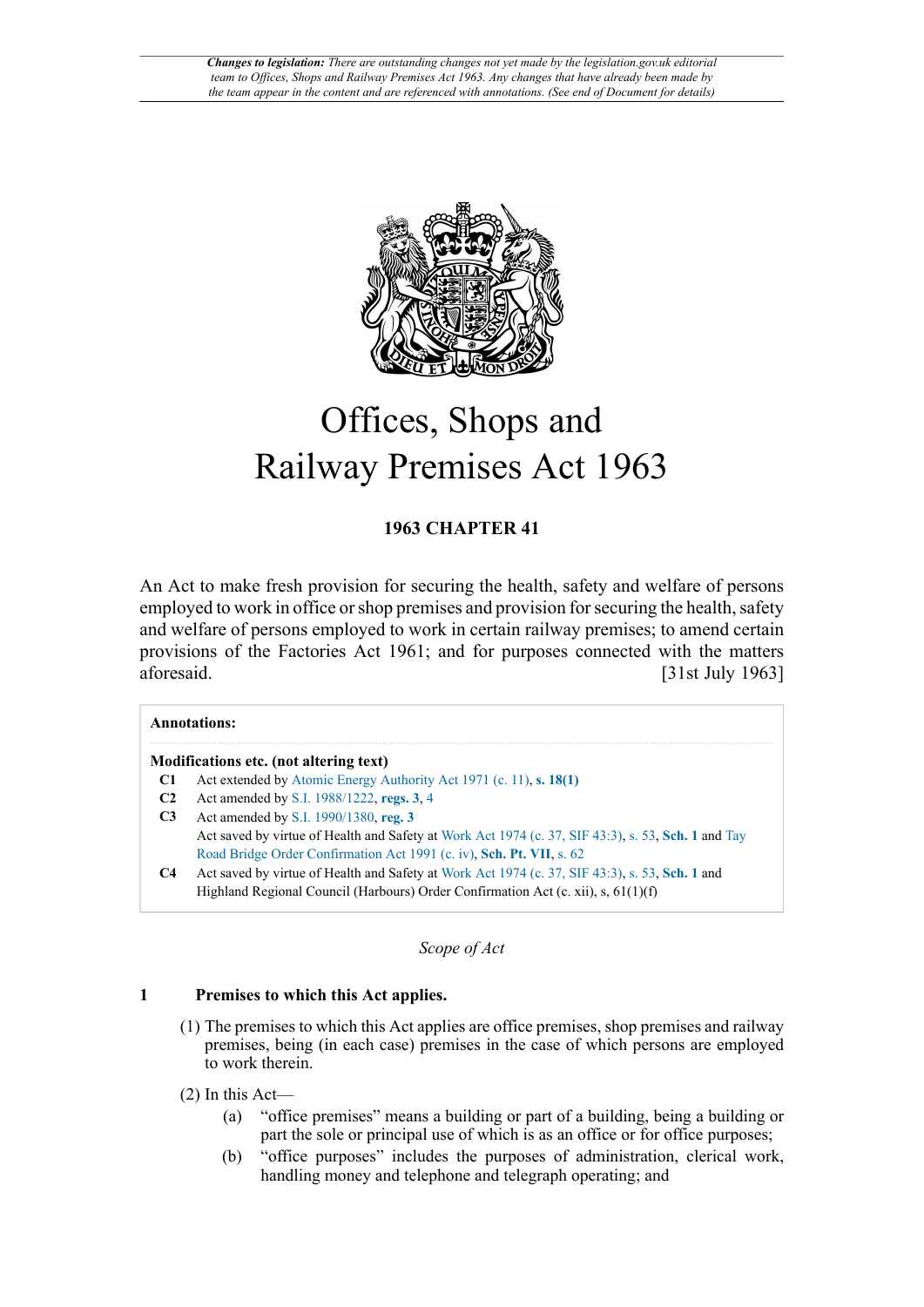

# Offices, Shops and Railway Premises Act 1963

## **1963 CHAPTER 41**

An Act to make fresh provision for securing the health, safety and welfare of persons employed to work in office or shop premises and provision for securing the health, safety and welfare of persons employed to work in certain railway premises; to amend certain provisions of the Factories Act 1961; and for purposes connected with the matters aforesaid. [31st July 1963]

|                | <b>Annotations:</b>                                                                                |
|----------------|----------------------------------------------------------------------------------------------------|
|                | Modifications etc. (not altering text)                                                             |
|                | Act extended by Atomic Energy Authority Act 1971 (c. 11), s. 18(1)                                 |
| C <sub>2</sub> | Act amended by S.I. 1988/1222, regs. 3, 4                                                          |
| C <sub>3</sub> | Act amended by S.I. 1990/1380, reg. 3                                                              |
|                | Act saved by virtue of Health and Safety at Work Act 1974 (c. 37, SIF 43:3), s. 53, Sch. 1 and Tay |
|                | Road Bridge Order Confirmation Act 1991 (c. iv), Sch. Pt. VII, s. 62                               |
| C <sub>4</sub> | Act saved by virtue of Health and Safety at Work Act 1974 (c. 37, SIF 43:3), s. 53, Sch. 1 and     |
|                | Highland Regional Council (Harbours) Order Confirmation Act (c. xii), s, $61(1)(f)$                |
|                |                                                                                                    |

*Scope of Act*

### **1 Premises to which this Act applies.**

- (1) The premises to which this Act applies are office premises, shop premises and railway premises, being (in each case) premises in the case of which persons are employed to work therein.
- (2) In this Act—
	- (a) "office premises" means a building or part of a building, being a building or part the sole or principal use of which is as an office or for office purposes;
	- (b) "office purposes" includes the purposes of administration, clerical work, handling money and telephone and telegraph operating; and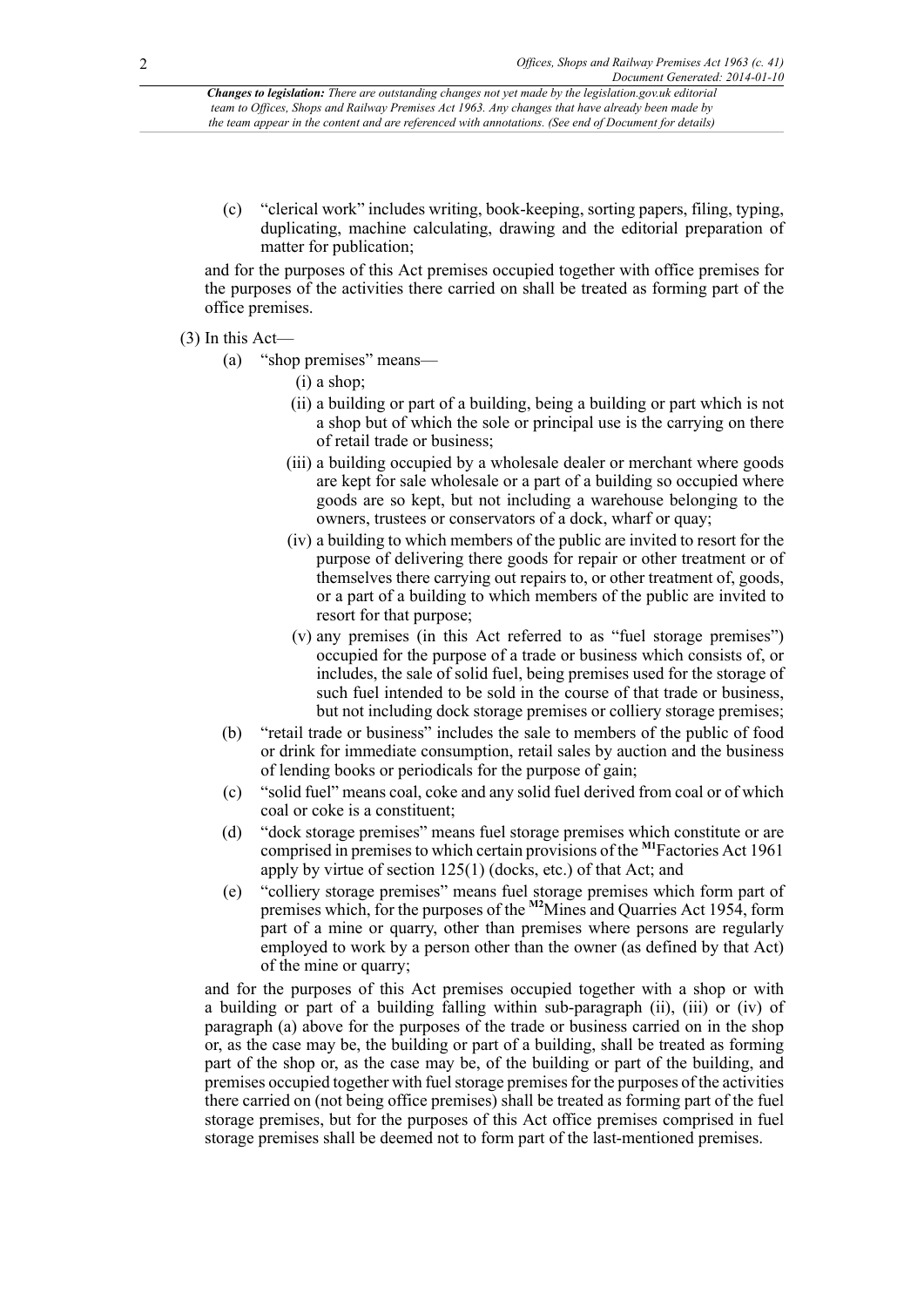(c) "clerical work" includes writing, book-keeping, sorting papers, filing, typing, duplicating, machine calculating, drawing and the editorial preparation of matter for publication;

and for the purposes of this Act premises occupied together with office premises for the purposes of the activities there carried on shall be treated as forming part of the office premises.

## (3) In this Act—

- (a) "shop premises" means—
	- (i) a shop;
	- (ii) a building or part of a building, being a building or part which is not a shop but of which the sole or principal use is the carrying on there of retail trade or business;
	- (iii) a building occupied by a wholesale dealer or merchant where goods are kept for sale wholesale or a part of a building so occupied where goods are so kept, but not including a warehouse belonging to the owners, trustees or conservators of a dock, wharf or quay;
	- (iv) a building to which members of the public are invited to resort for the purpose of delivering there goods for repair or other treatment or of themselves there carrying out repairs to, or other treatment of, goods, or a part of a building to which members of the public are invited to resort for that purpose;
	- (v) any premises (in this Act referred to as "fuel storage premises") occupied for the purpose of a trade or business which consists of, or includes, the sale of solid fuel, being premises used for the storage of such fuel intended to be sold in the course of that trade or business, but not including dock storage premises or colliery storage premises;
- (b) "retail trade or business" includes the sale to members of the public of food or drink for immediate consumption, retail sales by auction and the business of lending books or periodicals for the purpose of gain;
- (c) "solid fuel" means coal, coke and any solid fuel derived from coal or of which coal or coke is a constituent;
- <span id="page-1-0"></span>(d) "dock storage premises" means fuel storage premises which constitute or are comprised in premises to which certain provisions of the **[M1](#page-2-0)**Factories Act 1961 apply by virtue of section 125(1) (docks, etc.) of that Act; and
- <span id="page-1-1"></span>(e) "colliery storage premises" means fuel storage premises which form part of premises which, for the purposes of the **[M2](#page-2-1)**Mines and Quarries Act 1954, form part of a mine or quarry, other than premises where persons are regularly employed to work by a person other than the owner (as defined by that Act) of the mine or quarry;

and for the purposes of this Act premises occupied together with a shop or with a building or part of a building falling within sub-paragraph (ii), (iii) or (iv) of paragraph (a) above for the purposes of the trade or business carried on in the shop or, as the case may be, the building or part of a building, shall be treated as forming part of the shop or, as the case may be, of the building or part of the building, and premises occupied together with fuel storage premises for the purposes of the activities there carried on (not being office premises) shall be treated as forming part of the fuel storage premises, but for the purposes of this Act office premises comprised in fuel storage premises shall be deemed not to form part of the last-mentioned premises.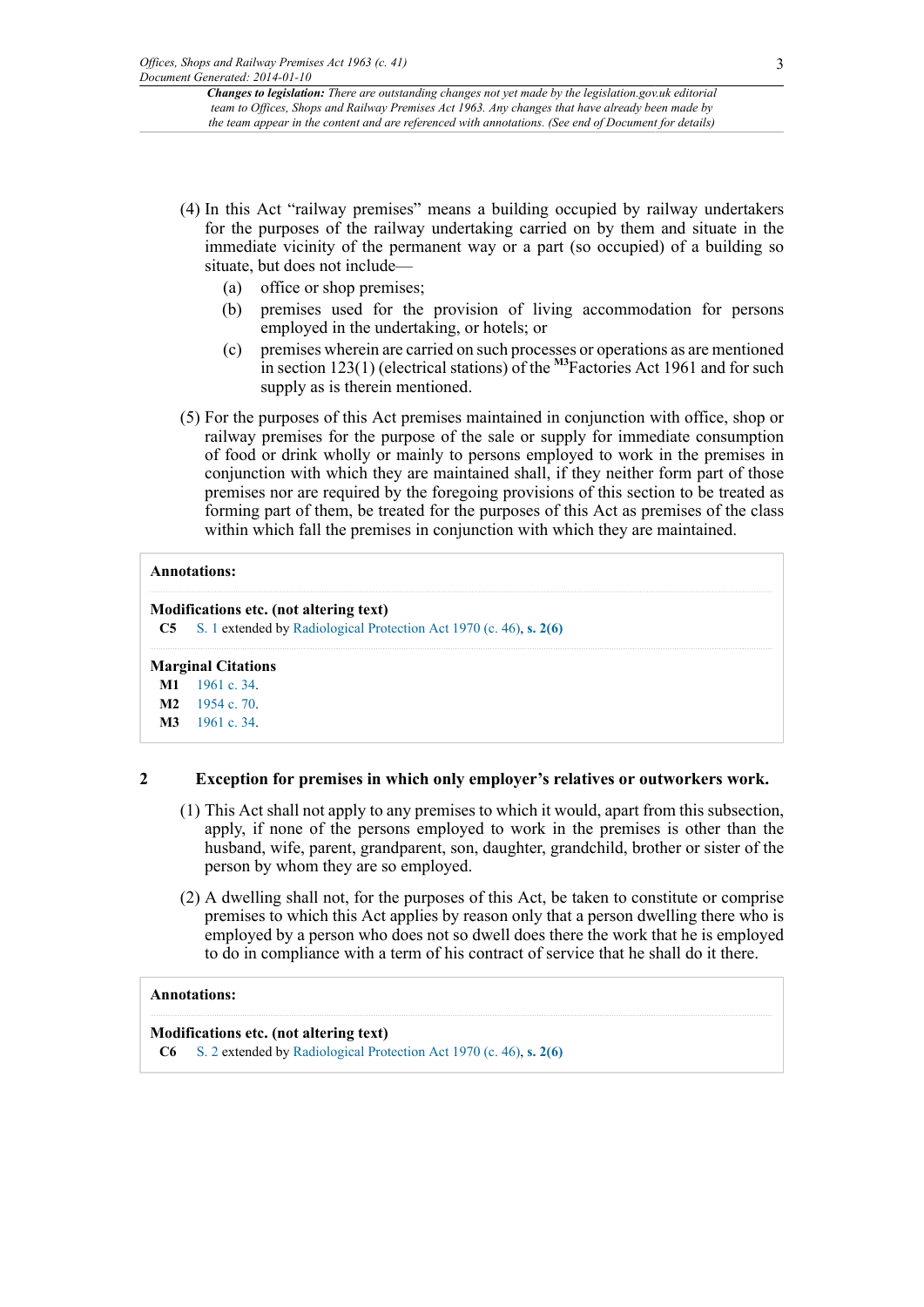- (4) In this Act "railway premises" means a building occupied by railway undertakers for the purposes of the railway undertaking carried on by them and situate in the immediate vicinity of the permanent way or a part (so occupied) of a building so situate, but does not include—
	- (a) office or shop premises;
	- (b) premises used for the provision of living accommodation for persons employed in the undertaking, or hotels; or
	- (c) premises wherein are carried on such processes or operations as are mentioned in section 123(1) (electrical stations) of the <sup>[M3](#page-2-2)</sup>Factories Act 1961 and for such supply as is therein mentioned.
- <span id="page-2-3"></span>(5) For the purposes of this Act premises maintained in conjunction with office, shop or railway premises for the purpose of the sale or supply for immediate consumption of food or drink wholly or mainly to persons employed to work in the premises in conjunction with which they are maintained shall, if they neither form part of those premises nor are required by the foregoing provisions of this section to be treated as forming part of them, be treated for the purposes of this Act as premises of the class within which fall the premises in conjunction with which they are maintained.

#### **Annotations:**

#### **Modifications etc. (not altering text)**

**C5** [S. 1](http://www.legislation.gov.uk/id/ukpga/1963/41/section/1) extended by [Radiological Protection Act 1970 \(c. 46\)](http://www.legislation.gov.uk/id/ukpga/1970/46), **[s. 2\(6\)](http://www.legislation.gov.uk/id/ukpga/1970/46/section/2/6)**

#### **Marginal Citations**

<span id="page-2-0"></span>**[M1](#page-1-0)** [1961 c. 34](http://www.legislation.gov.uk/id/ukpga/1961/34).

```
M2 1954 c. 70.
```
<span id="page-2-2"></span>**[M3](#page-2-3)** [1961 c. 34](http://www.legislation.gov.uk/id/ukpga/1961/34).

### **2 Exception for premises in which only employer's relatives or outworkers work.**

- (1) This Act shall not apply to any premises to which it would, apart from this subsection, apply, if none of the persons employed to work in the premises is other than the husband, wife, parent, grandparent, son, daughter, grandchild, brother or sister of the person by whom they are so employed.
- (2) A dwelling shall not, for the purposes of this Act, be taken to constitute or comprise premises to which this Act applies by reason only that a person dwelling there who is employed by a person who does not so dwell does there the work that he is employed to do in compliance with a term of his contract of service that he shall do it there.

#### **Annotations:**

#### **Modifications etc. (not altering text)**

**C6** [S. 2](http://www.legislation.gov.uk/id/ukpga/1963/41/section/2) extended by [Radiological Protection Act 1970 \(c. 46\)](http://www.legislation.gov.uk/id/ukpga/1970/46), **[s. 2\(6\)](http://www.legislation.gov.uk/id/ukpga/1970/46/section/2/6)**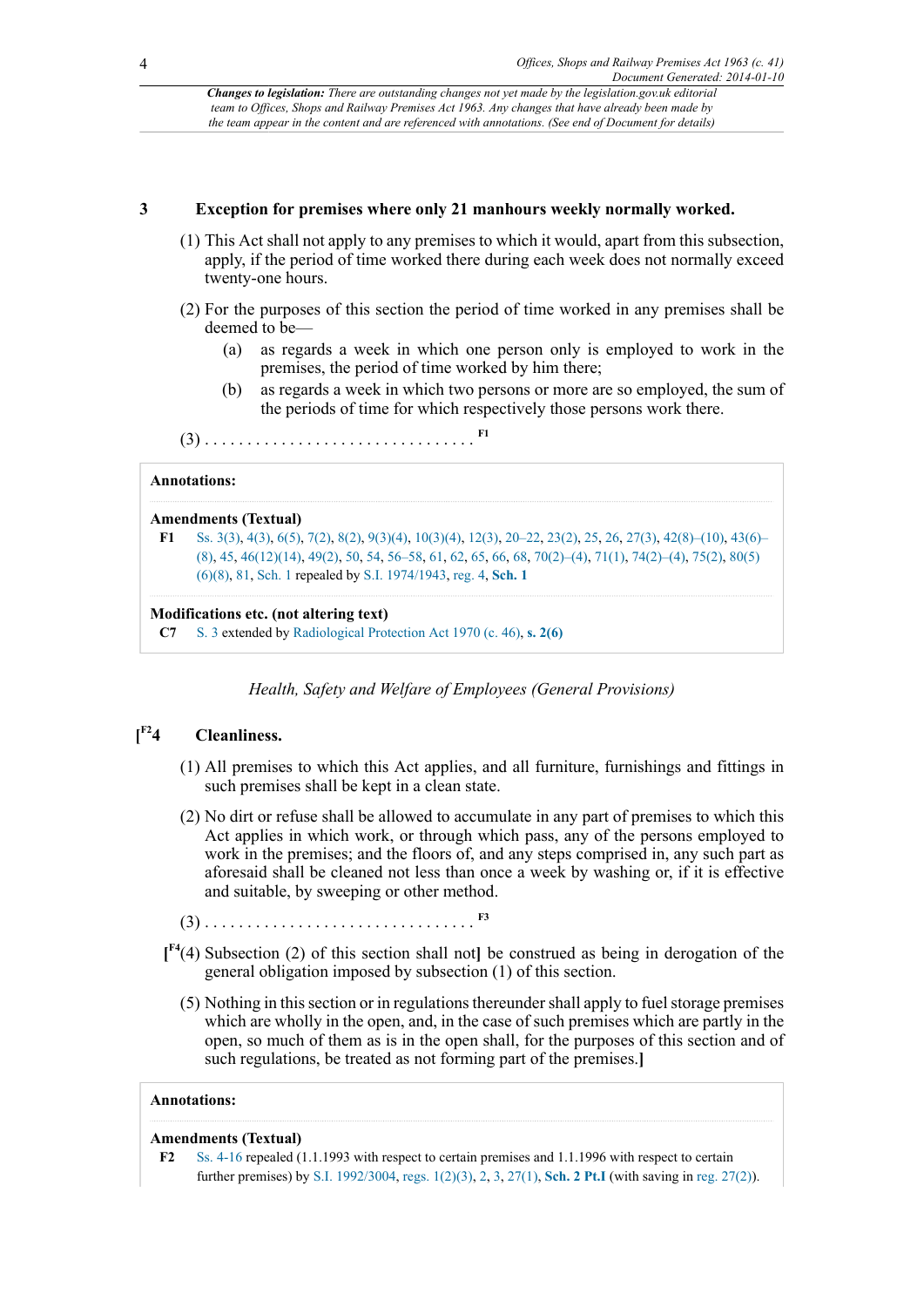### **3 Exception for premises where only 21 manhours weekly normally worked.**

- (1) This Act shall not apply to any premises to which it would, apart from this subsection, apply, if the period of time worked there during each week does not normally exceed twenty-one hours.
- (2) For the purposes of this section the period of time worked in any premises shall be deemed to be—
	- (a) as regards a week in which one person only is employed to work in the premises, the period of time worked by him there;
	- (b) as regards a week in which two persons or more are so employed, the sum of the periods of time for which respectively those persons work there.
- <span id="page-3-1"></span>(3) . . . . . . . . . . . . . . . . . . . . . . . . . . . . . . . . **[F1](#page-3-0)**

#### **Annotations:**

```
Amendments (Textual)
```

```
F1 Ss. 3(3), 4(3), 6(5), 7(2), 8(2), 9(3)(4), 10(3)(4), 12(3), 20–22, 23(2), 25, 26, 27(3), 42(8)–(10), 43(6)–
      (8), 45, 46(12)(14), 49(2), 50, 54, 56–58, 61, 62, 65, 66, 68, 70(2)–(4), 71(1), 74(2)–(4), 75(2), 80(5)
      (6)(8), 81, Sch. 1 repealed by S.I. 1974/1943, reg. 4, Sch. 1
```
#### **Modifications etc. (not altering text)**

**C7** [S. 3](http://www.legislation.gov.uk/id/ukpga/1963/41/section/3) extended by [Radiological Protection Act 1970 \(c. 46\)](http://www.legislation.gov.uk/id/ukpga/1970/46), **[s. 2\(6\)](http://www.legislation.gov.uk/id/ukpga/1970/46/section/2/6)**

*Health, Safety and Welfare of Employees (General Provisions)*

#### <span id="page-3-3"></span> $[$ <sup>F2</sup>4 **[F2](#page-3-2)4 Cleanliness.**

- (1) All premises to which this Act applies, and all furniture, furnishings and fittings in such premises shall be kept in a clean state.
- (2) No dirt or refuse shall be allowed to accumulate in any part of premises to which this Act applies in which work, or through which pass, any of the persons employed to work in the premises; and the floors of, and any steps comprised in, any such part as aforesaid shall be cleaned not less than once a week by washing or, if it is effective and suitable, by sweeping or other method.
- <span id="page-3-4"></span>(3) . . . . . . . . . . . . . . . . . . . . . . . . . . . . . . . . **[F3](#page-4-0)**
- <span id="page-3-5"></span>**[ [F4](#page-4-1)**(4) Subsection (2) of this section shall not**]** be construed as being in derogation of the general obligation imposed by subsection (1) of this section.
	- (5) Nothing in this section or in regulations thereunder shall apply to fuel storage premises which are wholly in the open, and, in the case of such premises which are partly in the open, so much of them as is in the open shall, for the purposes of this section and of such regulations, be treated as not forming part of the premises.**]**

#### **Annotations:**

#### **Amendments (Textual)**

<span id="page-3-2"></span>**[F2](#page-3-3)** [Ss. 4-16](http://www.legislation.gov.uk/id/ukpga/1963/41/section/4) repealed (1.1.1993 with respect to certain premises and 1.1.1996 with respect to certain further premises) by [S.I. 1992/3004](http://www.legislation.gov.uk/id/uksi/1992/3004), [regs. 1\(2\)\(3\),](http://www.legislation.gov.uk/id/uksi/1992/3004/regulation/1/2/3) [2,](http://www.legislation.gov.uk/id/uksi/1992/3004/regulation/2) [3,](http://www.legislation.gov.uk/id/uksi/1992/3004/regulation/3) [27\(1\),](http://www.legislation.gov.uk/id/uksi/1992/3004/regulation/27/1) **[Sch. 2 Pt.I](http://www.legislation.gov.uk/id/uksi/1992/3004/schedule/2/part/I)** (with saving in [reg. 27\(2\)\)](http://www.legislation.gov.uk/id/uksi/1992/3004/regulation/27/2).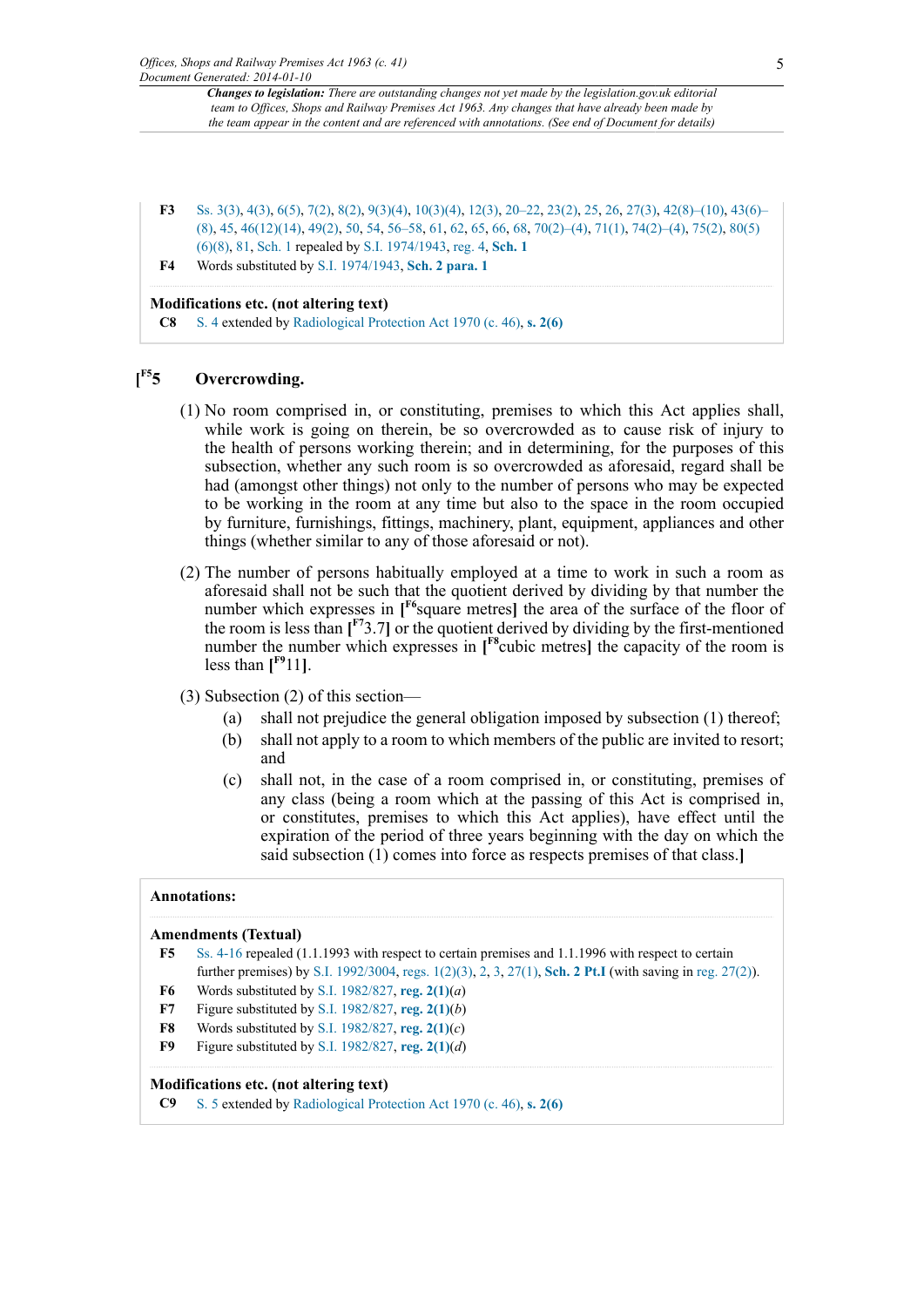- <span id="page-4-0"></span>**[F3](#page-3-4)** [Ss. 3\(3\),](http://www.legislation.gov.uk/id/ukpga/1963/41/section/3/3) [4\(3\)](http://www.legislation.gov.uk/id/ukpga/1963/41/section/4/3), [6\(5\),](http://www.legislation.gov.uk/id/ukpga/1963/41/section/6/5) [7\(2\)](http://www.legislation.gov.uk/id/ukpga/1963/41/section/7/2), [8\(2\),](http://www.legislation.gov.uk/id/ukpga/1963/41/section/8/2) [9\(3\)\(4\),](http://www.legislation.gov.uk/id/ukpga/1963/41/section/9/3/4) [10\(3\)\(4\)](http://www.legislation.gov.uk/id/ukpga/1963/41/section/10/3/4), [12\(3\)](http://www.legislation.gov.uk/id/ukpga/1963/41/section/12/3), [20–22](http://www.legislation.gov.uk/id/ukpga/1963/41/section/20), [23\(2\)](http://www.legislation.gov.uk/id/ukpga/1963/41/section/23/2), [25,](http://www.legislation.gov.uk/id/ukpga/1963/41/section/25) [26](http://www.legislation.gov.uk/id/ukpga/1963/41/section/26), [27\(3\)](http://www.legislation.gov.uk/id/ukpga/1963/41/section/27/3), [42\(8\)–\(10\),](http://www.legislation.gov.uk/id/ukpga/1963/41/section/42/8) [43\(6\)–](http://www.legislation.gov.uk/id/ukpga/1963/41/section/43/6) [\(8\)](http://www.legislation.gov.uk/id/ukpga/1963/41/section/43/6), [45,](http://www.legislation.gov.uk/id/ukpga/1963/41/section/45) [46\(12\)\(14\)](http://www.legislation.gov.uk/id/ukpga/1963/41/section/46/12/14), [49\(2\)](http://www.legislation.gov.uk/id/ukpga/1963/41/section/49/2), [50,](http://www.legislation.gov.uk/id/ukpga/1963/41/section/50) [54](http://www.legislation.gov.uk/id/ukpga/1963/41/section/54), [56–58](http://www.legislation.gov.uk/id/ukpga/1963/41/section/56), [61,](http://www.legislation.gov.uk/id/ukpga/1963/41/section/61) [62](http://www.legislation.gov.uk/id/ukpga/1963/41/section/62), [65,](http://www.legislation.gov.uk/id/ukpga/1963/41/section/65) [66](http://www.legislation.gov.uk/id/ukpga/1963/41/section/66), [68,](http://www.legislation.gov.uk/id/ukpga/1963/41/section/68) [70\(2\)–\(4\),](http://www.legislation.gov.uk/id/ukpga/1963/41/section/70/2) [71\(1\),](http://www.legislation.gov.uk/id/ukpga/1963/41/section/71/1) [74\(2\)–\(4\),](http://www.legislation.gov.uk/id/ukpga/1963/41/section/74/2) [75\(2\),](http://www.legislation.gov.uk/id/ukpga/1963/41/section/75/2) [80\(5\)](http://www.legislation.gov.uk/id/ukpga/1963/41/section/80/5/6/8) [\(6\)\(8\),](http://www.legislation.gov.uk/id/ukpga/1963/41/section/80/5/6/8) [81](http://www.legislation.gov.uk/id/ukpga/1963/41/section/81), [Sch. 1](http://www.legislation.gov.uk/id/ukpga/1963/41/schedule/1) repealed by [S.I. 1974/1943,](http://www.legislation.gov.uk/id/uksi/1974/1943) [reg. 4,](http://www.legislation.gov.uk/id/uksi/1974/1943/regulation/4) **[Sch. 1](http://www.legislation.gov.uk/id/uksi/1974/1943/schedule/1)**
- <span id="page-4-1"></span>**[F4](#page-3-5)** Words substituted by [S.I. 1974/1943,](http://www.legislation.gov.uk/id/uksi/1974/1943) **[Sch. 2 para. 1](http://www.legislation.gov.uk/id/uksi/1974/1943/schedule/2/paragraph/1)**

#### **Modifications etc. (not altering text)**

**C8** [S. 4](http://www.legislation.gov.uk/id/ukpga/1963/41/section/4) extended by [Radiological Protection Act 1970 \(c. 46\)](http://www.legislation.gov.uk/id/ukpga/1970/46), **[s. 2\(6\)](http://www.legislation.gov.uk/id/ukpga/1970/46/section/2/6)**

#### <span id="page-4-7"></span> $[$ <sup>F5</sup>5 **[F5](#page-4-2)5 Overcrowding.**

- (1) No room comprised in, or constituting, premises to which this Act applies shall, while work is going on therein, be so overcrowded as to cause risk of injury to the health of persons working therein; and in determining, for the purposes of this subsection, whether any such room is so overcrowded as aforesaid, regard shall be had (amongst other things) not only to the number of persons who may be expected to be working in the room at any time but also to the space in the room occupied by furniture, furnishings, fittings, machinery, plant, equipment, appliances and other things (whether similar to any of those aforesaid or not).
- <span id="page-4-9"></span><span id="page-4-8"></span>(2) The number of persons habitually employed at a time to work in such a room as aforesaid shall not be such that the quotient derived by dividing by that number the number which expresses in [<sup>[F6](#page-4-3)</sup>square metres] the area of the surface of the floor of the room is less than  $\mathbf{I}^{\text{F7}}$  $\mathbf{I}^{\text{F7}}$  $\mathbf{I}^{\text{F7}}$ 3.7] or the quotient derived by dividing by the first-mentioned number the number which expresses in **[ [F8](#page-4-5)**cubic metres**]** the capacity of the room is less than  $[$ <sup>[F9](#page-4-6)</sup>11].
- <span id="page-4-11"></span><span id="page-4-10"></span>(3) Subsection (2) of this section—
	- (a) shall not prejudice the general obligation imposed by subsection (1) thereof;
	- (b) shall not apply to a room to which members of the public are invited to resort; and
	- (c) shall not, in the case of a room comprised in, or constituting, premises of any class (being a room which at the passing of this Act is comprised in, or constitutes, premises to which this Act applies), have effect until the expiration of the period of three years beginning with the day on which the said subsection (1) comes into force as respects premises of that class.**]**

#### **Annotations:**

#### **Amendments (Textual)**

- <span id="page-4-2"></span>**[F5](#page-4-7)** [Ss. 4-16](http://www.legislation.gov.uk/id/ukpga/1963/41/section/4) repealed (1.1.1993 with respect to certain premises and 1.1.1996 with respect to certain further premises) by [S.I. 1992/3004](http://www.legislation.gov.uk/id/uksi/1992/3004), [regs. 1\(2\)\(3\),](http://www.legislation.gov.uk/id/uksi/1992/3004/regulation/1/2/3) [2,](http://www.legislation.gov.uk/id/uksi/1992/3004/regulation/2) [3,](http://www.legislation.gov.uk/id/uksi/1992/3004/regulation/3) [27\(1\),](http://www.legislation.gov.uk/id/uksi/1992/3004/regulation/27/1) **[Sch. 2 Pt.I](http://www.legislation.gov.uk/id/uksi/1992/3004/schedule/2/part/I)** (with saving in [reg. 27\(2\)\)](http://www.legislation.gov.uk/id/uksi/1992/3004/regulation/27/2).
- <span id="page-4-3"></span>**[F6](#page-4-8)** Words substituted by [S.I. 1982/827](http://www.legislation.gov.uk/id/uksi/1982/827), **[reg. 2\(1\)](http://www.legislation.gov.uk/id/uksi/1982/827/regulation/2/1)**(*a*)
- <span id="page-4-4"></span>**[F7](#page-4-9)** Figure substituted by [S.I. 1982/827,](http://www.legislation.gov.uk/id/uksi/1982/827) **[reg. 2\(1\)](http://www.legislation.gov.uk/id/uksi/1982/827/regulation/2/1)**(*b*)
- <span id="page-4-5"></span>**[F8](#page-4-10)** Words substituted by [S.I. 1982/827](http://www.legislation.gov.uk/id/uksi/1982/827), **[reg. 2\(1\)](http://www.legislation.gov.uk/id/uksi/1982/827/regulation/2/1)**(*c*)
- <span id="page-4-6"></span>**[F9](#page-4-11)** Figure substituted by [S.I. 1982/827,](http://www.legislation.gov.uk/id/uksi/1982/827) **[reg. 2\(1\)](http://www.legislation.gov.uk/id/uksi/1982/827/regulation/2/1)**(*d*)

#### **Modifications etc. (not altering text)**

**C9** [S. 5](http://www.legislation.gov.uk/id/ukpga/1963/41/section/5) extended by [Radiological Protection Act 1970 \(c. 46\)](http://www.legislation.gov.uk/id/ukpga/1970/46), **[s. 2\(6\)](http://www.legislation.gov.uk/id/ukpga/1970/46/section/2/6)**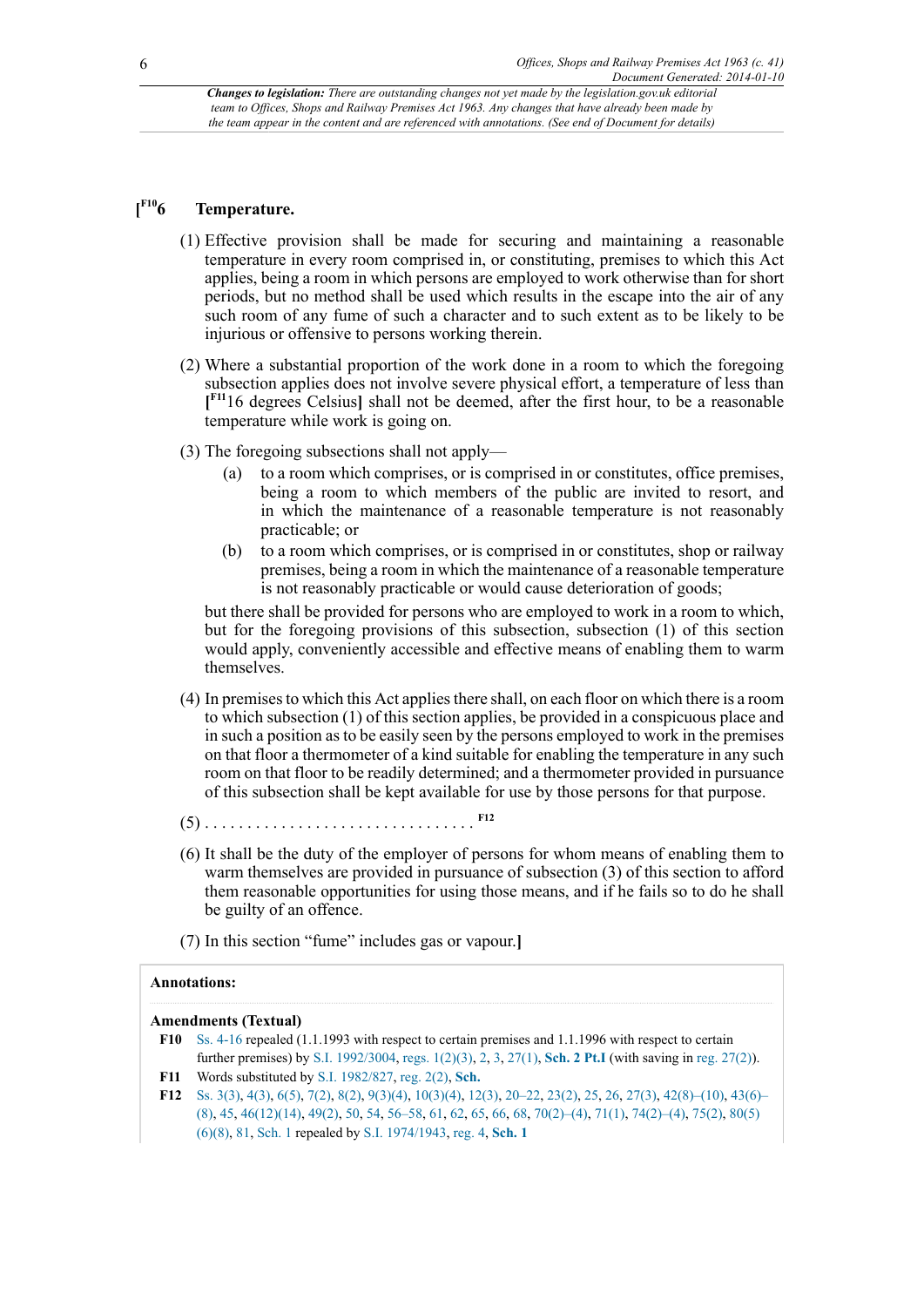#### <span id="page-5-3"></span> $I^{F10}$ 6  $Temperature.$

- (1) Effective provision shall be made for securing and maintaining a reasonable temperature in every room comprised in, or constituting, premises to which this Act applies, being a room in which persons are employed to work otherwise than for short periods, but no method shall be used which results in the escape into the air of any such room of any fume of such a character and to such extent as to be likely to be injurious or offensive to persons working therein.
- <span id="page-5-4"></span>(2) Where a substantial proportion of the work done in a room to which the foregoing subsection applies does not involve severe physical effort, a temperature of less than **[ [F11](#page-5-1)**16 degrees Celsius**]** shall not be deemed, after the first hour, to be a reasonable temperature while work is going on.
- (3) The foregoing subsections shall not apply—
	- (a) to a room which comprises, or is comprised in or constitutes, office premises, being a room to which members of the public are invited to resort, and in which the maintenance of a reasonable temperature is not reasonably practicable; or
	- (b) to a room which comprises, or is comprised in or constitutes, shop or railway premises, being a room in which the maintenance of a reasonable temperature is not reasonably practicable or would cause deterioration of goods;

but there shall be provided for persons who are employed to work in a room to which, but for the foregoing provisions of this subsection, subsection (1) of this section would apply, conveniently accessible and effective means of enabling them to warm themselves.

- (4) In premises to which this Act applies there shall, on each floor on which there is a room to which subsection (1) of this section applies, be provided in a conspicuous place and in such a position as to be easily seen by the persons employed to work in the premises on that floor a thermometer of a kind suitable for enabling the temperature in any such room on that floor to be readily determined; and a thermometer provided in pursuance of this subsection shall be kept available for use by those persons for that purpose.
- <span id="page-5-5"></span>(5) . . . . . . . . . . . . . . . . . . . . . . . . . . . . . . . . **[F12](#page-5-2)**
- (6) It shall be the duty of the employer of persons for whom means of enabling them to warm themselves are provided in pursuance of subsection (3) of this section to afford them reasonable opportunities for using those means, and if he fails so to do he shall be guilty of an offence.
- (7) In this section "fume" includes gas or vapour.**]**

#### **Annotations:**

#### **Amendments (Textual)**

- <span id="page-5-0"></span>**[F10](#page-5-3)** [Ss. 4-16](http://www.legislation.gov.uk/id/ukpga/1963/41/section/4) repealed (1.1.1993 with respect to certain premises and 1.1.1996 with respect to certain further premises) by [S.I. 1992/3004](http://www.legislation.gov.uk/id/uksi/1992/3004), [regs. 1\(2\)\(3\),](http://www.legislation.gov.uk/id/uksi/1992/3004/regulation/1/2/3) [2,](http://www.legislation.gov.uk/id/uksi/1992/3004/regulation/2) [3,](http://www.legislation.gov.uk/id/uksi/1992/3004/regulation/3) [27\(1\),](http://www.legislation.gov.uk/id/uksi/1992/3004/regulation/27/1) **[Sch. 2 Pt.I](http://www.legislation.gov.uk/id/uksi/1992/3004/schedule/2/part/I)** (with saving in [reg. 27\(2\)\)](http://www.legislation.gov.uk/id/uksi/1992/3004/regulation/27/2).
- <span id="page-5-1"></span>**[F11](#page-5-4)** Words substituted by [S.I. 1982/827](http://www.legislation.gov.uk/id/uksi/1982/827), [reg. 2\(2\),](http://www.legislation.gov.uk/id/uksi/1982/827/regulation/2/2) **[Sch.](http://www.legislation.gov.uk/id/uksi/1982/827/schedule)**
- <span id="page-5-2"></span>**[F12](#page-5-5)** [Ss. 3\(3\),](http://www.legislation.gov.uk/id/ukpga/1963/41/section/3/3) [4\(3\)](http://www.legislation.gov.uk/id/ukpga/1963/41/section/4/3), [6\(5\),](http://www.legislation.gov.uk/id/ukpga/1963/41/section/6/5) [7\(2\)](http://www.legislation.gov.uk/id/ukpga/1963/41/section/7/2), [8\(2\),](http://www.legislation.gov.uk/id/ukpga/1963/41/section/8/2) [9\(3\)\(4\),](http://www.legislation.gov.uk/id/ukpga/1963/41/section/9/3/4) [10\(3\)\(4\)](http://www.legislation.gov.uk/id/ukpga/1963/41/section/10/3/4), [12\(3\)](http://www.legislation.gov.uk/id/ukpga/1963/41/section/12/3), [20–22](http://www.legislation.gov.uk/id/ukpga/1963/41/section/20), [23\(2\)](http://www.legislation.gov.uk/id/ukpga/1963/41/section/23/2), [25,](http://www.legislation.gov.uk/id/ukpga/1963/41/section/25) [26](http://www.legislation.gov.uk/id/ukpga/1963/41/section/26), [27\(3\)](http://www.legislation.gov.uk/id/ukpga/1963/41/section/27/3), [42\(8\)–\(10\),](http://www.legislation.gov.uk/id/ukpga/1963/41/section/42/8) [43\(6\)–](http://www.legislation.gov.uk/id/ukpga/1963/41/section/43/6) [\(8\)](http://www.legislation.gov.uk/id/ukpga/1963/41/section/43/6), [45,](http://www.legislation.gov.uk/id/ukpga/1963/41/section/45) [46\(12\)\(14\)](http://www.legislation.gov.uk/id/ukpga/1963/41/section/46/12/14), [49\(2\)](http://www.legislation.gov.uk/id/ukpga/1963/41/section/49/2), [50,](http://www.legislation.gov.uk/id/ukpga/1963/41/section/50) [54](http://www.legislation.gov.uk/id/ukpga/1963/41/section/54), [56–58](http://www.legislation.gov.uk/id/ukpga/1963/41/section/56), [61,](http://www.legislation.gov.uk/id/ukpga/1963/41/section/61) [62](http://www.legislation.gov.uk/id/ukpga/1963/41/section/62), [65,](http://www.legislation.gov.uk/id/ukpga/1963/41/section/65) [66](http://www.legislation.gov.uk/id/ukpga/1963/41/section/66), [68,](http://www.legislation.gov.uk/id/ukpga/1963/41/section/68) [70\(2\)–\(4\),](http://www.legislation.gov.uk/id/ukpga/1963/41/section/70/2) [71\(1\),](http://www.legislation.gov.uk/id/ukpga/1963/41/section/71/1) [74\(2\)–\(4\),](http://www.legislation.gov.uk/id/ukpga/1963/41/section/74/2) [75\(2\),](http://www.legislation.gov.uk/id/ukpga/1963/41/section/75/2) [80\(5\)](http://www.legislation.gov.uk/id/ukpga/1963/41/section/80/5/6/8) [\(6\)\(8\),](http://www.legislation.gov.uk/id/ukpga/1963/41/section/80/5/6/8) [81](http://www.legislation.gov.uk/id/ukpga/1963/41/section/81), [Sch. 1](http://www.legislation.gov.uk/id/ukpga/1963/41/schedule/1) repealed by [S.I. 1974/1943,](http://www.legislation.gov.uk/id/uksi/1974/1943) [reg. 4,](http://www.legislation.gov.uk/id/uksi/1974/1943/regulation/4) **[Sch. 1](http://www.legislation.gov.uk/id/uksi/1974/1943/schedule/1)**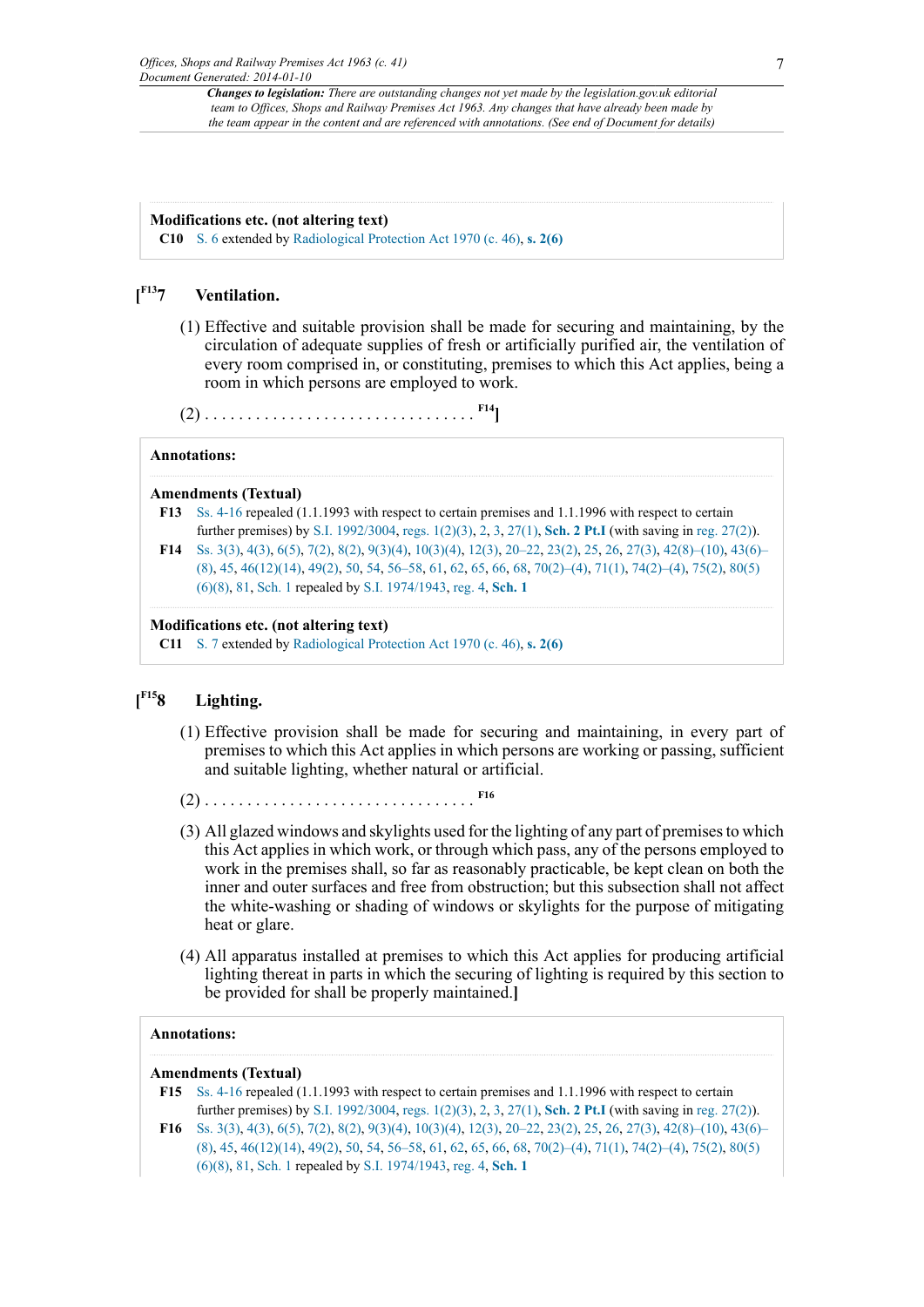#### **Modifications etc. (not altering text)**

**C10** [S. 6](http://www.legislation.gov.uk/id/ukpga/1963/41/section/6) extended by [Radiological Protection Act 1970 \(c. 46\)](http://www.legislation.gov.uk/id/ukpga/1970/46), **[s. 2\(6\)](http://www.legislation.gov.uk/id/ukpga/1970/46/section/2/6)**

#### <span id="page-6-2"></span> $[$ **F**<sup>13</sup>7 **[F13](#page-6-0)7 Ventilation.**

(1) Effective and suitable provision shall be made for securing and maintaining, by the circulation of adequate supplies of fresh or artificially purified air, the ventilation of every room comprised in, or constituting, premises to which this Act applies, being a room in which persons are employed to work.

<span id="page-6-3"></span>(2) . . . . . . . . . . . . . . . . . . . . . . . . . . . . . . . . **[F14](#page-6-1)]**

#### **Annotations:**

#### **Amendments (Textual)**

- <span id="page-6-0"></span>**[F13](#page-6-2)** [Ss. 4-16](http://www.legislation.gov.uk/id/ukpga/1963/41/section/4) repealed (1.1.1993 with respect to certain premises and 1.1.1996 with respect to certain further premises) by [S.I. 1992/3004](http://www.legislation.gov.uk/id/uksi/1992/3004), [regs. 1\(2\)\(3\),](http://www.legislation.gov.uk/id/uksi/1992/3004/regulation/1/2/3) [2,](http://www.legislation.gov.uk/id/uksi/1992/3004/regulation/2) [3,](http://www.legislation.gov.uk/id/uksi/1992/3004/regulation/3) [27\(1\),](http://www.legislation.gov.uk/id/uksi/1992/3004/regulation/27/1) **[Sch. 2 Pt.I](http://www.legislation.gov.uk/id/uksi/1992/3004/schedule/2/part/I)** (with saving in [reg. 27\(2\)\)](http://www.legislation.gov.uk/id/uksi/1992/3004/regulation/27/2).
- <span id="page-6-1"></span>**[F14](#page-6-3)** [Ss. 3\(3\),](http://www.legislation.gov.uk/id/ukpga/1963/41/section/3/3) [4\(3\)](http://www.legislation.gov.uk/id/ukpga/1963/41/section/4/3), [6\(5\),](http://www.legislation.gov.uk/id/ukpga/1963/41/section/6/5) [7\(2\)](http://www.legislation.gov.uk/id/ukpga/1963/41/section/7/2), [8\(2\),](http://www.legislation.gov.uk/id/ukpga/1963/41/section/8/2) [9\(3\)\(4\),](http://www.legislation.gov.uk/id/ukpga/1963/41/section/9/3/4) [10\(3\)\(4\)](http://www.legislation.gov.uk/id/ukpga/1963/41/section/10/3/4), [12\(3\)](http://www.legislation.gov.uk/id/ukpga/1963/41/section/12/3), [20–22](http://www.legislation.gov.uk/id/ukpga/1963/41/section/20), [23\(2\)](http://www.legislation.gov.uk/id/ukpga/1963/41/section/23/2), [25,](http://www.legislation.gov.uk/id/ukpga/1963/41/section/25) [26](http://www.legislation.gov.uk/id/ukpga/1963/41/section/26), [27\(3\)](http://www.legislation.gov.uk/id/ukpga/1963/41/section/27/3), [42\(8\)–\(10\),](http://www.legislation.gov.uk/id/ukpga/1963/41/section/42/8) [43\(6\)–](http://www.legislation.gov.uk/id/ukpga/1963/41/section/43/6) [\(8\)](http://www.legislation.gov.uk/id/ukpga/1963/41/section/43/6), [45,](http://www.legislation.gov.uk/id/ukpga/1963/41/section/45) [46\(12\)\(14\)](http://www.legislation.gov.uk/id/ukpga/1963/41/section/46/12/14), [49\(2\)](http://www.legislation.gov.uk/id/ukpga/1963/41/section/49/2), [50,](http://www.legislation.gov.uk/id/ukpga/1963/41/section/50) [54](http://www.legislation.gov.uk/id/ukpga/1963/41/section/54), [56–58](http://www.legislation.gov.uk/id/ukpga/1963/41/section/56), [61,](http://www.legislation.gov.uk/id/ukpga/1963/41/section/61) [62](http://www.legislation.gov.uk/id/ukpga/1963/41/section/62), [65,](http://www.legislation.gov.uk/id/ukpga/1963/41/section/65) [66](http://www.legislation.gov.uk/id/ukpga/1963/41/section/66), [68,](http://www.legislation.gov.uk/id/ukpga/1963/41/section/68) [70\(2\)–\(4\),](http://www.legislation.gov.uk/id/ukpga/1963/41/section/70/2) [71\(1\),](http://www.legislation.gov.uk/id/ukpga/1963/41/section/71/1) [74\(2\)–\(4\),](http://www.legislation.gov.uk/id/ukpga/1963/41/section/74/2) [75\(2\),](http://www.legislation.gov.uk/id/ukpga/1963/41/section/75/2) [80\(5\)](http://www.legislation.gov.uk/id/ukpga/1963/41/section/80/5/6/8) [\(6\)\(8\),](http://www.legislation.gov.uk/id/ukpga/1963/41/section/80/5/6/8) [81](http://www.legislation.gov.uk/id/ukpga/1963/41/section/81), [Sch. 1](http://www.legislation.gov.uk/id/ukpga/1963/41/schedule/1) repealed by [S.I. 1974/1943,](http://www.legislation.gov.uk/id/uksi/1974/1943) [reg. 4,](http://www.legislation.gov.uk/id/uksi/1974/1943/regulation/4) **[Sch. 1](http://www.legislation.gov.uk/id/uksi/1974/1943/schedule/1)**

#### **Modifications etc. (not altering text)**

**C11** [S. 7](http://www.legislation.gov.uk/id/ukpga/1963/41/section/7) extended by [Radiological Protection Act 1970 \(c. 46\)](http://www.legislation.gov.uk/id/ukpga/1970/46), **[s. 2\(6\)](http://www.legislation.gov.uk/id/ukpga/1970/46/section/2/6)**

#### <span id="page-6-6"></span> $[$ <sup>F15</sup>8 **[F15](#page-6-4)8 Lighting.**

- (1) Effective provision shall be made for securing and maintaining, in every part of premises to which this Act applies in which persons are working or passing, sufficient and suitable lighting, whether natural or artificial.
- <span id="page-6-7"></span>(2) . . . . . . . . . . . . . . . . . . . . . . . . . . . . . . . . **[F16](#page-6-5)**
- (3) All glazed windows and skylights used for the lighting of any part of premises to which this Act applies in which work, or through which pass, any of the persons employed to work in the premises shall, so far as reasonably practicable, be kept clean on both the inner and outer surfaces and free from obstruction; but this subsection shall not affect the white-washing or shading of windows or skylights for the purpose of mitigating heat or glare.
- (4) All apparatus installed at premises to which this Act applies for producing artificial lighting thereat in parts in which the securing of lighting is required by this section to be provided for shall be properly maintained.**]**

#### **Annotations:**

#### **Amendments (Textual)**

- <span id="page-6-4"></span>**[F15](#page-6-6)** [Ss. 4-16](http://www.legislation.gov.uk/id/ukpga/1963/41/section/4) repealed (1.1.1993 with respect to certain premises and 1.1.1996 with respect to certain further premises) by [S.I. 1992/3004](http://www.legislation.gov.uk/id/uksi/1992/3004), [regs. 1\(2\)\(3\),](http://www.legislation.gov.uk/id/uksi/1992/3004/regulation/1/2/3) [2,](http://www.legislation.gov.uk/id/uksi/1992/3004/regulation/2) [3,](http://www.legislation.gov.uk/id/uksi/1992/3004/regulation/3) [27\(1\),](http://www.legislation.gov.uk/id/uksi/1992/3004/regulation/27/1) **[Sch. 2 Pt.I](http://www.legislation.gov.uk/id/uksi/1992/3004/schedule/2/part/I)** (with saving in [reg. 27\(2\)\)](http://www.legislation.gov.uk/id/uksi/1992/3004/regulation/27/2).
- <span id="page-6-5"></span>**[F16](#page-6-7)** [Ss. 3\(3\),](http://www.legislation.gov.uk/id/ukpga/1963/41/section/3/3) [4\(3\)](http://www.legislation.gov.uk/id/ukpga/1963/41/section/4/3), [6\(5\),](http://www.legislation.gov.uk/id/ukpga/1963/41/section/6/5) [7\(2\)](http://www.legislation.gov.uk/id/ukpga/1963/41/section/7/2), [8\(2\),](http://www.legislation.gov.uk/id/ukpga/1963/41/section/8/2) [9\(3\)\(4\),](http://www.legislation.gov.uk/id/ukpga/1963/41/section/9/3/4) [10\(3\)\(4\)](http://www.legislation.gov.uk/id/ukpga/1963/41/section/10/3/4), [12\(3\)](http://www.legislation.gov.uk/id/ukpga/1963/41/section/12/3), [20–22](http://www.legislation.gov.uk/id/ukpga/1963/41/section/20), [23\(2\)](http://www.legislation.gov.uk/id/ukpga/1963/41/section/23/2), [25,](http://www.legislation.gov.uk/id/ukpga/1963/41/section/25) [26](http://www.legislation.gov.uk/id/ukpga/1963/41/section/26), [27\(3\)](http://www.legislation.gov.uk/id/ukpga/1963/41/section/27/3), [42\(8\)–\(10\),](http://www.legislation.gov.uk/id/ukpga/1963/41/section/42/8) [43\(6\)–](http://www.legislation.gov.uk/id/ukpga/1963/41/section/43/6) [\(8\)](http://www.legislation.gov.uk/id/ukpga/1963/41/section/43/6), [45,](http://www.legislation.gov.uk/id/ukpga/1963/41/section/45) [46\(12\)\(14\)](http://www.legislation.gov.uk/id/ukpga/1963/41/section/46/12/14), [49\(2\)](http://www.legislation.gov.uk/id/ukpga/1963/41/section/49/2), [50,](http://www.legislation.gov.uk/id/ukpga/1963/41/section/50) [54](http://www.legislation.gov.uk/id/ukpga/1963/41/section/54), [56–58](http://www.legislation.gov.uk/id/ukpga/1963/41/section/56), [61,](http://www.legislation.gov.uk/id/ukpga/1963/41/section/61) [62](http://www.legislation.gov.uk/id/ukpga/1963/41/section/62), [65,](http://www.legislation.gov.uk/id/ukpga/1963/41/section/65) [66](http://www.legislation.gov.uk/id/ukpga/1963/41/section/66), [68,](http://www.legislation.gov.uk/id/ukpga/1963/41/section/68) [70\(2\)–\(4\),](http://www.legislation.gov.uk/id/ukpga/1963/41/section/70/2) [71\(1\),](http://www.legislation.gov.uk/id/ukpga/1963/41/section/71/1) [74\(2\)–\(4\),](http://www.legislation.gov.uk/id/ukpga/1963/41/section/74/2) [75\(2\),](http://www.legislation.gov.uk/id/ukpga/1963/41/section/75/2) [80\(5\)](http://www.legislation.gov.uk/id/ukpga/1963/41/section/80/5/6/8) [\(6\)\(8\),](http://www.legislation.gov.uk/id/ukpga/1963/41/section/80/5/6/8) [81](http://www.legislation.gov.uk/id/ukpga/1963/41/section/81), [Sch. 1](http://www.legislation.gov.uk/id/ukpga/1963/41/schedule/1) repealed by [S.I. 1974/1943,](http://www.legislation.gov.uk/id/uksi/1974/1943) [reg. 4,](http://www.legislation.gov.uk/id/uksi/1974/1943/regulation/4) **[Sch. 1](http://www.legislation.gov.uk/id/uksi/1974/1943/schedule/1)**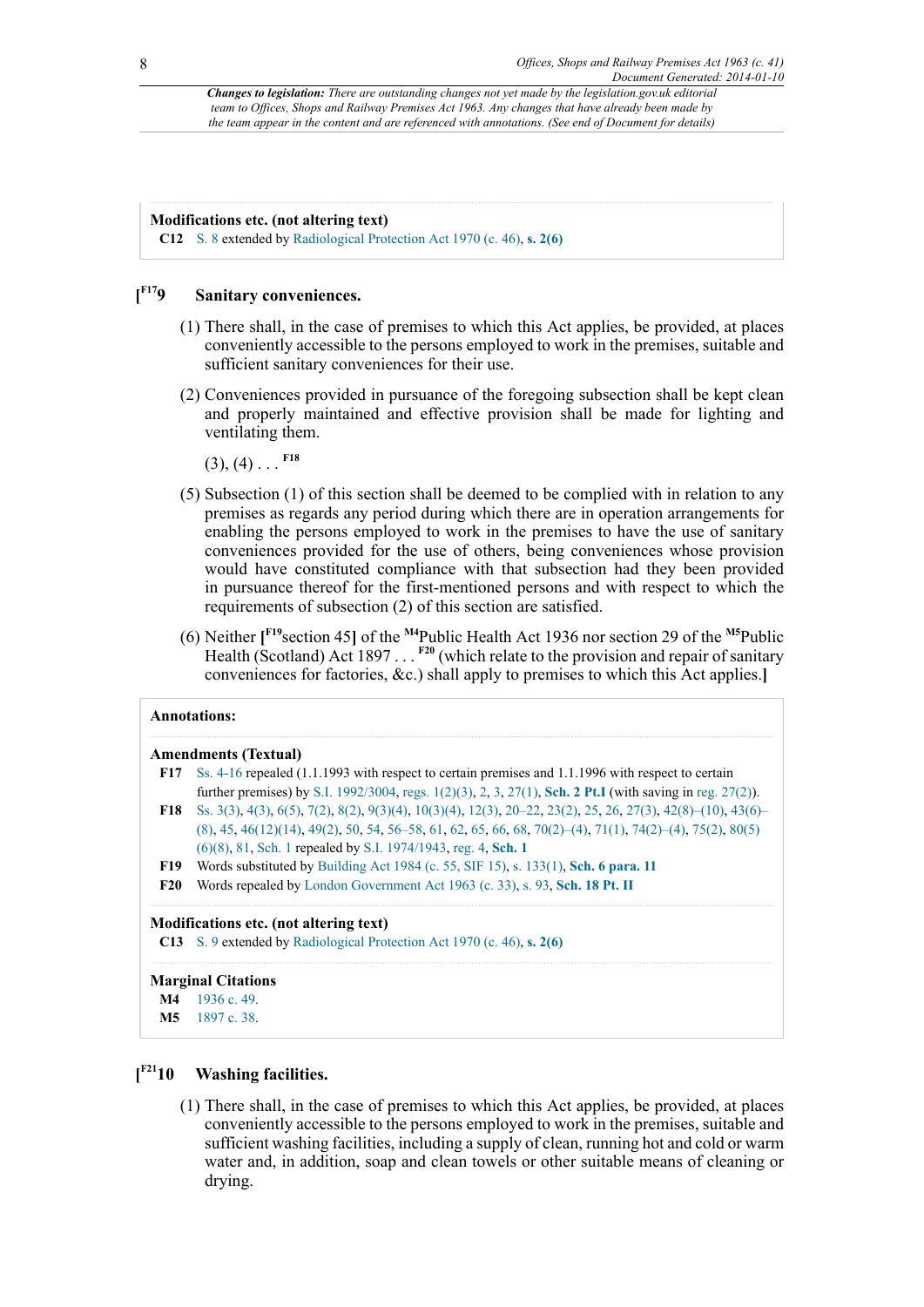#### **Modifications etc. (not altering text)**

**C12** [S. 8](http://www.legislation.gov.uk/id/ukpga/1963/41/section/8) extended by [Radiological Protection Act 1970 \(c. 46\)](http://www.legislation.gov.uk/id/ukpga/1970/46), **[s. 2\(6\)](http://www.legislation.gov.uk/id/ukpga/1970/46/section/2/6)**

#### <span id="page-7-6"></span> $[$ **F**<sup>17</sup>**9 Sanitary conveniences.**

- (1) There shall, in the case of premises to which this Act applies, be provided, at places conveniently accessible to the persons employed to work in the premises, suitable and sufficient sanitary conveniences for their use.
- (2) Conveniences provided in pursuance of the foregoing subsection shall be kept clean and properly maintained and effective provision shall be made for lighting and ventilating them.

<span id="page-7-7"></span> $(3), (4)$  . . . <sup>[F18](#page-7-1)</sup>

- (5) Subsection (1) of this section shall be deemed to be complied with in relation to any premises as regards any period during which there are in operation arrangements for enabling the persons employed to work in the premises to have the use of sanitary conveniences provided for the use of others, being conveniences whose provision would have constituted compliance with that subsection had they been provided in pursuance thereof for the first-mentioned persons and with respect to which the requirements of subsection (2) of this section are satisfied.
- <span id="page-7-11"></span><span id="page-7-10"></span><span id="page-7-9"></span><span id="page-7-8"></span>(6) Neither **[ [F19](#page-7-2)**section 45**]** of the **[M4](#page-7-3)**Public Health Act 1936 nor section 29 of the **[M5](#page-7-4)**Public Health (Scotland) Act 1897 . . . <sup>[F20](#page-7-5)</sup> (which relate to the provision and repair of sanitary conveniences for factories, &c.) shall apply to premises to which this Act applies.**]**

<span id="page-7-1"></span><span id="page-7-0"></span>

|            | <b>Annotations:</b>                                                                                         |
|------------|-------------------------------------------------------------------------------------------------------------|
|            | <b>Amendments (Textual)</b>                                                                                 |
| F17        | Ss. 4-16 repealed (1.1.1993 with respect to certain premises and 1.1.1996 with respect to certain           |
|            | further premises) by S.I. 1992/3004, regs. 1(2)(3), 2, 3, 27(1), Sch. 2 Pt.I (with saving in reg. 27(2)).   |
| F18 –      | Ss. 3(3), 4(3), 6(5), 7(2), 8(2), 9(3)(4), 10(3)(4), 12(3), 20–22, 23(2), 25, 26, 27(3), 42(8)–(10), 43(6)– |
|            | $(8)$ , 45, 46(12)(14), 49(2), 50, 54, 56–58, 61, 62, 65, 66, 68, 70(2)–(4), 71(1), 74(2)–(4), 75(2), 80(5) |
|            | $(6)(8)$ , 81, Sch. 1 repealed by S.I. 1974/1943, reg. 4, Sch. 1                                            |
| <b>F19</b> | Words substituted by Building Act 1984 (c. 55, SIF 15), s. 133(1), Sch. 6 para. 11                          |
| <b>F20</b> | Words repealed by London Government Act 1963 (c. 33), s. 93, Sch. 18 Pt. II                                 |

<span id="page-7-5"></span><span id="page-7-2"></span>**C13** [S. 9](http://www.legislation.gov.uk/id/ukpga/1963/41/section/9) extended by [Radiological Protection Act 1970 \(c. 46\)](http://www.legislation.gov.uk/id/ukpga/1970/46), **[s. 2\(6\)](http://www.legislation.gov.uk/id/ukpga/1970/46/section/2/6)**

**Marginal Citations [M4](#page-7-10)** [1936 c. 49](http://www.legislation.gov.uk/id/ukpga/1936/49).

<span id="page-7-4"></span><span id="page-7-3"></span>**[M5](#page-7-11)** [1897 c. 38](http://www.legislation.gov.uk/id/ukpga/1897/38).

#### <span id="page-7-12"></span> $[$ <sup>F21</sup>10 **Washing facilities.**

(1) There shall, in the case of premises to which this Act applies, be provided, at places conveniently accessible to the persons employed to work in the premises, suitable and sufficient washing facilities, including a supply of clean, running hot and cold or warm water and, in addition, soap and clean towels or other suitable means of cleaning or drying.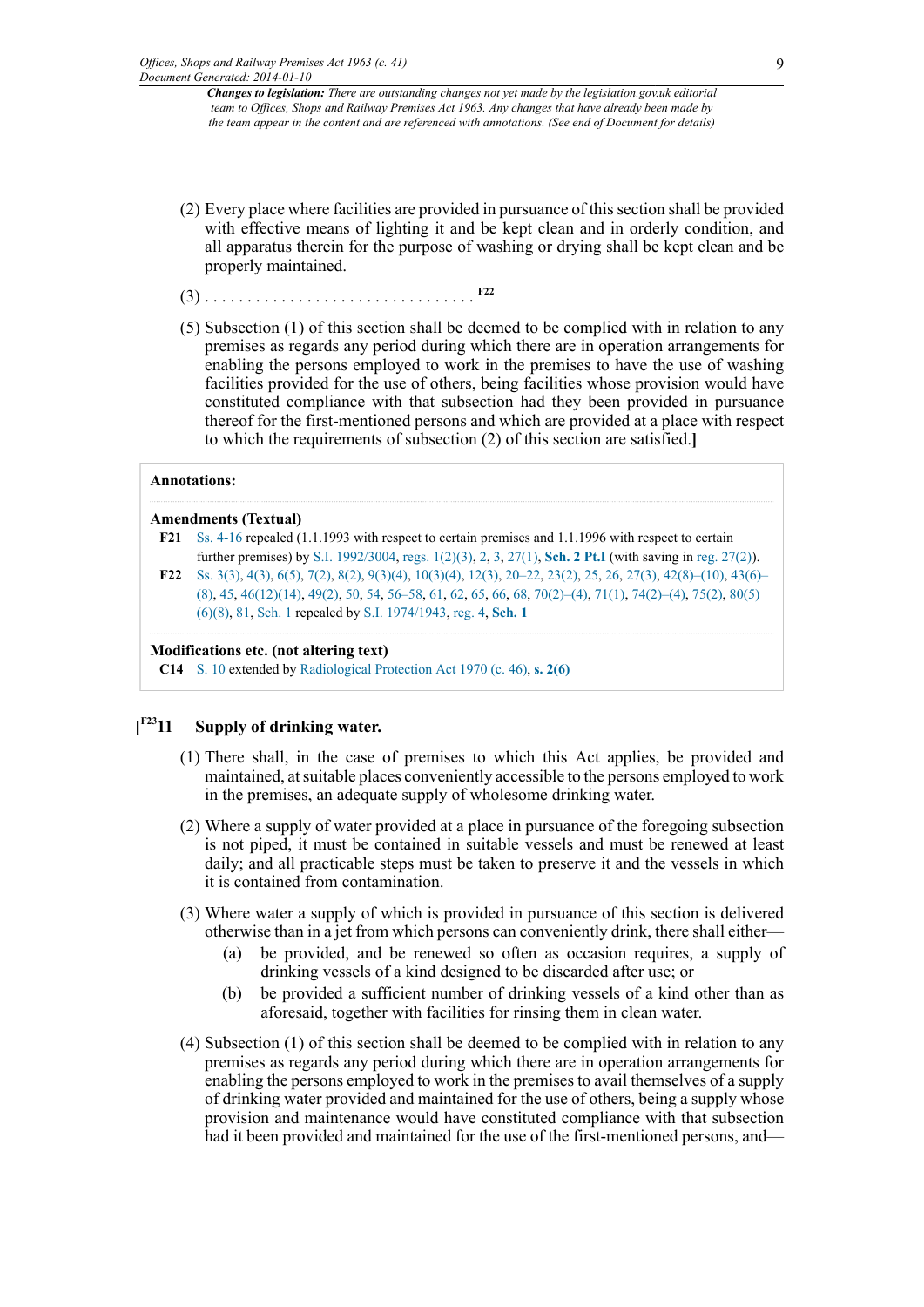- (2) Every place where facilities are provided in pursuance of this section shall be provided with effective means of lighting it and be kept clean and in orderly condition, and all apparatus therein for the purpose of washing or drying shall be kept clean and be properly maintained.
- <span id="page-8-2"></span>(3) . . . . . . . . . . . . . . . . . . . . . . . . . . . . . . . . **[F22](#page-8-1)**
- (5) Subsection (1) of this section shall be deemed to be complied with in relation to any premises as regards any period during which there are in operation arrangements for enabling the persons employed to work in the premises to have the use of washing facilities provided for the use of others, being facilities whose provision would have constituted compliance with that subsection had they been provided in pursuance thereof for the first-mentioned persons and which are provided at a place with respect to which the requirements of subsection (2) of this section are satisfied.**]**

#### **Annotations:**

#### **Amendments (Textual)**

- <span id="page-8-0"></span>**[F21](#page-7-12)** [Ss. 4-16](http://www.legislation.gov.uk/id/ukpga/1963/41/section/4) repealed (1.1.1993 with respect to certain premises and 1.1.1996 with respect to certain further premises) by [S.I. 1992/3004](http://www.legislation.gov.uk/id/uksi/1992/3004), [regs. 1\(2\)\(3\),](http://www.legislation.gov.uk/id/uksi/1992/3004/regulation/1/2/3) [2,](http://www.legislation.gov.uk/id/uksi/1992/3004/regulation/2) [3,](http://www.legislation.gov.uk/id/uksi/1992/3004/regulation/3) [27\(1\),](http://www.legislation.gov.uk/id/uksi/1992/3004/regulation/27/1) **[Sch. 2 Pt.I](http://www.legislation.gov.uk/id/uksi/1992/3004/schedule/2/part/I)** (with saving in [reg. 27\(2\)\)](http://www.legislation.gov.uk/id/uksi/1992/3004/regulation/27/2).
- <span id="page-8-1"></span>**[F22](#page-8-2)** [Ss. 3\(3\),](http://www.legislation.gov.uk/id/ukpga/1963/41/section/3/3) [4\(3\)](http://www.legislation.gov.uk/id/ukpga/1963/41/section/4/3), [6\(5\),](http://www.legislation.gov.uk/id/ukpga/1963/41/section/6/5) [7\(2\)](http://www.legislation.gov.uk/id/ukpga/1963/41/section/7/2), [8\(2\),](http://www.legislation.gov.uk/id/ukpga/1963/41/section/8/2) [9\(3\)\(4\),](http://www.legislation.gov.uk/id/ukpga/1963/41/section/9/3/4) [10\(3\)\(4\)](http://www.legislation.gov.uk/id/ukpga/1963/41/section/10/3/4), [12\(3\)](http://www.legislation.gov.uk/id/ukpga/1963/41/section/12/3), [20–22](http://www.legislation.gov.uk/id/ukpga/1963/41/section/20), [23\(2\)](http://www.legislation.gov.uk/id/ukpga/1963/41/section/23/2), [25,](http://www.legislation.gov.uk/id/ukpga/1963/41/section/25) [26](http://www.legislation.gov.uk/id/ukpga/1963/41/section/26), [27\(3\)](http://www.legislation.gov.uk/id/ukpga/1963/41/section/27/3), [42\(8\)–\(10\),](http://www.legislation.gov.uk/id/ukpga/1963/41/section/42/8) [43\(6\)–](http://www.legislation.gov.uk/id/ukpga/1963/41/section/43/6) [\(8\)](http://www.legislation.gov.uk/id/ukpga/1963/41/section/43/6), [45,](http://www.legislation.gov.uk/id/ukpga/1963/41/section/45) [46\(12\)\(14\)](http://www.legislation.gov.uk/id/ukpga/1963/41/section/46/12/14), [49\(2\)](http://www.legislation.gov.uk/id/ukpga/1963/41/section/49/2), [50,](http://www.legislation.gov.uk/id/ukpga/1963/41/section/50) [54](http://www.legislation.gov.uk/id/ukpga/1963/41/section/54), [56–58](http://www.legislation.gov.uk/id/ukpga/1963/41/section/56), [61,](http://www.legislation.gov.uk/id/ukpga/1963/41/section/61) [62](http://www.legislation.gov.uk/id/ukpga/1963/41/section/62), [65,](http://www.legislation.gov.uk/id/ukpga/1963/41/section/65) [66](http://www.legislation.gov.uk/id/ukpga/1963/41/section/66), [68,](http://www.legislation.gov.uk/id/ukpga/1963/41/section/68) [70\(2\)–\(4\),](http://www.legislation.gov.uk/id/ukpga/1963/41/section/70/2) [71\(1\),](http://www.legislation.gov.uk/id/ukpga/1963/41/section/71/1) [74\(2\)–\(4\),](http://www.legislation.gov.uk/id/ukpga/1963/41/section/74/2) [75\(2\),](http://www.legislation.gov.uk/id/ukpga/1963/41/section/75/2) [80\(5\)](http://www.legislation.gov.uk/id/ukpga/1963/41/section/80/5/6/8) [\(6\)\(8\),](http://www.legislation.gov.uk/id/ukpga/1963/41/section/80/5/6/8) [81](http://www.legislation.gov.uk/id/ukpga/1963/41/section/81), [Sch. 1](http://www.legislation.gov.uk/id/ukpga/1963/41/schedule/1) repealed by [S.I. 1974/1943,](http://www.legislation.gov.uk/id/uksi/1974/1943) [reg. 4,](http://www.legislation.gov.uk/id/uksi/1974/1943/regulation/4) **[Sch. 1](http://www.legislation.gov.uk/id/uksi/1974/1943/schedule/1)**

#### **Modifications etc. (not altering text)**

**C14** [S. 10](http://www.legislation.gov.uk/id/ukpga/1963/41/section/10) extended by [Radiological Protection Act 1970 \(c. 46\),](http://www.legislation.gov.uk/id/ukpga/1970/46) **[s. 2\(6\)](http://www.legislation.gov.uk/id/ukpga/1970/46/section/2/6)**

#### <span id="page-8-3"></span> $[$ <sup>F23</sup>11 **Supply of drinking water.**

- (1) There shall, in the case of premises to which this Act applies, be provided and maintained, at suitable places conveniently accessible to the persons employed to work in the premises, an adequate supply of wholesome drinking water.
- (2) Where a supply of water provided at a place in pursuance of the foregoing subsection is not piped, it must be contained in suitable vessels and must be renewed at least daily; and all practicable steps must be taken to preserve it and the vessels in which it is contained from contamination.
- (3) Where water a supply of which is provided in pursuance of this section is delivered otherwise than in a jet from which persons can conveniently drink, there shall either—
	- (a) be provided, and be renewed so often as occasion requires, a supply of drinking vessels of a kind designed to be discarded after use; or
	- (b) be provided a sufficient number of drinking vessels of a kind other than as aforesaid, together with facilities for rinsing them in clean water.
- (4) Subsection (1) of this section shall be deemed to be complied with in relation to any premises as regards any period during which there are in operation arrangements for enabling the persons employed to work in the premises to avail themselves of a supply of drinking water provided and maintained for the use of others, being a supply whose provision and maintenance would have constituted compliance with that subsection had it been provided and maintained for the use of the first-mentioned persons, and—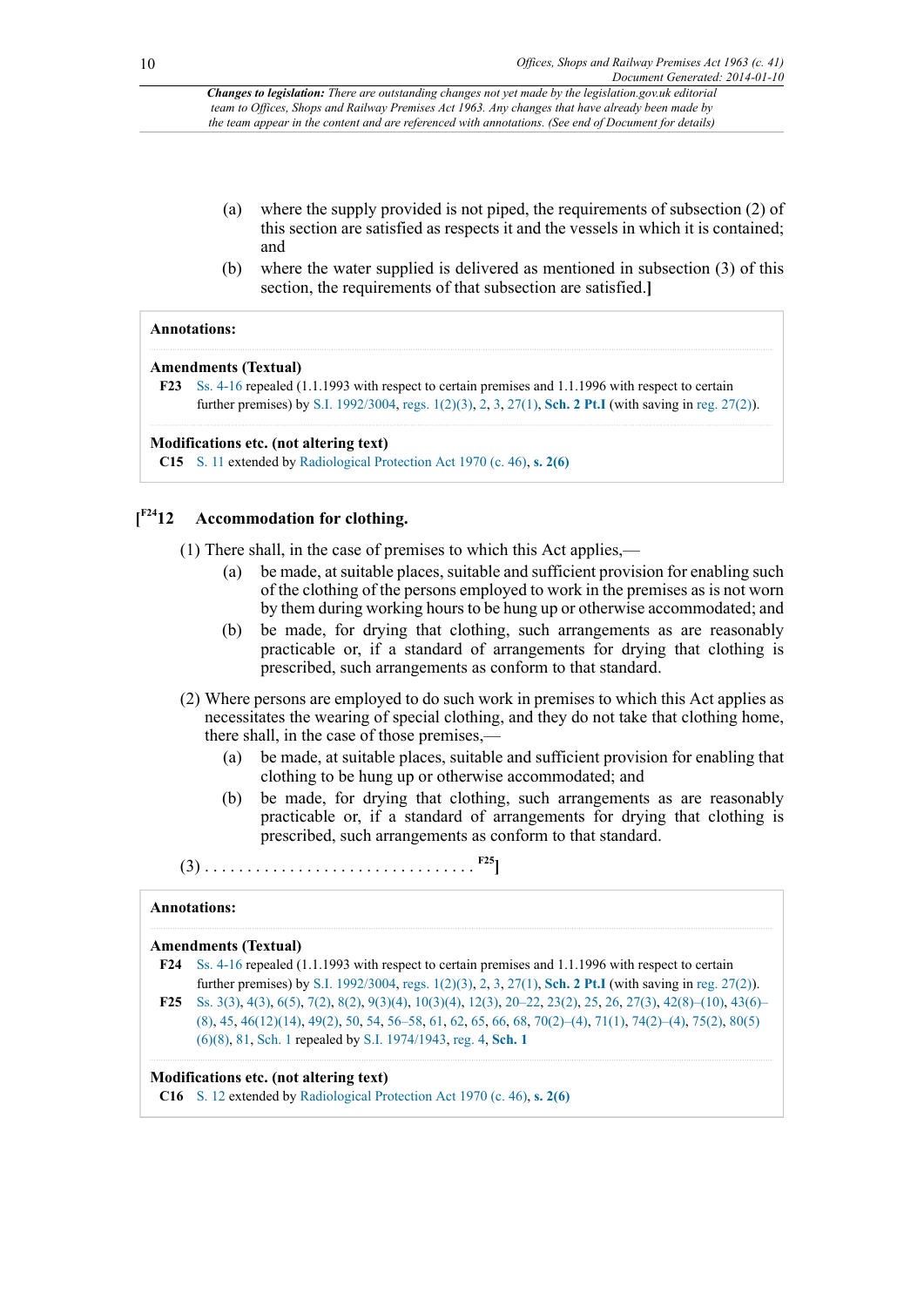- (a) where the supply provided is not piped, the requirements of subsection (2) of this section are satisfied as respects it and the vessels in which it is contained; and
- (b) where the water supplied is delivered as mentioned in subsection (3) of this section, the requirements of that subsection are satisfied.**]**

#### **Annotations:**

#### **Amendments (Textual)**

<span id="page-9-0"></span>**[F23](#page-8-3)** [Ss. 4-16](http://www.legislation.gov.uk/id/ukpga/1963/41/section/4) repealed (1.1.1993 with respect to certain premises and 1.1.1996 with respect to certain further premises) by [S.I. 1992/3004](http://www.legislation.gov.uk/id/uksi/1992/3004), [regs. 1\(2\)\(3\),](http://www.legislation.gov.uk/id/uksi/1992/3004/regulation/1/2/3) [2,](http://www.legislation.gov.uk/id/uksi/1992/3004/regulation/2) [3,](http://www.legislation.gov.uk/id/uksi/1992/3004/regulation/3) [27\(1\),](http://www.legislation.gov.uk/id/uksi/1992/3004/regulation/27/1) **[Sch. 2 Pt.I](http://www.legislation.gov.uk/id/uksi/1992/3004/schedule/2/part/I)** (with saving in [reg. 27\(2\)\)](http://www.legislation.gov.uk/id/uksi/1992/3004/regulation/27/2).

#### **Modifications etc. (not altering text)**

**C15** [S. 11](http://www.legislation.gov.uk/id/ukpga/1963/41/section/11) extended by [Radiological Protection Act 1970 \(c. 46\)](http://www.legislation.gov.uk/id/ukpga/1970/46), **[s. 2\(6\)](http://www.legislation.gov.uk/id/ukpga/1970/46/section/2/6)**

#### <span id="page-9-3"></span> $[$ <sup>F24</sup>12 **[F24](#page-9-1)12 Accommodation for clothing.**

(1) There shall, in the case of premises to which this Act applies,—

- (a) be made, at suitable places, suitable and sufficient provision for enabling such of the clothing of the persons employed to work in the premises as is not worn by them during working hours to be hung up or otherwise accommodated; and
- (b) be made, for drying that clothing, such arrangements as are reasonably practicable or, if a standard of arrangements for drying that clothing is prescribed, such arrangements as conform to that standard.
- (2) Where persons are employed to do such work in premises to which this Act applies as necessitates the wearing of special clothing, and they do not take that clothing home, there shall, in the case of those premises,—
	- (a) be made, at suitable places, suitable and sufficient provision for enabling that clothing to be hung up or otherwise accommodated; and
	- (b) be made, for drying that clothing, such arrangements as are reasonably practicable or, if a standard of arrangements for drying that clothing is prescribed, such arrangements as conform to that standard.

<span id="page-9-4"></span>(3) . . . . . . . . . . . . . . . . . . . . . . . . . . . . . . . . **[F25](#page-9-2)]**

#### **Annotations:**

#### **Amendments (Textual)**

- <span id="page-9-1"></span>**[F24](#page-9-3)** [Ss. 4-16](http://www.legislation.gov.uk/id/ukpga/1963/41/section/4) repealed (1.1.1993 with respect to certain premises and 1.1.1996 with respect to certain further premises) by [S.I. 1992/3004](http://www.legislation.gov.uk/id/uksi/1992/3004), [regs. 1\(2\)\(3\),](http://www.legislation.gov.uk/id/uksi/1992/3004/regulation/1/2/3) [2,](http://www.legislation.gov.uk/id/uksi/1992/3004/regulation/2) [3,](http://www.legislation.gov.uk/id/uksi/1992/3004/regulation/3) [27\(1\),](http://www.legislation.gov.uk/id/uksi/1992/3004/regulation/27/1) **[Sch. 2 Pt.I](http://www.legislation.gov.uk/id/uksi/1992/3004/schedule/2/part/I)** (with saving in [reg. 27\(2\)\)](http://www.legislation.gov.uk/id/uksi/1992/3004/regulation/27/2).
- <span id="page-9-2"></span>**[F25](#page-9-4)** [Ss. 3\(3\),](http://www.legislation.gov.uk/id/ukpga/1963/41/section/3/3) [4\(3\)](http://www.legislation.gov.uk/id/ukpga/1963/41/section/4/3), [6\(5\),](http://www.legislation.gov.uk/id/ukpga/1963/41/section/6/5) [7\(2\)](http://www.legislation.gov.uk/id/ukpga/1963/41/section/7/2), [8\(2\),](http://www.legislation.gov.uk/id/ukpga/1963/41/section/8/2) [9\(3\)\(4\),](http://www.legislation.gov.uk/id/ukpga/1963/41/section/9/3/4) [10\(3\)\(4\)](http://www.legislation.gov.uk/id/ukpga/1963/41/section/10/3/4), [12\(3\)](http://www.legislation.gov.uk/id/ukpga/1963/41/section/12/3), [20–22](http://www.legislation.gov.uk/id/ukpga/1963/41/section/20), [23\(2\)](http://www.legislation.gov.uk/id/ukpga/1963/41/section/23/2), [25,](http://www.legislation.gov.uk/id/ukpga/1963/41/section/25) [26](http://www.legislation.gov.uk/id/ukpga/1963/41/section/26), [27\(3\)](http://www.legislation.gov.uk/id/ukpga/1963/41/section/27/3), [42\(8\)–\(10\),](http://www.legislation.gov.uk/id/ukpga/1963/41/section/42/8) [43\(6\)–](http://www.legislation.gov.uk/id/ukpga/1963/41/section/43/6) [\(8\)](http://www.legislation.gov.uk/id/ukpga/1963/41/section/43/6), [45,](http://www.legislation.gov.uk/id/ukpga/1963/41/section/45) [46\(12\)\(14\)](http://www.legislation.gov.uk/id/ukpga/1963/41/section/46/12/14), [49\(2\)](http://www.legislation.gov.uk/id/ukpga/1963/41/section/49/2), [50,](http://www.legislation.gov.uk/id/ukpga/1963/41/section/50) [54](http://www.legislation.gov.uk/id/ukpga/1963/41/section/54), [56–58](http://www.legislation.gov.uk/id/ukpga/1963/41/section/56), [61,](http://www.legislation.gov.uk/id/ukpga/1963/41/section/61) [62](http://www.legislation.gov.uk/id/ukpga/1963/41/section/62), [65,](http://www.legislation.gov.uk/id/ukpga/1963/41/section/65) [66](http://www.legislation.gov.uk/id/ukpga/1963/41/section/66), [68,](http://www.legislation.gov.uk/id/ukpga/1963/41/section/68) [70\(2\)–\(4\),](http://www.legislation.gov.uk/id/ukpga/1963/41/section/70/2) [71\(1\),](http://www.legislation.gov.uk/id/ukpga/1963/41/section/71/1) [74\(2\)–\(4\),](http://www.legislation.gov.uk/id/ukpga/1963/41/section/74/2) [75\(2\),](http://www.legislation.gov.uk/id/ukpga/1963/41/section/75/2) [80\(5\)](http://www.legislation.gov.uk/id/ukpga/1963/41/section/80/5/6/8) [\(6\)\(8\),](http://www.legislation.gov.uk/id/ukpga/1963/41/section/80/5/6/8) [81](http://www.legislation.gov.uk/id/ukpga/1963/41/section/81), [Sch. 1](http://www.legislation.gov.uk/id/ukpga/1963/41/schedule/1) repealed by [S.I. 1974/1943,](http://www.legislation.gov.uk/id/uksi/1974/1943) [reg. 4,](http://www.legislation.gov.uk/id/uksi/1974/1943/regulation/4) **[Sch. 1](http://www.legislation.gov.uk/id/uksi/1974/1943/schedule/1)**

#### **Modifications etc. (not altering text)**

**C16** [S. 12](http://www.legislation.gov.uk/id/ukpga/1963/41/section/12) extended by [Radiological Protection Act 1970 \(c. 46\),](http://www.legislation.gov.uk/id/ukpga/1970/46) **[s. 2\(6\)](http://www.legislation.gov.uk/id/ukpga/1970/46/section/2/6)**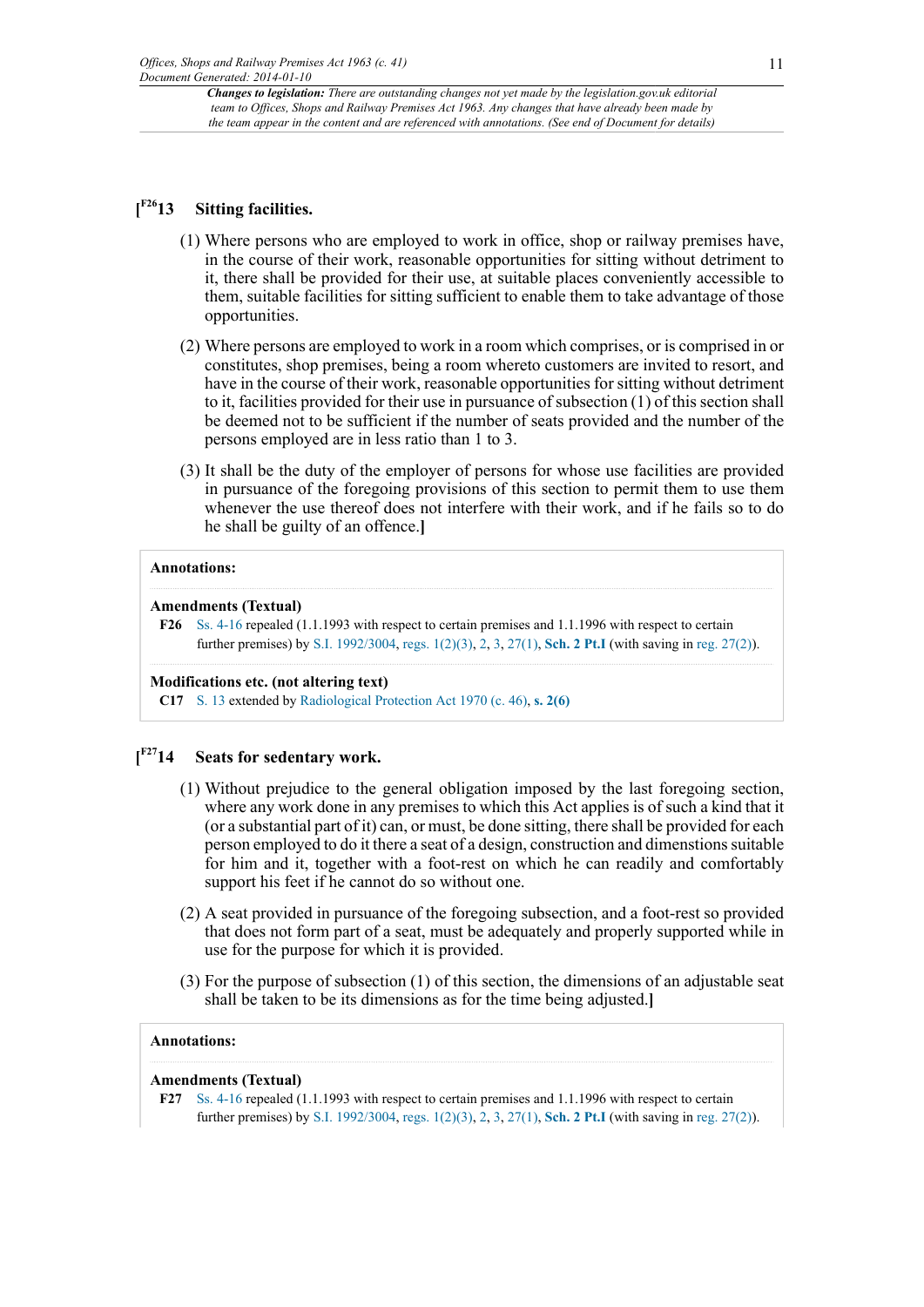#### <span id="page-10-1"></span> $[$ <sup>F26</sup>13 **Sitting facilities.**

- (1) Where persons who are employed to work in office, shop or railway premises have, in the course of their work, reasonable opportunities for sitting without detriment to it, there shall be provided for their use, at suitable places conveniently accessible to them, suitable facilities for sitting sufficient to enable them to take advantage of those opportunities.
- (2) Where persons are employed to work in a room which comprises, or is comprised in or constitutes, shop premises, being a room whereto customers are invited to resort, and have in the course of their work, reasonable opportunities for sitting without detriment to it, facilities provided for their use in pursuance of subsection (1) of this section shall be deemed not to be sufficient if the number of seats provided and the number of the persons employed are in less ratio than 1 to 3.
- (3) It shall be the duty of the employer of persons for whose use facilities are provided in pursuance of the foregoing provisions of this section to permit them to use them whenever the use thereof does not interfere with their work, and if he fails so to do he shall be guilty of an offence.**]**

## **Annotations:**

### **Amendments (Textual)**

### **Modifications etc. (not altering text)**

**C17** [S. 13](http://www.legislation.gov.uk/id/ukpga/1963/41/section/13) extended by [Radiological Protection Act 1970 \(c. 46\),](http://www.legislation.gov.uk/id/ukpga/1970/46) **[s. 2\(6\)](http://www.legislation.gov.uk/id/ukpga/1970/46/section/2/6)**

#### <span id="page-10-3"></span> $[$ <sup>F27</sup>14 **[F27](#page-10-2)14 Seats for sedentary work.**

- (1) Without prejudice to the general obligation imposed by the last foregoing section, where any work done in any premises to which this Act applies is of such a kind that it (or a substantial part of it) can, or must, be done sitting, there shall be provided for each person employed to do it there a seat of a design, construction and dimenstions suitable for him and it, together with a foot-rest on which he can readily and comfortably support his feet if he cannot do so without one.
- (2) A seat provided in pursuance of the foregoing subsection, and a foot-rest so provided that does not form part of a seat, must be adequately and properly supported while in use for the purpose for which it is provided.
- (3) For the purpose of subsection (1) of this section, the dimensions of an adjustable seat shall be taken to be its dimensions as for the time being adjusted.**]**

## **Annotations:**

### **Amendments (Textual)**

<span id="page-10-2"></span>**[F27](#page-10-3)** [Ss. 4-16](http://www.legislation.gov.uk/id/ukpga/1963/41/section/4) repealed (1.1.1993 with respect to certain premises and 1.1.1996 with respect to certain further premises) by [S.I. 1992/3004](http://www.legislation.gov.uk/id/uksi/1992/3004), [regs. 1\(2\)\(3\),](http://www.legislation.gov.uk/id/uksi/1992/3004/regulation/1/2/3) [2,](http://www.legislation.gov.uk/id/uksi/1992/3004/regulation/2) [3,](http://www.legislation.gov.uk/id/uksi/1992/3004/regulation/3) [27\(1\),](http://www.legislation.gov.uk/id/uksi/1992/3004/regulation/27/1) **[Sch. 2 Pt.I](http://www.legislation.gov.uk/id/uksi/1992/3004/schedule/2/part/I)** (with saving in [reg. 27\(2\)\)](http://www.legislation.gov.uk/id/uksi/1992/3004/regulation/27/2).

<span id="page-10-0"></span>**[F26](#page-10-1)** [Ss. 4-16](http://www.legislation.gov.uk/id/ukpga/1963/41/section/4) repealed (1.1.1993 with respect to certain premises and 1.1.1996 with respect to certain further premises) by [S.I. 1992/3004](http://www.legislation.gov.uk/id/uksi/1992/3004), [regs. 1\(2\)\(3\),](http://www.legislation.gov.uk/id/uksi/1992/3004/regulation/1/2/3) [2,](http://www.legislation.gov.uk/id/uksi/1992/3004/regulation/2) [3,](http://www.legislation.gov.uk/id/uksi/1992/3004/regulation/3) [27\(1\),](http://www.legislation.gov.uk/id/uksi/1992/3004/regulation/27/1) **[Sch. 2 Pt.I](http://www.legislation.gov.uk/id/uksi/1992/3004/schedule/2/part/I)** (with saving in [reg. 27\(2\)\)](http://www.legislation.gov.uk/id/uksi/1992/3004/regulation/27/2).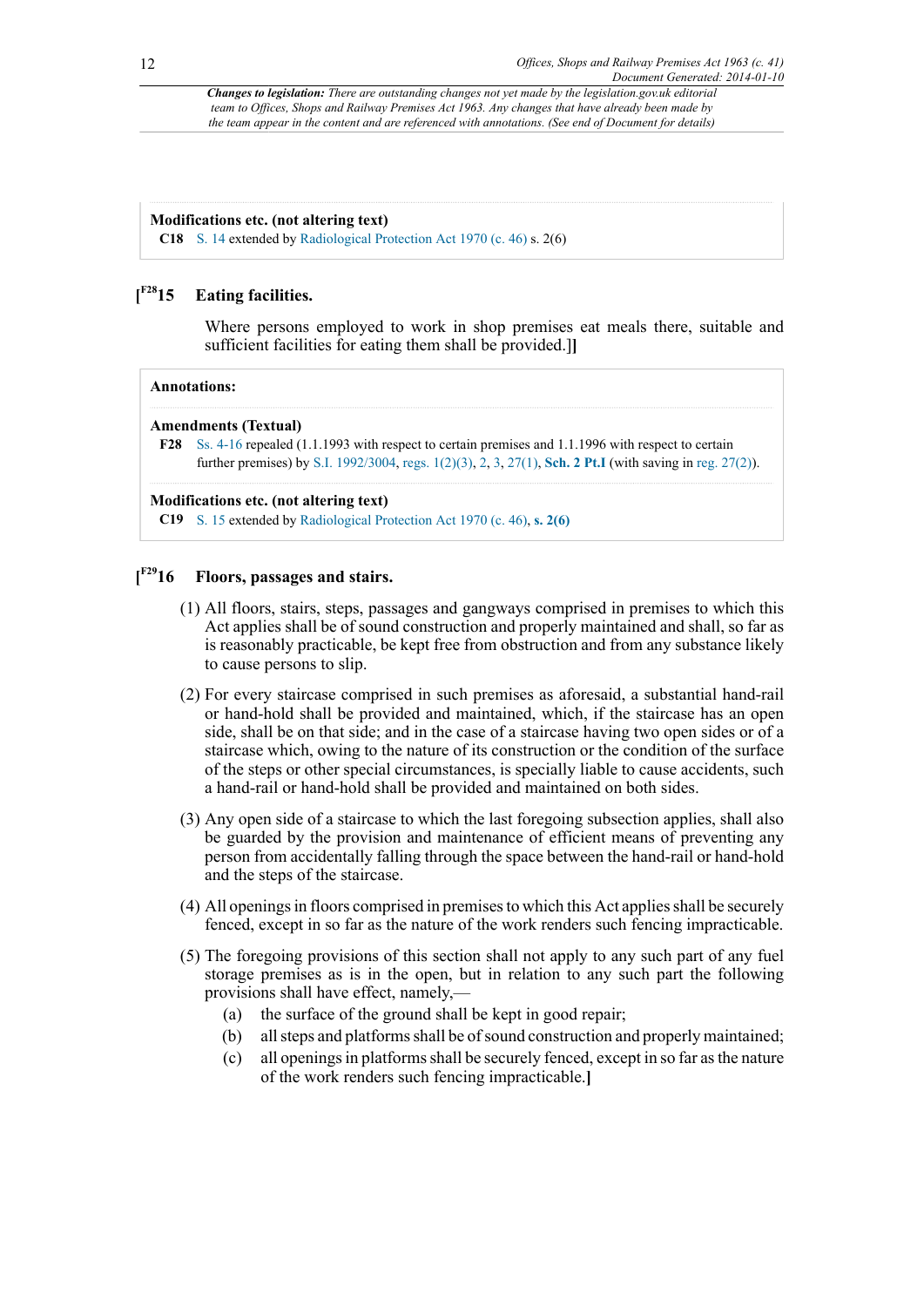#### **Modifications etc. (not altering text)**

**C18** [S. 14](http://www.legislation.gov.uk/id/ukpga/1963/41/section/14) extended by [Radiological Protection Act 1970 \(c. 46\)](http://www.legislation.gov.uk/id/ukpga/1970/46) s. 2(6)

#### <span id="page-11-1"></span> $[$ <sup>F28</sup>15 **Eating facilities.**

Where persons employed to work in shop premises eat meals there, suitable and sufficient facilities for eating them shall be provided.]**]**

#### **Annotations:**

#### **Amendments (Textual)**

<span id="page-11-0"></span>**[F28](#page-11-1)** [Ss. 4-16](http://www.legislation.gov.uk/id/ukpga/1963/41/section/4) repealed (1.1.1993 with respect to certain premises and 1.1.1996 with respect to certain further premises) by [S.I. 1992/3004](http://www.legislation.gov.uk/id/uksi/1992/3004), [regs. 1\(2\)\(3\),](http://www.legislation.gov.uk/id/uksi/1992/3004/regulation/1/2/3) [2,](http://www.legislation.gov.uk/id/uksi/1992/3004/regulation/2) [3,](http://www.legislation.gov.uk/id/uksi/1992/3004/regulation/3) [27\(1\),](http://www.legislation.gov.uk/id/uksi/1992/3004/regulation/27/1) **[Sch. 2 Pt.I](http://www.legislation.gov.uk/id/uksi/1992/3004/schedule/2/part/I)** (with saving in [reg. 27\(2\)\)](http://www.legislation.gov.uk/id/uksi/1992/3004/regulation/27/2).

#### **Modifications etc. (not altering text)**

**C19** [S. 15](http://www.legislation.gov.uk/id/ukpga/1963/41/section/15) extended by [Radiological Protection Act 1970 \(c. 46\),](http://www.legislation.gov.uk/id/ukpga/1970/46) **[s. 2\(6\)](http://www.legislation.gov.uk/id/ukpga/1970/46/section/2/6)**

#### <span id="page-11-2"></span> $I^{F29}16$ **[F29](#page-12-0)16 Floors, passages and stairs.**

- (1) All floors, stairs, steps, passages and gangways comprised in premises to which this Act applies shall be of sound construction and properly maintained and shall, so far as is reasonably practicable, be kept free from obstruction and from any substance likely to cause persons to slip.
- (2) For every staircase comprised in such premises as aforesaid, a substantial hand-rail or hand-hold shall be provided and maintained, which, if the staircase has an open side, shall be on that side; and in the case of a staircase having two open sides or of a staircase which, owing to the nature of its construction or the condition of the surface of the steps or other special circumstances, is specially liable to cause accidents, such a hand-rail or hand-hold shall be provided and maintained on both sides.
- (3) Any open side of a staircase to which the last foregoing subsection applies, shall also be guarded by the provision and maintenance of efficient means of preventing any person from accidentally falling through the space between the hand-rail or hand-hold and the steps of the staircase.
- (4) All openings in floors comprised in premises to which this Act applies shall be securely fenced, except in so far as the nature of the work renders such fencing impracticable.
- (5) The foregoing provisions of this section shall not apply to any such part of any fuel storage premises as is in the open, but in relation to any such part the following provisions shall have effect, namely,—
	- (a) the surface of the ground shall be kept in good repair;
	- (b) all steps and platforms shall be of sound construction and properly maintained;
	- (c) all openings in platforms shall be securely fenced, except in so far as the nature of the work renders such fencing impracticable.**]**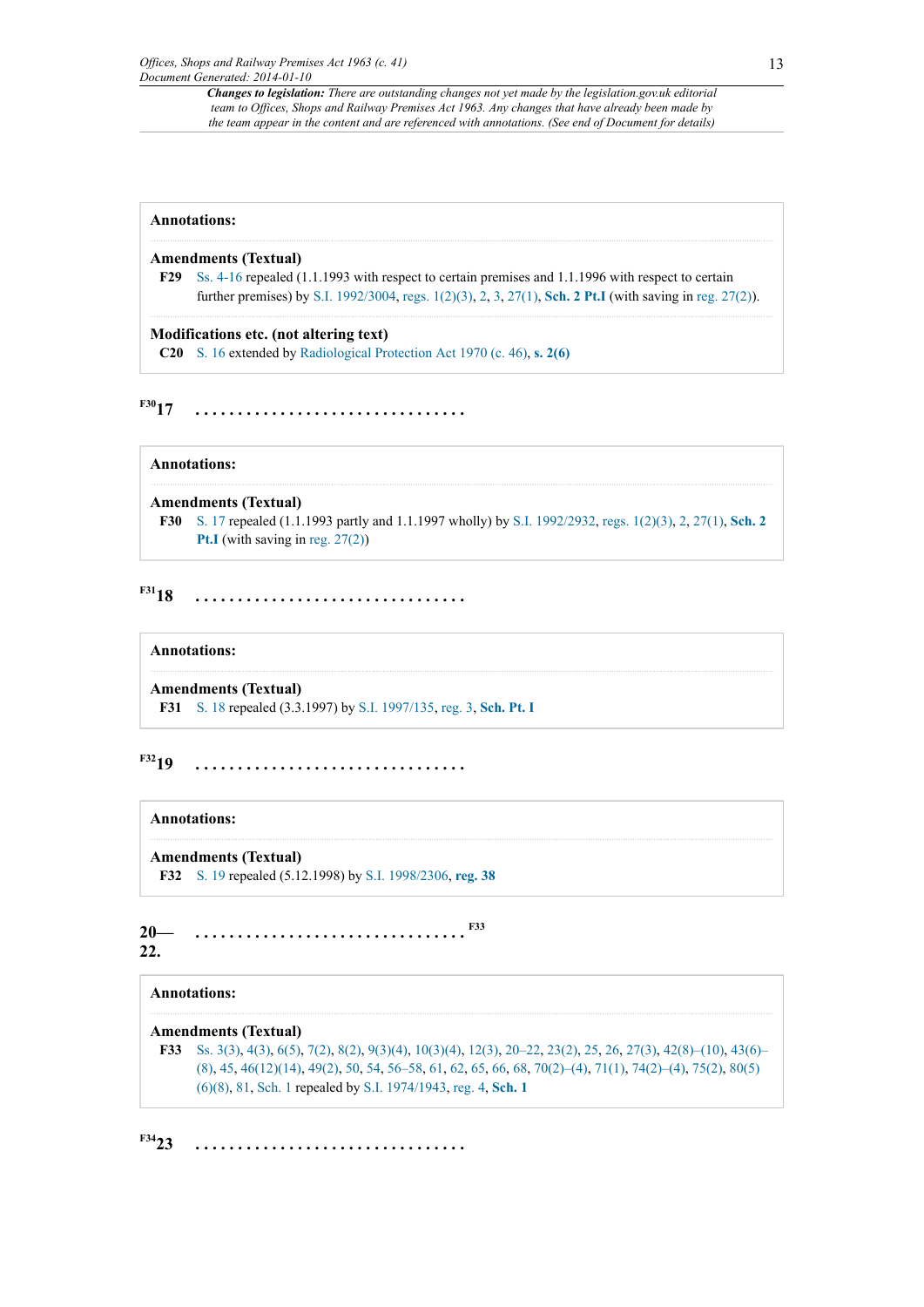#### **Annotations:**

#### **Amendments (Textual)**

<span id="page-12-0"></span>**[F29](#page-11-2)** [Ss. 4-16](http://www.legislation.gov.uk/id/ukpga/1963/41/section/4) repealed (1.1.1993 with respect to certain premises and 1.1.1996 with respect to certain further premises) by [S.I. 1992/3004](http://www.legislation.gov.uk/id/uksi/1992/3004), [regs. 1\(2\)\(3\),](http://www.legislation.gov.uk/id/uksi/1992/3004/regulation/1/2/3) [2,](http://www.legislation.gov.uk/id/uksi/1992/3004/regulation/2) [3,](http://www.legislation.gov.uk/id/uksi/1992/3004/regulation/3) [27\(1\),](http://www.legislation.gov.uk/id/uksi/1992/3004/regulation/27/1) **[Sch. 2 Pt.I](http://www.legislation.gov.uk/id/uksi/1992/3004/schedule/2/part/I)** (with saving in [reg. 27\(2\)\)](http://www.legislation.gov.uk/id/uksi/1992/3004/regulation/27/2).

**Modifications etc. (not altering text) C20** [S. 16](http://www.legislation.gov.uk/id/ukpga/1963/41/section/16) extended by [Radiological Protection Act 1970 \(c. 46\),](http://www.legislation.gov.uk/id/ukpga/1970/46) **[s. 2\(6\)](http://www.legislation.gov.uk/id/ukpga/1970/46/section/2/6)**

<span id="page-12-2"></span>**[F30](#page-12-1)17 . . . . . . . . . . . . . . . . . . . . . . . . . . . . . . . .**

**Annotations:**

#### **Amendments (Textual)**

<span id="page-12-1"></span>**[F30](#page-12-2)** [S. 17](http://www.legislation.gov.uk/id/ukpga/1963/41/section/17) repealed (1.1.1993 partly and 1.1.1997 wholly) by [S.I. 1992/2932,](http://www.legislation.gov.uk/id/uksi/1992/2932) [regs. 1\(2\)\(3\)](http://www.legislation.gov.uk/id/uksi/1992/2932/regulation/1/2/3), [2](http://www.legislation.gov.uk/id/uksi/1992/2932/regulation/2), [27\(1\)](http://www.legislation.gov.uk/id/uksi/1992/2932/regulation/27/1), **[Sch. 2](http://www.legislation.gov.uk/id/uksi/1992/2932/schedule/2/part/I) [Pt.I](http://www.legislation.gov.uk/id/uksi/1992/2932/schedule/2/part/I)** (with saving in [reg. 27\(2\)\)](http://www.legislation.gov.uk/id/uksi/1992/2932/regulation/27/2)

## <span id="page-12-4"></span>**[F31](#page-12-3)18 . . . . . . . . . . . . . . . . . . . . . . . . . . . . . . . .**

#### **Annotations:**

#### **Amendments (Textual)**

<span id="page-12-3"></span>**[F31](#page-12-4)** [S. 18](http://www.legislation.gov.uk/id/ukpga/1963/41/section/18) repealed (3.3.1997) by [S.I. 1997/135,](http://www.legislation.gov.uk/id/uksi/1997/135) [reg. 3,](http://www.legislation.gov.uk/id/uksi/1997/135/regulation/3) **[Sch. Pt. I](http://www.legislation.gov.uk/id/uksi/1997/135/schedule/part/I)**

<span id="page-12-6"></span>**[F32](#page-12-5)19 . . . . . . . . . . . . . . . . . . . . . . . . . . . . . . . .**

#### **Annotations:**

## **Amendments (Textual)**

<span id="page-12-8"></span><span id="page-12-5"></span>**[F32](#page-12-6)** [S. 19](http://www.legislation.gov.uk/id/ukpga/1963/41/section/19) repealed (5.12.1998) by [S.I. 1998/2306,](http://www.legislation.gov.uk/id/uksi/1998/2306) **[reg. 38](http://www.legislation.gov.uk/id/uksi/1998/2306/regulation/38)**

| 20  |  |  |  |  |  |  |  |  |  |  |  |  |  |  |  |  |  |
|-----|--|--|--|--|--|--|--|--|--|--|--|--|--|--|--|--|--|
| 22. |  |  |  |  |  |  |  |  |  |  |  |  |  |  |  |  |  |

#### **Annotations:**

#### **Amendments (Textual)**

<span id="page-12-7"></span>**[F33](#page-12-8)** [Ss. 3\(3\),](http://www.legislation.gov.uk/id/ukpga/1963/41/section/3/3) [4\(3\)](http://www.legislation.gov.uk/id/ukpga/1963/41/section/4/3), [6\(5\),](http://www.legislation.gov.uk/id/ukpga/1963/41/section/6/5) [7\(2\)](http://www.legislation.gov.uk/id/ukpga/1963/41/section/7/2), [8\(2\),](http://www.legislation.gov.uk/id/ukpga/1963/41/section/8/2) [9\(3\)\(4\),](http://www.legislation.gov.uk/id/ukpga/1963/41/section/9/3/4) [10\(3\)\(4\)](http://www.legislation.gov.uk/id/ukpga/1963/41/section/10/3/4), [12\(3\)](http://www.legislation.gov.uk/id/ukpga/1963/41/section/12/3), [20–22](http://www.legislation.gov.uk/id/ukpga/1963/41/section/20), [23\(2\)](http://www.legislation.gov.uk/id/ukpga/1963/41/section/23/2), [25,](http://www.legislation.gov.uk/id/ukpga/1963/41/section/25) [26](http://www.legislation.gov.uk/id/ukpga/1963/41/section/26), [27\(3\)](http://www.legislation.gov.uk/id/ukpga/1963/41/section/27/3), [42\(8\)–\(10\),](http://www.legislation.gov.uk/id/ukpga/1963/41/section/42/8) [43\(6\)–](http://www.legislation.gov.uk/id/ukpga/1963/41/section/43/6) [\(8\)](http://www.legislation.gov.uk/id/ukpga/1963/41/section/43/6), [45,](http://www.legislation.gov.uk/id/ukpga/1963/41/section/45) [46\(12\)\(14\)](http://www.legislation.gov.uk/id/ukpga/1963/41/section/46/12/14), [49\(2\)](http://www.legislation.gov.uk/id/ukpga/1963/41/section/49/2), [50,](http://www.legislation.gov.uk/id/ukpga/1963/41/section/50) [54](http://www.legislation.gov.uk/id/ukpga/1963/41/section/54), [56–58](http://www.legislation.gov.uk/id/ukpga/1963/41/section/56), [61,](http://www.legislation.gov.uk/id/ukpga/1963/41/section/61) [62](http://www.legislation.gov.uk/id/ukpga/1963/41/section/62), [65,](http://www.legislation.gov.uk/id/ukpga/1963/41/section/65) [66](http://www.legislation.gov.uk/id/ukpga/1963/41/section/66), [68,](http://www.legislation.gov.uk/id/ukpga/1963/41/section/68) [70\(2\)–\(4\),](http://www.legislation.gov.uk/id/ukpga/1963/41/section/70/2) [71\(1\),](http://www.legislation.gov.uk/id/ukpga/1963/41/section/71/1) [74\(2\)–\(4\),](http://www.legislation.gov.uk/id/ukpga/1963/41/section/74/2) [75\(2\),](http://www.legislation.gov.uk/id/ukpga/1963/41/section/75/2) [80\(5\)](http://www.legislation.gov.uk/id/ukpga/1963/41/section/80/5/6/8) [\(6\)\(8\),](http://www.legislation.gov.uk/id/ukpga/1963/41/section/80/5/6/8) [81](http://www.legislation.gov.uk/id/ukpga/1963/41/section/81), [Sch. 1](http://www.legislation.gov.uk/id/ukpga/1963/41/schedule/1) repealed by [S.I. 1974/1943,](http://www.legislation.gov.uk/id/uksi/1974/1943) [reg. 4,](http://www.legislation.gov.uk/id/uksi/1974/1943/regulation/4) **[Sch. 1](http://www.legislation.gov.uk/id/uksi/1974/1943/schedule/1)**

<span id="page-12-9"></span>**[F34](#page-13-0)23 . . . . . . . . . . . . . . . . . . . . . . . . . . . . . . . .**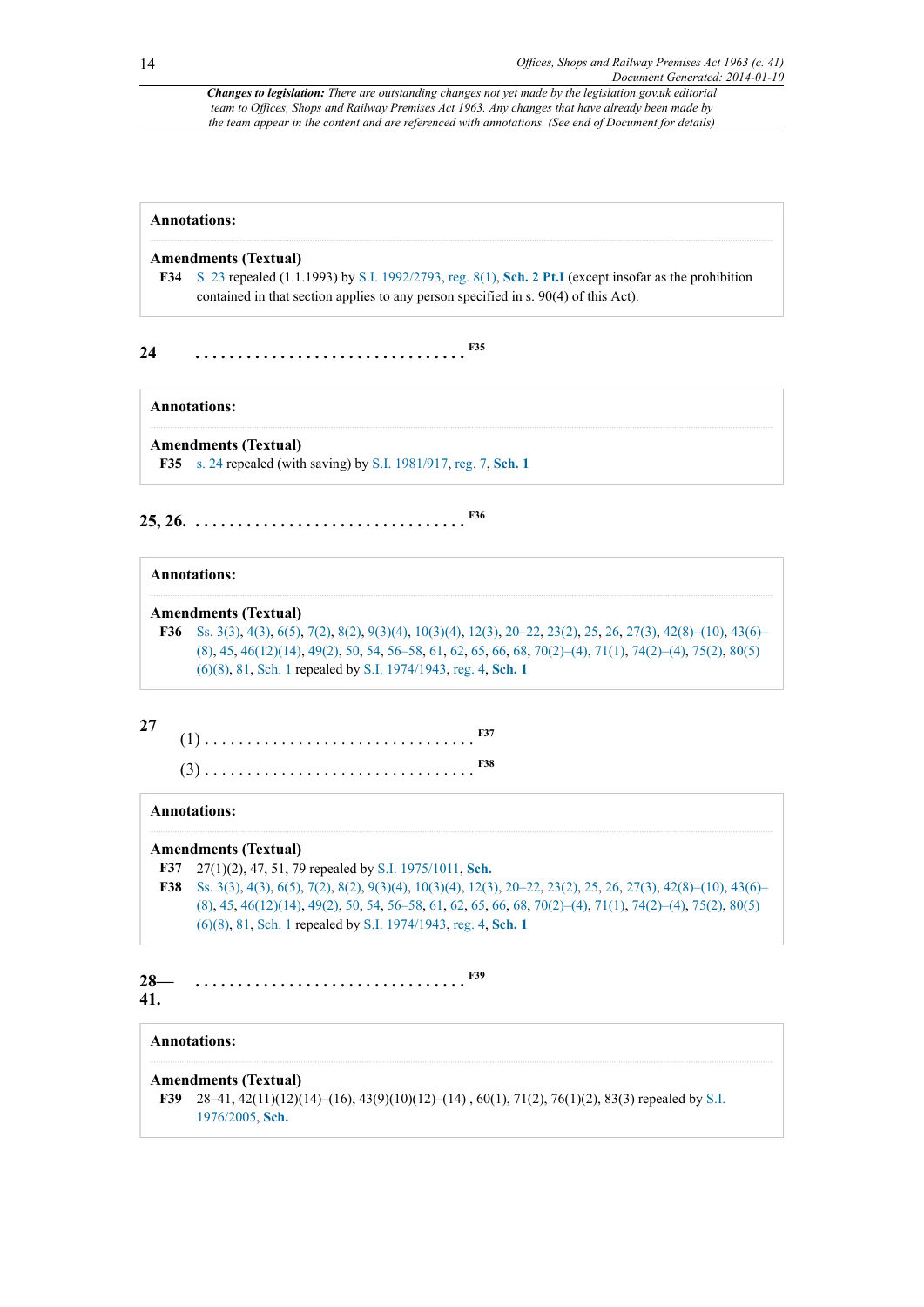#### **Annotations:**

#### **Amendments (Textual)**

<span id="page-13-2"></span><span id="page-13-0"></span>**[F34](#page-12-9)** [S. 23](http://www.legislation.gov.uk/id/ukpga/1963/41/section/23) repealed (1.1.1993) by [S.I. 1992/2793](http://www.legislation.gov.uk/id/uksi/1992/2793), [reg. 8\(1\),](http://www.legislation.gov.uk/id/uksi/1992/2793/regulation/8/1) **[Sch. 2 Pt.I](http://www.legislation.gov.uk/id/uksi/1992/2793/schedule/2/part/I)** (except insofar as the prohibition contained in that section applies to any person specified in s. 90(4) of this Act).

**24 . . . . . . . . . . . . . . . . . . . . . . . . . . . . . . . . [F35](#page-13-1)**

#### **Annotations:**

#### **Amendments (Textual)**

<span id="page-13-4"></span><span id="page-13-1"></span>**[F35](#page-13-2)** [s. 24](http://www.legislation.gov.uk/id/ukpga/1963/41/section/24) repealed (with saving) by [S.I. 1981/917,](http://www.legislation.gov.uk/id/uksi/1981/917) [reg. 7,](http://www.legislation.gov.uk/id/uksi/1981/917/regulation/7) **[Sch. 1](http://www.legislation.gov.uk/id/uksi/1981/917/schedule/1)**

## **25, 26. . . . . . . . . . . . . . . . . . . . . . . . . . . . . . . . . [F36](#page-13-3)**

## **Annotations:**

#### **Amendments (Textual)**

<span id="page-13-3"></span>**[F36](#page-13-4)** [Ss. 3\(3\),](http://www.legislation.gov.uk/id/ukpga/1963/41/section/3/3) [4\(3\)](http://www.legislation.gov.uk/id/ukpga/1963/41/section/4/3), [6\(5\),](http://www.legislation.gov.uk/id/ukpga/1963/41/section/6/5) [7\(2\)](http://www.legislation.gov.uk/id/ukpga/1963/41/section/7/2), [8\(2\),](http://www.legislation.gov.uk/id/ukpga/1963/41/section/8/2) [9\(3\)\(4\),](http://www.legislation.gov.uk/id/ukpga/1963/41/section/9/3/4) [10\(3\)\(4\)](http://www.legislation.gov.uk/id/ukpga/1963/41/section/10/3/4), [12\(3\)](http://www.legislation.gov.uk/id/ukpga/1963/41/section/12/3), [20–22](http://www.legislation.gov.uk/id/ukpga/1963/41/section/20), [23\(2\)](http://www.legislation.gov.uk/id/ukpga/1963/41/section/23/2), [25,](http://www.legislation.gov.uk/id/ukpga/1963/41/section/25) [26](http://www.legislation.gov.uk/id/ukpga/1963/41/section/26), [27\(3\)](http://www.legislation.gov.uk/id/ukpga/1963/41/section/27/3), [42\(8\)–\(10\),](http://www.legislation.gov.uk/id/ukpga/1963/41/section/42/8) [43\(6\)–](http://www.legislation.gov.uk/id/ukpga/1963/41/section/43/6) [\(8\)](http://www.legislation.gov.uk/id/ukpga/1963/41/section/43/6), [45,](http://www.legislation.gov.uk/id/ukpga/1963/41/section/45) [46\(12\)\(14\)](http://www.legislation.gov.uk/id/ukpga/1963/41/section/46/12/14), [49\(2\)](http://www.legislation.gov.uk/id/ukpga/1963/41/section/49/2), [50,](http://www.legislation.gov.uk/id/ukpga/1963/41/section/50) [54](http://www.legislation.gov.uk/id/ukpga/1963/41/section/54), [56–58](http://www.legislation.gov.uk/id/ukpga/1963/41/section/56), [61,](http://www.legislation.gov.uk/id/ukpga/1963/41/section/61) [62](http://www.legislation.gov.uk/id/ukpga/1963/41/section/62), [65,](http://www.legislation.gov.uk/id/ukpga/1963/41/section/65) [66](http://www.legislation.gov.uk/id/ukpga/1963/41/section/66), [68,](http://www.legislation.gov.uk/id/ukpga/1963/41/section/68) [70\(2\)–\(4\),](http://www.legislation.gov.uk/id/ukpga/1963/41/section/70/2) [71\(1\),](http://www.legislation.gov.uk/id/ukpga/1963/41/section/71/1) [74\(2\)–\(4\),](http://www.legislation.gov.uk/id/ukpga/1963/41/section/74/2) [75\(2\),](http://www.legislation.gov.uk/id/ukpga/1963/41/section/75/2) [80\(5\)](http://www.legislation.gov.uk/id/ukpga/1963/41/section/80/5/6/8) [\(6\)\(8\),](http://www.legislation.gov.uk/id/ukpga/1963/41/section/80/5/6/8) [81](http://www.legislation.gov.uk/id/ukpga/1963/41/section/81), [Sch. 1](http://www.legislation.gov.uk/id/ukpga/1963/41/schedule/1) repealed by [S.I. 1974/1943,](http://www.legislation.gov.uk/id/uksi/1974/1943) [reg. 4,](http://www.legislation.gov.uk/id/uksi/1974/1943/regulation/4) **[Sch. 1](http://www.legislation.gov.uk/id/uksi/1974/1943/schedule/1)**

#### **27**

<span id="page-13-8"></span><span id="page-13-7"></span>(1) . . . . . . . . . . . . . . . . . . . . . . . . . . . . . . . . **[F37](#page-13-5)** (3) . . . . . . . . . . . . . . . . . . . . . . . . . . . . . . . . **[F38](#page-13-6)**

#### **Annotations:**

#### **Amendments (Textual)**

- <span id="page-13-5"></span>**[F37](#page-13-7)** 27(1)(2), 47, 51, 79 repealed by [S.I. 1975/1011](http://www.legislation.gov.uk/id/uksi/1975/1011), **[Sch.](http://www.legislation.gov.uk/id/uksi/1975/1011/schedule)**
- <span id="page-13-10"></span><span id="page-13-6"></span>**[F38](#page-13-8)** [Ss. 3\(3\),](http://www.legislation.gov.uk/id/ukpga/1963/41/section/3/3) [4\(3\)](http://www.legislation.gov.uk/id/ukpga/1963/41/section/4/3), [6\(5\),](http://www.legislation.gov.uk/id/ukpga/1963/41/section/6/5) [7\(2\)](http://www.legislation.gov.uk/id/ukpga/1963/41/section/7/2), [8\(2\),](http://www.legislation.gov.uk/id/ukpga/1963/41/section/8/2) [9\(3\)\(4\),](http://www.legislation.gov.uk/id/ukpga/1963/41/section/9/3/4) [10\(3\)\(4\)](http://www.legislation.gov.uk/id/ukpga/1963/41/section/10/3/4), [12\(3\)](http://www.legislation.gov.uk/id/ukpga/1963/41/section/12/3), [20–22](http://www.legislation.gov.uk/id/ukpga/1963/41/section/20), [23\(2\)](http://www.legislation.gov.uk/id/ukpga/1963/41/section/23/2), [25,](http://www.legislation.gov.uk/id/ukpga/1963/41/section/25) [26](http://www.legislation.gov.uk/id/ukpga/1963/41/section/26), [27\(3\)](http://www.legislation.gov.uk/id/ukpga/1963/41/section/27/3), [42\(8\)–\(10\),](http://www.legislation.gov.uk/id/ukpga/1963/41/section/42/8) [43\(6\)–](http://www.legislation.gov.uk/id/ukpga/1963/41/section/43/6) [\(8\)](http://www.legislation.gov.uk/id/ukpga/1963/41/section/43/6), [45,](http://www.legislation.gov.uk/id/ukpga/1963/41/section/45) [46\(12\)\(14\)](http://www.legislation.gov.uk/id/ukpga/1963/41/section/46/12/14), [49\(2\)](http://www.legislation.gov.uk/id/ukpga/1963/41/section/49/2), [50,](http://www.legislation.gov.uk/id/ukpga/1963/41/section/50) [54](http://www.legislation.gov.uk/id/ukpga/1963/41/section/54), [56–58](http://www.legislation.gov.uk/id/ukpga/1963/41/section/56), [61,](http://www.legislation.gov.uk/id/ukpga/1963/41/section/61) [62](http://www.legislation.gov.uk/id/ukpga/1963/41/section/62), [65,](http://www.legislation.gov.uk/id/ukpga/1963/41/section/65) [66](http://www.legislation.gov.uk/id/ukpga/1963/41/section/66), [68,](http://www.legislation.gov.uk/id/ukpga/1963/41/section/68) [70\(2\)–\(4\),](http://www.legislation.gov.uk/id/ukpga/1963/41/section/70/2) [71\(1\),](http://www.legislation.gov.uk/id/ukpga/1963/41/section/71/1) [74\(2\)–\(4\),](http://www.legislation.gov.uk/id/ukpga/1963/41/section/74/2) [75\(2\),](http://www.legislation.gov.uk/id/ukpga/1963/41/section/75/2) [80\(5\)](http://www.legislation.gov.uk/id/ukpga/1963/41/section/80/5/6/8) [\(6\)\(8\),](http://www.legislation.gov.uk/id/ukpga/1963/41/section/80/5/6/8) [81](http://www.legislation.gov.uk/id/ukpga/1963/41/section/81), [Sch. 1](http://www.legislation.gov.uk/id/ukpga/1963/41/schedule/1) repealed by [S.I. 1974/1943,](http://www.legislation.gov.uk/id/uksi/1974/1943) [reg. 4,](http://www.legislation.gov.uk/id/uksi/1974/1943/regulation/4) **[Sch. 1](http://www.legislation.gov.uk/id/uksi/1974/1943/schedule/1)**

#### **28— 41. . . . . . . . . . . . . . . . . . . . . . . . . . . . . . . . . [F39](#page-13-9)**

### **Annotations:**

#### **Amendments (Textual)**

<span id="page-13-9"></span>**[F39](#page-13-10)** 28–41, 42(11)(12)(14)–(16), 43(9)(10)(12)–(14) , 60(1), 71(2), 76(1)(2), 83(3) repealed by [S.I.](http://www.legislation.gov.uk/id/uksi/1976/2005) [1976/2005](http://www.legislation.gov.uk/id/uksi/1976/2005), **[Sch.](http://www.legislation.gov.uk/id/uksi/1976/2005/schedule)**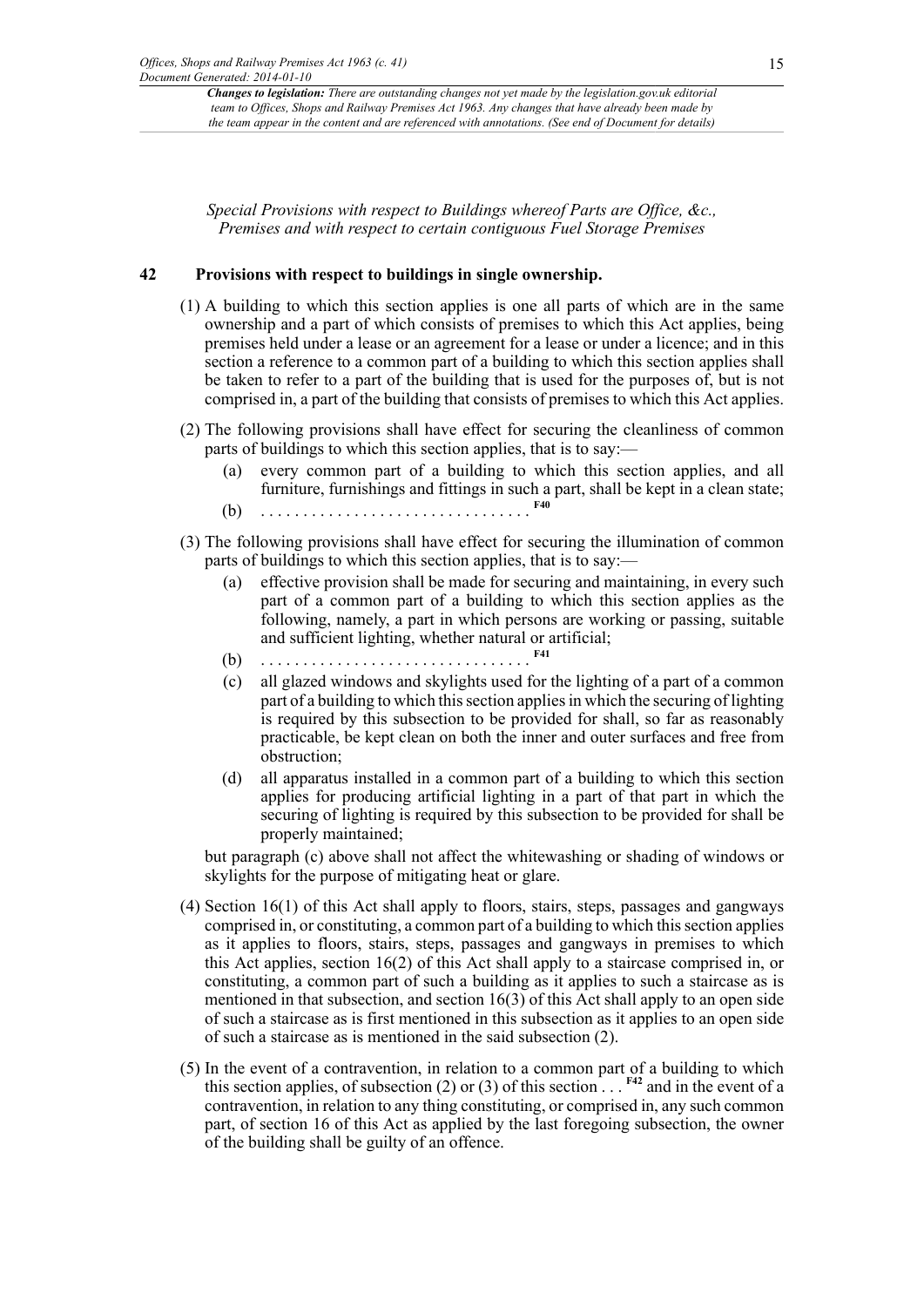*Special Provisions with respect to Buildings whereof Parts are Office, &c., Premises and with respect to certain contiguous Fuel Storage Premises*

### **42 Provisions with respect to buildings in single ownership.**

- (1) A building to which this section applies is one all parts of which are in the same ownership and a part of which consists of premises to which this Act applies, being premises held under a lease or an agreement for a lease or under a licence; and in this section a reference to a common part of a building to which this section applies shall be taken to refer to a part of the building that is used for the purposes of, but is not comprised in, a part of the building that consists of premises to which this Act applies.
- (2) The following provisions shall have effect for securing the cleanliness of common parts of buildings to which this section applies, that is to say:—
	- (a) every common part of a building to which this section applies, and all furniture, furnishings and fittings in such a part, shall be kept in a clean state;
	- (b) . . . . . . . . . . . . . . . . . . . . . . . . . . . . . . . . **[F40](#page-15-0)**
- <span id="page-14-1"></span><span id="page-14-0"></span>(3) The following provisions shall have effect for securing the illumination of common parts of buildings to which this section applies, that is to say:—
	- (a) effective provision shall be made for securing and maintaining, in every such part of a common part of a building to which this section applies as the following, namely, a part in which persons are working or passing, suitable and sufficient lighting, whether natural or artificial;
	- (b) . . . . . . . . . . . . . . . . . . . . . . . . . . . . . . . . **[F41](#page-15-1)**
	- (c) all glazed windows and skylights used for the lighting of a part of a common part of a building to which this section applies in which the securing of lighting is required by this subsection to be provided for shall, so far as reasonably practicable, be kept clean on both the inner and outer surfaces and free from obstruction;
	- (d) all apparatus installed in a common part of a building to which this section applies for producing artificial lighting in a part of that part in which the securing of lighting is required by this subsection to be provided for shall be properly maintained;

but paragraph (c) above shall not affect the whitewashing or shading of windows or skylights for the purpose of mitigating heat or glare.

- (4) Section 16(1) of this Act shall apply to floors, stairs, steps, passages and gangways comprised in, or constituting, a common part of a building to which this section applies as it applies to floors, stairs, steps, passages and gangways in premises to which this Act applies, section 16(2) of this Act shall apply to a staircase comprised in, or constituting, a common part of such a building as it applies to such a staircase as is mentioned in that subsection, and section 16(3) of this Act shall apply to an open side of such a staircase as is first mentioned in this subsection as it applies to an open side of such a staircase as is mentioned in the said subsection (2).
- <span id="page-14-2"></span>(5) In the event of a contravention, in relation to a common part of a building to which this section applies, of subsection (2) or (3) of this section  $\ldots$   $F^{42}$  and in the event of a contravention, in relation to any thing constituting, or comprised in, any such common part, of section 16 of this Act as applied by the last foregoing subsection, the owner of the building shall be guilty of an offence.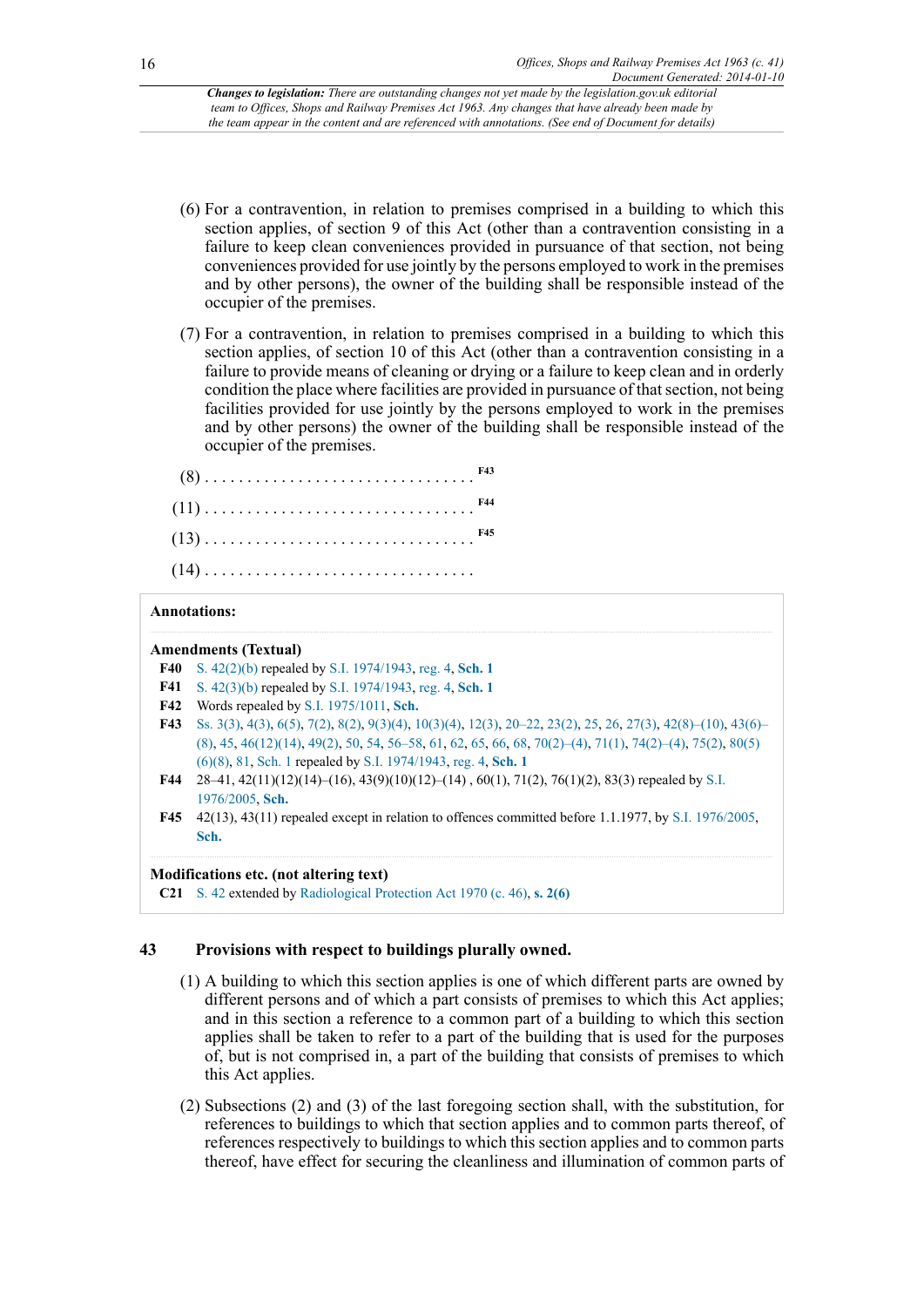- (6) For a contravention, in relation to premises comprised in a building to which this section applies, of section 9 of this Act (other than a contravention consisting in a failure to keep clean conveniences provided in pursuance of that section, not being conveniences provided for use jointly by the persons employed to work in the premises and by other persons), the owner of the building shall be responsible instead of the occupier of the premises.
- (7) For a contravention, in relation to premises comprised in a building to which this section applies, of section 10 of this Act (other than a contravention consisting in a failure to provide means of cleaning or drying or a failure to keep clean and in orderly condition the place where facilities are provided in pursuance of that section, not being facilities provided for use jointly by the persons employed to work in the premises and by other persons) the owner of the building shall be responsible instead of the occupier of the premises.

<span id="page-15-8"></span><span id="page-15-7"></span><span id="page-15-6"></span>

#### **Annotations:**

#### **Amendments (Textual)**

- <span id="page-15-0"></span>**[F40](#page-14-0)** [S. 42\(2\)\(b\)](http://www.legislation.gov.uk/id/ukpga/1963/41/section/42/2/b) repealed by [S.I. 1974/1943,](http://www.legislation.gov.uk/id/uksi/1974/1943) [reg. 4,](http://www.legislation.gov.uk/id/uksi/1974/1943/regulation/4) **[Sch. 1](http://www.legislation.gov.uk/id/uksi/1974/1943/schedule/1)**
- <span id="page-15-1"></span>**[F41](#page-14-1)** [S. 42\(3\)\(b\)](http://www.legislation.gov.uk/id/ukpga/1963/41/section/42/3/b) repealed by [S.I. 1974/1943,](http://www.legislation.gov.uk/id/uksi/1974/1943) [reg. 4,](http://www.legislation.gov.uk/id/uksi/1974/1943/regulation/4) **[Sch. 1](http://www.legislation.gov.uk/id/uksi/1974/1943/schedule/1)**
- <span id="page-15-2"></span>**[F42](#page-14-2)** Words repealed by [S.I. 1975/1011](http://www.legislation.gov.uk/id/uksi/1975/1011), **[Sch.](http://www.legislation.gov.uk/id/uksi/1975/1011/schedule)**
- <span id="page-15-3"></span>**[F43](#page-15-6)** [Ss. 3\(3\),](http://www.legislation.gov.uk/id/ukpga/1963/41/section/3/3) [4\(3\)](http://www.legislation.gov.uk/id/ukpga/1963/41/section/4/3), [6\(5\),](http://www.legislation.gov.uk/id/ukpga/1963/41/section/6/5) [7\(2\)](http://www.legislation.gov.uk/id/ukpga/1963/41/section/7/2), [8\(2\),](http://www.legislation.gov.uk/id/ukpga/1963/41/section/8/2) [9\(3\)\(4\),](http://www.legislation.gov.uk/id/ukpga/1963/41/section/9/3/4) [10\(3\)\(4\)](http://www.legislation.gov.uk/id/ukpga/1963/41/section/10/3/4), [12\(3\)](http://www.legislation.gov.uk/id/ukpga/1963/41/section/12/3), [20–22](http://www.legislation.gov.uk/id/ukpga/1963/41/section/20), [23\(2\)](http://www.legislation.gov.uk/id/ukpga/1963/41/section/23/2), [25,](http://www.legislation.gov.uk/id/ukpga/1963/41/section/25) [26](http://www.legislation.gov.uk/id/ukpga/1963/41/section/26), [27\(3\)](http://www.legislation.gov.uk/id/ukpga/1963/41/section/27/3), [42\(8\)–\(10\),](http://www.legislation.gov.uk/id/ukpga/1963/41/section/42/8) [43\(6\)–](http://www.legislation.gov.uk/id/ukpga/1963/41/section/43/6) [\(8\)](http://www.legislation.gov.uk/id/ukpga/1963/41/section/43/6), [45,](http://www.legislation.gov.uk/id/ukpga/1963/41/section/45) [46\(12\)\(14\)](http://www.legislation.gov.uk/id/ukpga/1963/41/section/46/12/14), [49\(2\)](http://www.legislation.gov.uk/id/ukpga/1963/41/section/49/2), [50,](http://www.legislation.gov.uk/id/ukpga/1963/41/section/50) [54](http://www.legislation.gov.uk/id/ukpga/1963/41/section/54), [56–58](http://www.legislation.gov.uk/id/ukpga/1963/41/section/56), [61,](http://www.legislation.gov.uk/id/ukpga/1963/41/section/61) [62](http://www.legislation.gov.uk/id/ukpga/1963/41/section/62), [65,](http://www.legislation.gov.uk/id/ukpga/1963/41/section/65) [66](http://www.legislation.gov.uk/id/ukpga/1963/41/section/66), [68,](http://www.legislation.gov.uk/id/ukpga/1963/41/section/68) [70\(2\)–\(4\),](http://www.legislation.gov.uk/id/ukpga/1963/41/section/70/2) [71\(1\),](http://www.legislation.gov.uk/id/ukpga/1963/41/section/71/1) [74\(2\)–\(4\),](http://www.legislation.gov.uk/id/ukpga/1963/41/section/74/2) [75\(2\),](http://www.legislation.gov.uk/id/ukpga/1963/41/section/75/2) [80\(5\)](http://www.legislation.gov.uk/id/ukpga/1963/41/section/80/5/6/8) [\(6\)\(8\),](http://www.legislation.gov.uk/id/ukpga/1963/41/section/80/5/6/8) [81](http://www.legislation.gov.uk/id/ukpga/1963/41/section/81), [Sch. 1](http://www.legislation.gov.uk/id/ukpga/1963/41/schedule/1) repealed by [S.I. 1974/1943,](http://www.legislation.gov.uk/id/uksi/1974/1943) [reg. 4,](http://www.legislation.gov.uk/id/uksi/1974/1943/regulation/4) **[Sch. 1](http://www.legislation.gov.uk/id/uksi/1974/1943/schedule/1)**
- <span id="page-15-4"></span>**[F44](#page-15-7)** 28–41, 42(11)(12)(14)–(16), 43(9)(10)(12)–(14) , 60(1), 71(2), 76(1)(2), 83(3) repealed by [S.I.](http://www.legislation.gov.uk/id/uksi/1976/2005) [1976/2005](http://www.legislation.gov.uk/id/uksi/1976/2005), **[Sch.](http://www.legislation.gov.uk/id/uksi/1976/2005/schedule)**
- <span id="page-15-5"></span>**[F45](#page-15-8)** 42(13), 43(11) repealed except in relation to offences committed before 1.1.1977, by [S.I. 1976/2005,](http://www.legislation.gov.uk/id/uksi/1976/2005) **[Sch.](http://www.legislation.gov.uk/id/uksi/1976/2005/schedule)**

#### **Modifications etc. (not altering text)**

**C21** [S. 42](http://www.legislation.gov.uk/id/ukpga/1963/41/section/42) extended by [Radiological Protection Act 1970 \(c. 46\),](http://www.legislation.gov.uk/id/ukpga/1970/46) **[s. 2\(6\)](http://www.legislation.gov.uk/id/ukpga/1970/46/section/2/6)**

#### **43 Provisions with respect to buildings plurally owned.**

- (1) A building to which this section applies is one of which different parts are owned by different persons and of which a part consists of premises to which this Act applies; and in this section a reference to a common part of a building to which this section applies shall be taken to refer to a part of the building that is used for the purposes of, but is not comprised in, a part of the building that consists of premises to which this Act applies.
- (2) Subsections (2) and (3) of the last foregoing section shall, with the substitution, for references to buildings to which that section applies and to common parts thereof, of references respectively to buildings to which this section applies and to common parts thereof, have effect for securing the cleanliness and illumination of common parts of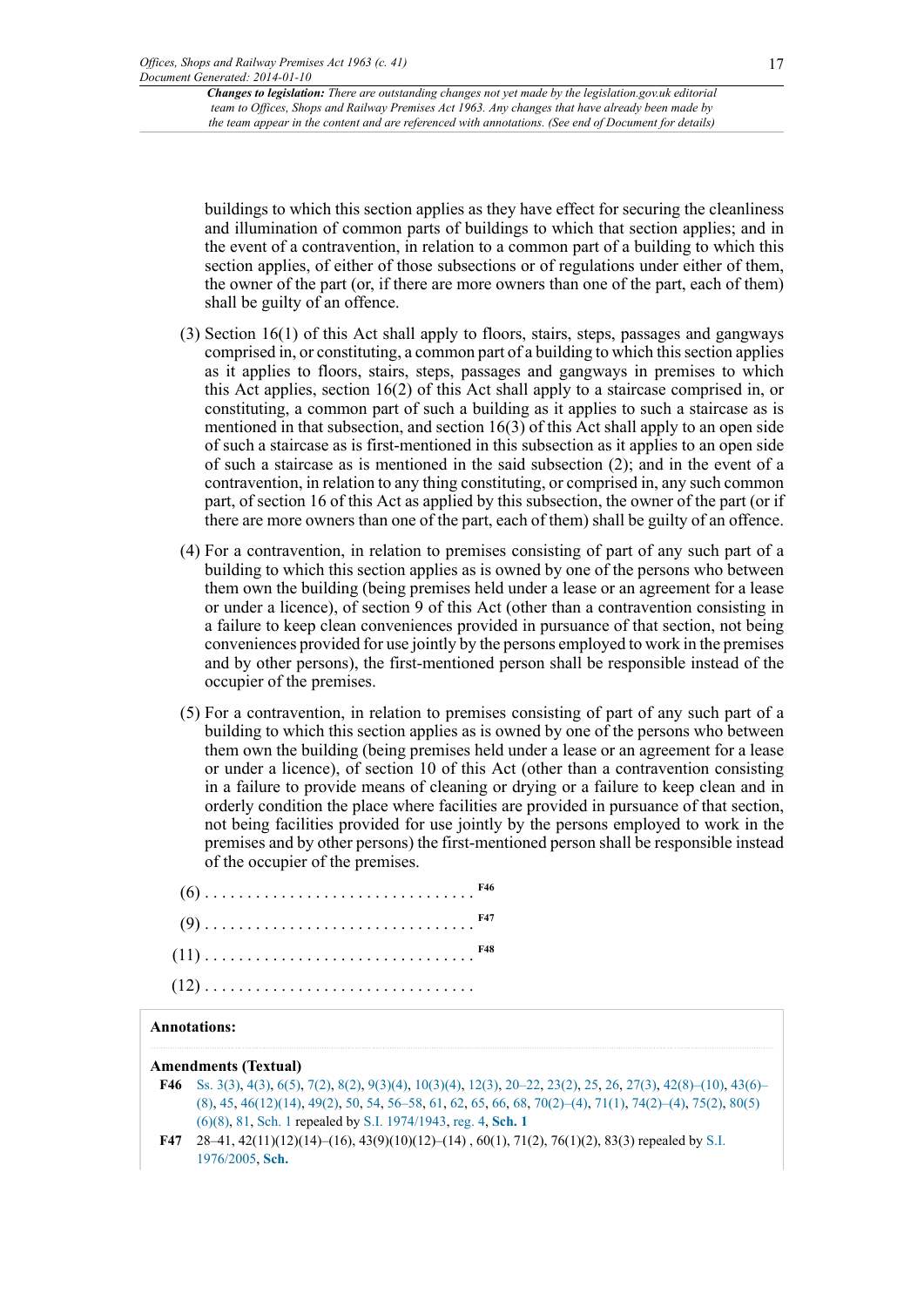buildings to which this section applies as they have effect for securing the cleanliness and illumination of common parts of buildings to which that section applies; and in the event of a contravention, in relation to a common part of a building to which this section applies, of either of those subsections or of regulations under either of them, the owner of the part (or, if there are more owners than one of the part, each of them) shall be guilty of an offence.

- (3) Section 16(1) of this Act shall apply to floors, stairs, steps, passages and gangways comprised in, or constituting, a common part of a building to which this section applies as it applies to floors, stairs, steps, passages and gangways in premises to which this Act applies, section 16(2) of this Act shall apply to a staircase comprised in, or constituting, a common part of such a building as it applies to such a staircase as is mentioned in that subsection, and section 16(3) of this Act shall apply to an open side of such a staircase as is first-mentioned in this subsection as it applies to an open side of such a staircase as is mentioned in the said subsection (2); and in the event of a contravention, in relation to any thing constituting, or comprised in, any such common part, of section 16 of this Act as applied by this subsection, the owner of the part (or if there are more owners than one of the part, each of them) shall be guilty of an offence.
- (4) For a contravention, in relation to premises consisting of part of any such part of a building to which this section applies as is owned by one of the persons who between them own the building (being premises held under a lease or an agreement for a lease or under a licence), of section 9 of this Act (other than a contravention consisting in a failure to keep clean conveniences provided in pursuance of that section, not being conveniences provided for use jointly by the persons employed to work in the premises and by other persons), the first-mentioned person shall be responsible instead of the occupier of the premises.
- (5) For a contravention, in relation to premises consisting of part of any such part of a building to which this section applies as is owned by one of the persons who between them own the building (being premises held under a lease or an agreement for a lease or under a licence), of section 10 of this Act (other than a contravention consisting in a failure to provide means of cleaning or drying or a failure to keep clean and in orderly condition the place where facilities are provided in pursuance of that section, not being facilities provided for use jointly by the persons employed to work in the premises and by other persons) the first-mentioned person shall be responsible instead of the occupier of the premises.

<span id="page-16-4"></span><span id="page-16-3"></span><span id="page-16-2"></span>

### **Annotations:**

**Amendments (Textual)**

- <span id="page-16-0"></span>**[F46](#page-16-2)** [Ss. 3\(3\),](http://www.legislation.gov.uk/id/ukpga/1963/41/section/3/3) [4\(3\)](http://www.legislation.gov.uk/id/ukpga/1963/41/section/4/3), [6\(5\),](http://www.legislation.gov.uk/id/ukpga/1963/41/section/6/5) [7\(2\)](http://www.legislation.gov.uk/id/ukpga/1963/41/section/7/2), [8\(2\),](http://www.legislation.gov.uk/id/ukpga/1963/41/section/8/2) [9\(3\)\(4\),](http://www.legislation.gov.uk/id/ukpga/1963/41/section/9/3/4) [10\(3\)\(4\)](http://www.legislation.gov.uk/id/ukpga/1963/41/section/10/3/4), [12\(3\)](http://www.legislation.gov.uk/id/ukpga/1963/41/section/12/3), [20–22](http://www.legislation.gov.uk/id/ukpga/1963/41/section/20), [23\(2\)](http://www.legislation.gov.uk/id/ukpga/1963/41/section/23/2), [25,](http://www.legislation.gov.uk/id/ukpga/1963/41/section/25) [26](http://www.legislation.gov.uk/id/ukpga/1963/41/section/26), [27\(3\)](http://www.legislation.gov.uk/id/ukpga/1963/41/section/27/3), [42\(8\)–\(10\),](http://www.legislation.gov.uk/id/ukpga/1963/41/section/42/8) [43\(6\)–](http://www.legislation.gov.uk/id/ukpga/1963/41/section/43/6) [\(8\)](http://www.legislation.gov.uk/id/ukpga/1963/41/section/43/6), [45,](http://www.legislation.gov.uk/id/ukpga/1963/41/section/45) [46\(12\)\(14\)](http://www.legislation.gov.uk/id/ukpga/1963/41/section/46/12/14), [49\(2\)](http://www.legislation.gov.uk/id/ukpga/1963/41/section/49/2), [50,](http://www.legislation.gov.uk/id/ukpga/1963/41/section/50) [54](http://www.legislation.gov.uk/id/ukpga/1963/41/section/54), [56–58](http://www.legislation.gov.uk/id/ukpga/1963/41/section/56), [61,](http://www.legislation.gov.uk/id/ukpga/1963/41/section/61) [62](http://www.legislation.gov.uk/id/ukpga/1963/41/section/62), [65,](http://www.legislation.gov.uk/id/ukpga/1963/41/section/65) [66](http://www.legislation.gov.uk/id/ukpga/1963/41/section/66), [68,](http://www.legislation.gov.uk/id/ukpga/1963/41/section/68) [70\(2\)–\(4\),](http://www.legislation.gov.uk/id/ukpga/1963/41/section/70/2) [71\(1\),](http://www.legislation.gov.uk/id/ukpga/1963/41/section/71/1) [74\(2\)–\(4\),](http://www.legislation.gov.uk/id/ukpga/1963/41/section/74/2) [75\(2\),](http://www.legislation.gov.uk/id/ukpga/1963/41/section/75/2) [80\(5\)](http://www.legislation.gov.uk/id/ukpga/1963/41/section/80/5/6/8) [\(6\)\(8\),](http://www.legislation.gov.uk/id/ukpga/1963/41/section/80/5/6/8) [81](http://www.legislation.gov.uk/id/ukpga/1963/41/section/81), [Sch. 1](http://www.legislation.gov.uk/id/ukpga/1963/41/schedule/1) repealed by [S.I. 1974/1943,](http://www.legislation.gov.uk/id/uksi/1974/1943) [reg. 4,](http://www.legislation.gov.uk/id/uksi/1974/1943/regulation/4) **[Sch. 1](http://www.legislation.gov.uk/id/uksi/1974/1943/schedule/1)**
- <span id="page-16-1"></span>**[F47](#page-16-3)** 28–41, 42(11)(12)(14)–(16), 43(9)(10)(12)–(14) , 60(1), 71(2), 76(1)(2), 83(3) repealed by [S.I.](http://www.legislation.gov.uk/id/uksi/1976/2005) [1976/2005](http://www.legislation.gov.uk/id/uksi/1976/2005), **[Sch.](http://www.legislation.gov.uk/id/uksi/1976/2005/schedule)**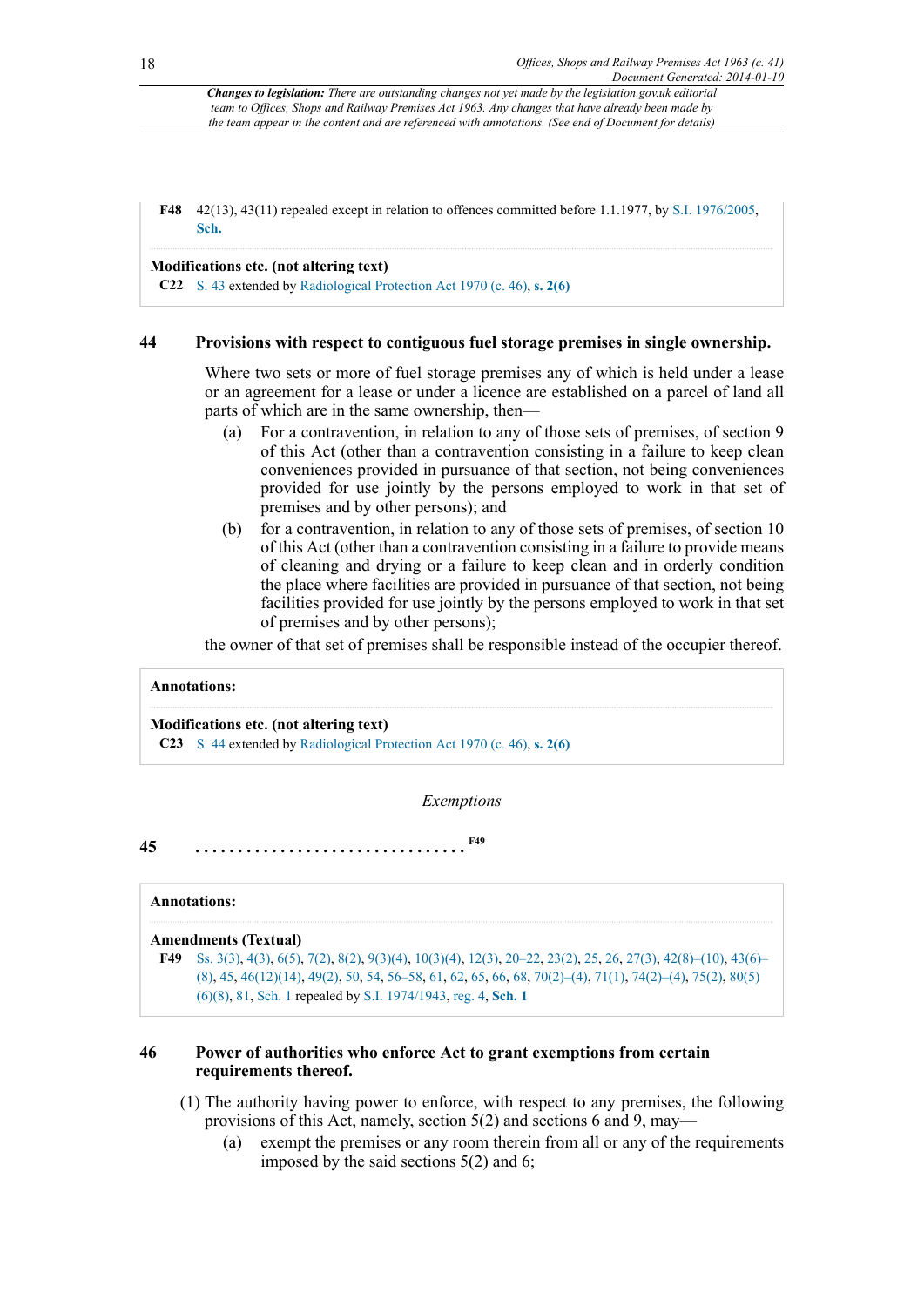<span id="page-17-0"></span>**[F48](#page-16-4)** 42(13), 43(11) repealed except in relation to offences committed before 1.1.1977, by [S.I. 1976/2005,](http://www.legislation.gov.uk/id/uksi/1976/2005) **[Sch.](http://www.legislation.gov.uk/id/uksi/1976/2005/schedule)**

### **Modifications etc. (not altering text)**

**C22** [S. 43](http://www.legislation.gov.uk/id/ukpga/1963/41/section/43) extended by [Radiological Protection Act 1970 \(c. 46\),](http://www.legislation.gov.uk/id/ukpga/1970/46) **[s. 2\(6\)](http://www.legislation.gov.uk/id/ukpga/1970/46/section/2/6)**

#### **44 Provisions with respect to contiguous fuel storage premises in single ownership.**

Where two sets or more of fuel storage premises any of which is held under a lease or an agreement for a lease or under a licence are established on a parcel of land all parts of which are in the same ownership, then—

- (a) For a contravention, in relation to any of those sets of premises, of section 9 of this Act (other than a contravention consisting in a failure to keep clean conveniences provided in pursuance of that section, not being conveniences provided for use jointly by the persons employed to work in that set of premises and by other persons); and
- (b) for a contravention, in relation to any of those sets of premises, of section 10 of this Act (other than a contravention consisting in a failure to provide means of cleaning and drying or a failure to keep clean and in orderly condition the place where facilities are provided in pursuance of that section, not being facilities provided for use jointly by the persons employed to work in that set of premises and by other persons);

the owner of that set of premises shall be responsible instead of the occupier thereof.

### **Annotations:**

#### **Modifications etc. (not altering text)**

**C23** [S. 44](http://www.legislation.gov.uk/id/ukpga/1963/41/section/44) extended by [Radiological Protection Act 1970 \(c. 46\),](http://www.legislation.gov.uk/id/ukpga/1970/46) **[s. 2\(6\)](http://www.legislation.gov.uk/id/ukpga/1970/46/section/2/6)**

<span id="page-17-2"></span>*Exemptions*

**45 . . . . . . . . . . . . . . . . . . . . . . . . . . . . . . . . [F49](#page-17-1)**

#### **Annotations:**

#### **Amendments (Textual)**

<span id="page-17-1"></span>**[F49](#page-17-2)** [Ss. 3\(3\),](http://www.legislation.gov.uk/id/ukpga/1963/41/section/3/3) [4\(3\)](http://www.legislation.gov.uk/id/ukpga/1963/41/section/4/3), [6\(5\),](http://www.legislation.gov.uk/id/ukpga/1963/41/section/6/5) [7\(2\)](http://www.legislation.gov.uk/id/ukpga/1963/41/section/7/2), [8\(2\),](http://www.legislation.gov.uk/id/ukpga/1963/41/section/8/2) [9\(3\)\(4\),](http://www.legislation.gov.uk/id/ukpga/1963/41/section/9/3/4) [10\(3\)\(4\)](http://www.legislation.gov.uk/id/ukpga/1963/41/section/10/3/4), [12\(3\)](http://www.legislation.gov.uk/id/ukpga/1963/41/section/12/3), [20–22](http://www.legislation.gov.uk/id/ukpga/1963/41/section/20), [23\(2\)](http://www.legislation.gov.uk/id/ukpga/1963/41/section/23/2), [25,](http://www.legislation.gov.uk/id/ukpga/1963/41/section/25) [26](http://www.legislation.gov.uk/id/ukpga/1963/41/section/26), [27\(3\)](http://www.legislation.gov.uk/id/ukpga/1963/41/section/27/3), [42\(8\)–\(10\),](http://www.legislation.gov.uk/id/ukpga/1963/41/section/42/8) [43\(6\)–](http://www.legislation.gov.uk/id/ukpga/1963/41/section/43/6) [\(8\)](http://www.legislation.gov.uk/id/ukpga/1963/41/section/43/6), [45,](http://www.legislation.gov.uk/id/ukpga/1963/41/section/45) [46\(12\)\(14\)](http://www.legislation.gov.uk/id/ukpga/1963/41/section/46/12/14), [49\(2\)](http://www.legislation.gov.uk/id/ukpga/1963/41/section/49/2), [50,](http://www.legislation.gov.uk/id/ukpga/1963/41/section/50) [54](http://www.legislation.gov.uk/id/ukpga/1963/41/section/54), [56–58](http://www.legislation.gov.uk/id/ukpga/1963/41/section/56), [61,](http://www.legislation.gov.uk/id/ukpga/1963/41/section/61) [62](http://www.legislation.gov.uk/id/ukpga/1963/41/section/62), [65,](http://www.legislation.gov.uk/id/ukpga/1963/41/section/65) [66](http://www.legislation.gov.uk/id/ukpga/1963/41/section/66), [68,](http://www.legislation.gov.uk/id/ukpga/1963/41/section/68) [70\(2\)–\(4\),](http://www.legislation.gov.uk/id/ukpga/1963/41/section/70/2) [71\(1\),](http://www.legislation.gov.uk/id/ukpga/1963/41/section/71/1) [74\(2\)–\(4\),](http://www.legislation.gov.uk/id/ukpga/1963/41/section/74/2) [75\(2\),](http://www.legislation.gov.uk/id/ukpga/1963/41/section/75/2) [80\(5\)](http://www.legislation.gov.uk/id/ukpga/1963/41/section/80/5/6/8) [\(6\)\(8\),](http://www.legislation.gov.uk/id/ukpga/1963/41/section/80/5/6/8) [81](http://www.legislation.gov.uk/id/ukpga/1963/41/section/81), [Sch. 1](http://www.legislation.gov.uk/id/ukpga/1963/41/schedule/1) repealed by [S.I. 1974/1943,](http://www.legislation.gov.uk/id/uksi/1974/1943) [reg. 4,](http://www.legislation.gov.uk/id/uksi/1974/1943/regulation/4) **[Sch. 1](http://www.legislation.gov.uk/id/uksi/1974/1943/schedule/1)**

### **46 Power of authorities who enforce Act to grant exemptions from certain requirements thereof.**

- (1) The authority having power to enforce, with respect to any premises, the following provisions of this Act, namely, section 5(2) and sections 6 and 9, may—
	- (a) exempt the premises or any room therein from all or any of the requirements imposed by the said sections 5(2) and 6;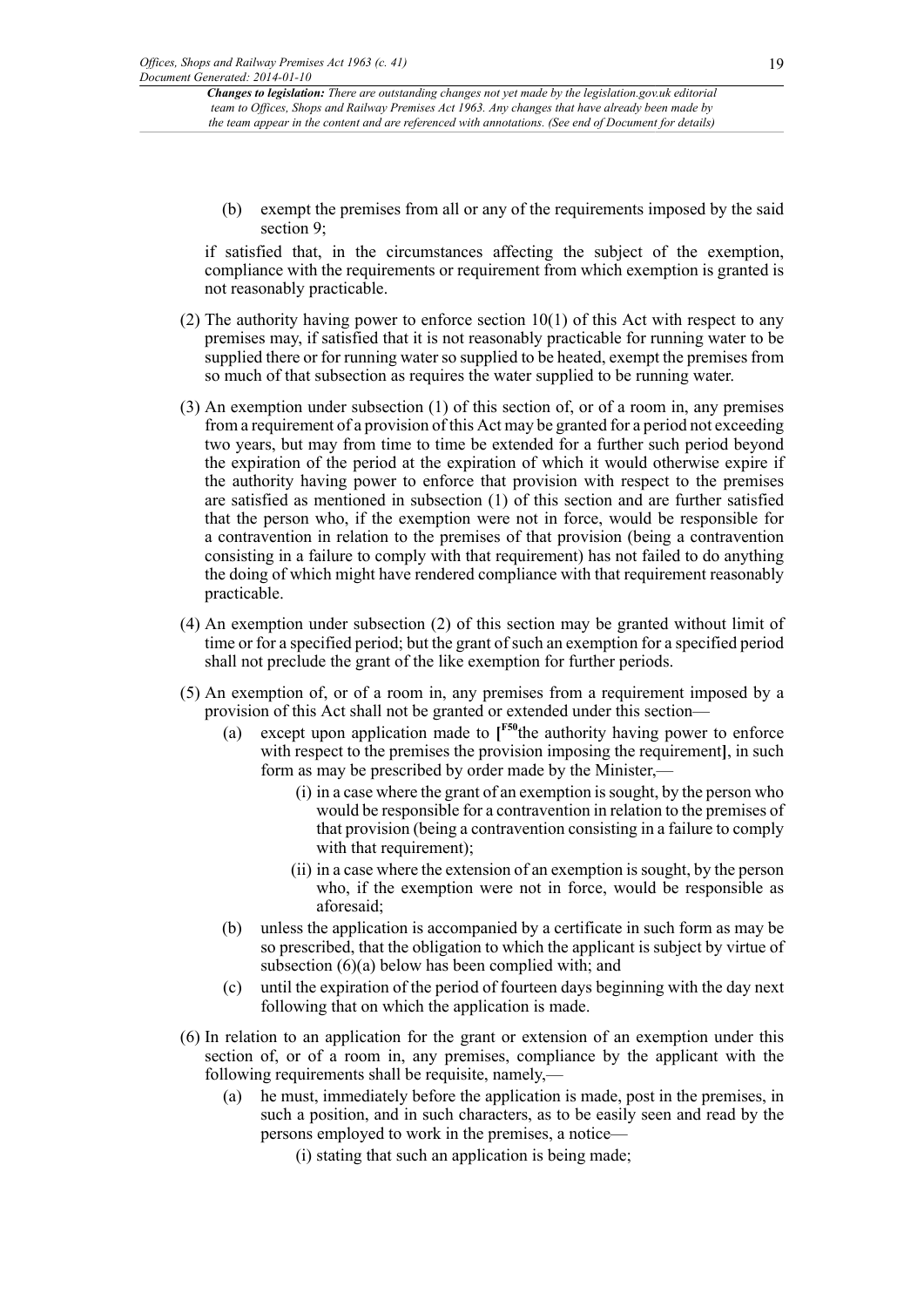(b) exempt the premises from all or any of the requirements imposed by the said section 9;

if satisfied that, in the circumstances affecting the subject of the exemption, compliance with the requirements or requirement from which exemption is granted is not reasonably practicable.

- (2) The authority having power to enforce section  $10(1)$  of this Act with respect to any premises may, if satisfied that it is not reasonably practicable for running water to be supplied there or for running water so supplied to be heated, exempt the premises from so much of that subsection as requires the water supplied to be running water.
- (3) An exemption under subsection (1) of this section of, or of a room in, any premises from a requirement of a provision of this Act may be granted for a period not exceeding two years, but may from time to time be extended for a further such period beyond the expiration of the period at the expiration of which it would otherwise expire if the authority having power to enforce that provision with respect to the premises are satisfied as mentioned in subsection (1) of this section and are further satisfied that the person who, if the exemption were not in force, would be responsible for a contravention in relation to the premises of that provision (being a contravention consisting in a failure to comply with that requirement) has not failed to do anything the doing of which might have rendered compliance with that requirement reasonably practicable.
- (4) An exemption under subsection (2) of this section may be granted without limit of time or for a specified period; but the grant of such an exemption for a specified period shall not preclude the grant of the like exemption for further periods.
- <span id="page-18-0"></span>(5) An exemption of, or of a room in, any premises from a requirement imposed by a provision of this Act shall not be granted or extended under this section—
	- (a) except upon application made to **[ [F50](#page-20-0)**the authority having power to enforce with respect to the premises the provision imposing the requirement, in such form as may be prescribed by order made by the Minister,—
		- (i) in a case where the grant of an exemption is sought, by the person who would be responsible for a contravention in relation to the premises of that provision (being a contravention consisting in a failure to comply with that requirement);
		- (ii) in a case where the extension of an exemption is sought, by the person who, if the exemption were not in force, would be responsible as aforesaid;
	- (b) unless the application is accompanied by a certificate in such form as may be so prescribed, that the obligation to which the applicant is subject by virtue of subsection (6)(a) below has been complied with; and
	- (c) until the expiration of the period of fourteen days beginning with the day next following that on which the application is made.
- (6) In relation to an application for the grant or extension of an exemption under this section of, or of a room in, any premises, compliance by the applicant with the following requirements shall be requisite, namely,—
	- (a) he must, immediately before the application is made, post in the premises, in such a position, and in such characters, as to be easily seen and read by the persons employed to work in the premises, a notice—
		- (i) stating that such an application is being made;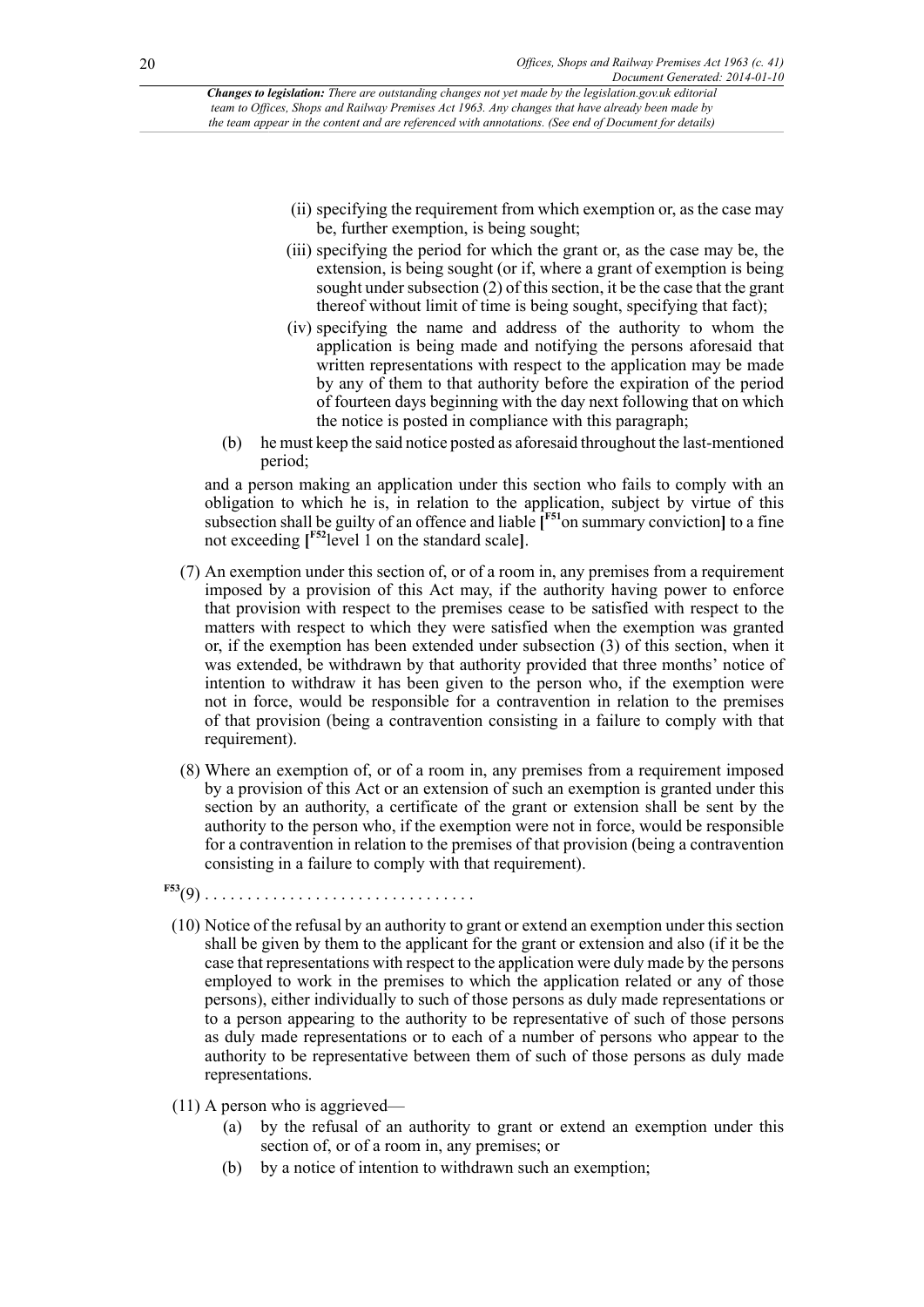- (ii) specifying the requirement from which exemption or, as the case may be, further exemption, is being sought;
- (iii) specifying the period for which the grant or, as the case may be, the extension, is being sought (or if, where a grant of exemption is being sought under subsection (2) of this section, it be the case that the grant thereof without limit of time is being sought, specifying that fact);
- <span id="page-19-0"></span>(iv) specifying the name and address of the authority to whom the application is being made and notifying the persons aforesaid that written representations with respect to the application may be made by any of them to that authority before the expiration of the period of fourteen days beginning with the day next following that on which the notice is posted in compliance with this paragraph;
- (b) he must keep the said notice posted as aforesaid throughout the last-mentioned period;

<span id="page-19-1"></span>and a person making an application under this section who fails to comply with an obligation to which he is, in relation to the application, subject by virtue of this subsection shall be guilty of an offence and liable **[ [F51](#page-20-1)**on summary conviction**]** to a fine not exceeding **[ [F52](#page-20-2)**level 1 on the standard scale**]**.

- (7) An exemption under this section of, or of a room in, any premises from a requirement imposed by a provision of this Act may, if the authority having power to enforce that provision with respect to the premises cease to be satisfied with respect to the matters with respect to which they were satisfied when the exemption was granted or, if the exemption has been extended under subsection (3) of this section, when it was extended, be withdrawn by that authority provided that three months' notice of intention to withdraw it has been given to the person who, if the exemption were not in force, would be responsible for a contravention in relation to the premises of that provision (being a contravention consisting in a failure to comply with that requirement).
- (8) Where an exemption of, or of a room in, any premises from a requirement imposed by a provision of this Act or an extension of such an exemption is granted under this section by an authority, a certificate of the grant or extension shall be sent by the authority to the person who, if the exemption were not in force, would be responsible for a contravention in relation to the premises of that provision (being a contravention consisting in a failure to comply with that requirement).
- <span id="page-19-2"></span>**[F53](#page-20-3)**(9) . . . . . . . . . . . . . . . . . . . . . . . . . . . . . . . .
- (10) Notice of the refusal by an authority to grant or extend an exemption under this section shall be given by them to the applicant for the grant or extension and also (if it be the case that representations with respect to the application were duly made by the persons employed to work in the premises to which the application related or any of those persons), either individually to such of those persons as duly made representations or to a person appearing to the authority to be representative of such of those persons as duly made representations or to each of a number of persons who appear to the authority to be representative between them of such of those persons as duly made representations.
- (11) A person who is aggrieved—
	- (a) by the refusal of an authority to grant or extend an exemption under this section of, or of a room in, any premises; or
	- (b) by a notice of intention to withdrawn such an exemption;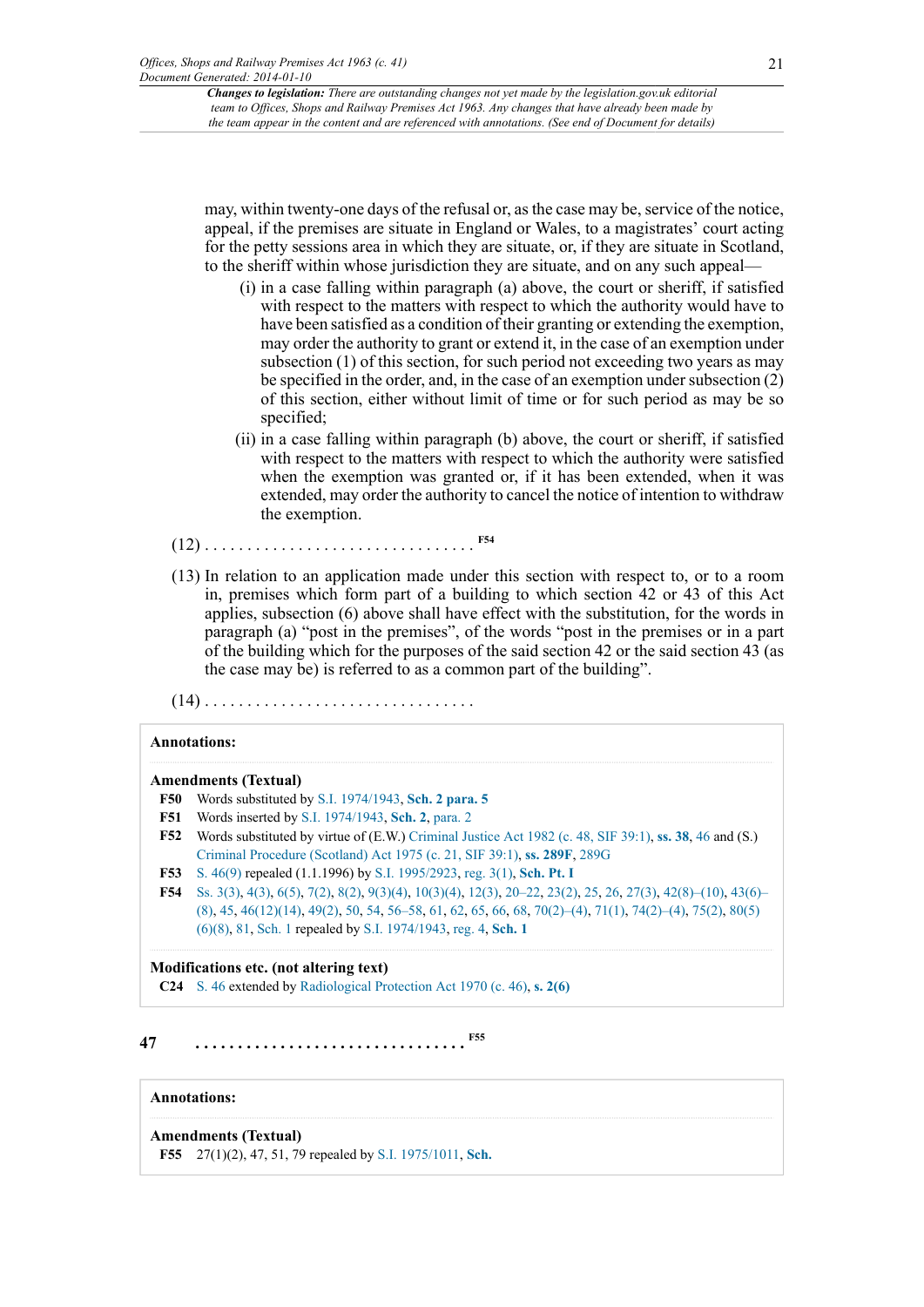may, within twenty-one days of the refusal or, as the case may be, service of the notice, appeal, if the premises are situate in England or Wales, to a magistrates' court acting for the petty sessions area in which they are situate, or, if they are situate in Scotland, to the sheriff within whose jurisdiction they are situate, and on any such appeal—

- (i) in a case falling within paragraph (a) above, the court or sheriff, if satisfied with respect to the matters with respect to which the authority would have to have been satisfied as a condition of their granting or extending the exemption, may order the authority to grant or extend it, in the case of an exemption under subsection (1) of this section, for such period not exceeding two years as may be specified in the order, and, in the case of an exemption under subsection (2) of this section, either without limit of time or for such period as may be so specified;
- <span id="page-20-5"></span>(ii) in a case falling within paragraph (b) above, the court or sheriff, if satisfied with respect to the matters with respect to which the authority were satisfied when the exemption was granted or, if it has been extended, when it was extended, may order the authority to cancel the notice of intention to withdraw the exemption.
- (12) . . . . . . . . . . . . . . . . . . . . . . . . . . . . . . . . **[F54](#page-20-4)**
- (13) In relation to an application made under this section with respect to, or to a room in, premises which form part of a building to which section 42 or 43 of this Act applies, subsection (6) above shall have effect with the substitution, for the words in paragraph (a) "post in the premises", of the words "post in the premises or in a part of the building which for the purposes of the said section 42 or the said section 43 (as the case may be) is referred to as a common part of the building".
- (14) . . . . . . . . . . . . . . . . . . . . . . . . . . . . . . . .

#### **Annotations:**

#### **Amendments (Textual)**

- <span id="page-20-0"></span>**[F50](#page-18-0)** Words substituted by [S.I. 1974/1943,](http://www.legislation.gov.uk/id/uksi/1974/1943) **[Sch. 2 para. 5](http://www.legislation.gov.uk/id/uksi/1974/1943/schedule/2/paragraph/5)**
- <span id="page-20-1"></span>**[F51](#page-19-0)** Words inserted by [S.I. 1974/1943](http://www.legislation.gov.uk/id/uksi/1974/1943), **[Sch. 2](http://www.legislation.gov.uk/id/uksi/1974/1943/schedule/2)**, [para. 2](http://www.legislation.gov.uk/id/uksi/1974/1943/paragraph/2)
- <span id="page-20-2"></span>**[F52](#page-19-1)** Words substituted by virtue of (E.W.) [Criminal Justice Act 1982 \(c. 48, SIF 39:1\)](http://www.legislation.gov.uk/id/ukpga/1982/48), **[ss. 38](http://www.legislation.gov.uk/id/ukpga/1982/48/section/38)**, [46](http://www.legislation.gov.uk/id/ukpga/1982/48/section/46) and (S.) [Criminal Procedure \(Scotland\) Act 1975 \(c. 21, SIF 39:1\)](http://www.legislation.gov.uk/id/ukpga/1975/21), **[ss. 289F](http://www.legislation.gov.uk/id/ukpga/1975/21/section/289F)**, [289G](http://www.legislation.gov.uk/id/ukpga/1975/21/section/289G)
- <span id="page-20-3"></span>**[F53](#page-19-2)** [S. 46\(9\)](http://www.legislation.gov.uk/id/ukpga/1963/41/section/46/9) repealed (1.1.1996) by [S.I. 1995/2923,](http://www.legislation.gov.uk/id/uksi/1995/2923) [reg. 3\(1\)](http://www.legislation.gov.uk/id/uksi/1995/2923/regulation/3/1), **[Sch. Pt. I](http://www.legislation.gov.uk/id/uksi/1995/2923/schedule/part/I)**
- <span id="page-20-4"></span>**[F54](#page-20-5)** [Ss. 3\(3\),](http://www.legislation.gov.uk/id/ukpga/1963/41/section/3/3) [4\(3\)](http://www.legislation.gov.uk/id/ukpga/1963/41/section/4/3), [6\(5\),](http://www.legislation.gov.uk/id/ukpga/1963/41/section/6/5) [7\(2\)](http://www.legislation.gov.uk/id/ukpga/1963/41/section/7/2), [8\(2\),](http://www.legislation.gov.uk/id/ukpga/1963/41/section/8/2) [9\(3\)\(4\),](http://www.legislation.gov.uk/id/ukpga/1963/41/section/9/3/4) [10\(3\)\(4\)](http://www.legislation.gov.uk/id/ukpga/1963/41/section/10/3/4), [12\(3\)](http://www.legislation.gov.uk/id/ukpga/1963/41/section/12/3), [20–22](http://www.legislation.gov.uk/id/ukpga/1963/41/section/20), [23\(2\)](http://www.legislation.gov.uk/id/ukpga/1963/41/section/23/2), [25,](http://www.legislation.gov.uk/id/ukpga/1963/41/section/25) [26](http://www.legislation.gov.uk/id/ukpga/1963/41/section/26), [27\(3\)](http://www.legislation.gov.uk/id/ukpga/1963/41/section/27/3), [42\(8\)–\(10\),](http://www.legislation.gov.uk/id/ukpga/1963/41/section/42/8) [43\(6\)–](http://www.legislation.gov.uk/id/ukpga/1963/41/section/43/6) [\(8\)](http://www.legislation.gov.uk/id/ukpga/1963/41/section/43/6), [45,](http://www.legislation.gov.uk/id/ukpga/1963/41/section/45) [46\(12\)\(14\)](http://www.legislation.gov.uk/id/ukpga/1963/41/section/46/12/14), [49\(2\)](http://www.legislation.gov.uk/id/ukpga/1963/41/section/49/2), [50,](http://www.legislation.gov.uk/id/ukpga/1963/41/section/50) [54](http://www.legislation.gov.uk/id/ukpga/1963/41/section/54), [56–58](http://www.legislation.gov.uk/id/ukpga/1963/41/section/56), [61,](http://www.legislation.gov.uk/id/ukpga/1963/41/section/61) [62](http://www.legislation.gov.uk/id/ukpga/1963/41/section/62), [65,](http://www.legislation.gov.uk/id/ukpga/1963/41/section/65) [66](http://www.legislation.gov.uk/id/ukpga/1963/41/section/66), [68,](http://www.legislation.gov.uk/id/ukpga/1963/41/section/68) [70\(2\)–\(4\),](http://www.legislation.gov.uk/id/ukpga/1963/41/section/70/2) [71\(1\),](http://www.legislation.gov.uk/id/ukpga/1963/41/section/71/1) [74\(2\)–\(4\),](http://www.legislation.gov.uk/id/ukpga/1963/41/section/74/2) [75\(2\),](http://www.legislation.gov.uk/id/ukpga/1963/41/section/75/2) [80\(5\)](http://www.legislation.gov.uk/id/ukpga/1963/41/section/80/5/6/8) [\(6\)\(8\),](http://www.legislation.gov.uk/id/ukpga/1963/41/section/80/5/6/8) [81](http://www.legislation.gov.uk/id/ukpga/1963/41/section/81), [Sch. 1](http://www.legislation.gov.uk/id/ukpga/1963/41/schedule/1) repealed by [S.I. 1974/1943,](http://www.legislation.gov.uk/id/uksi/1974/1943) [reg. 4,](http://www.legislation.gov.uk/id/uksi/1974/1943/regulation/4) **[Sch. 1](http://www.legislation.gov.uk/id/uksi/1974/1943/schedule/1)**

#### **Modifications etc. (not altering text)**

<span id="page-20-7"></span>**C24** [S. 46](http://www.legislation.gov.uk/id/ukpga/1963/41/section/46) extended by [Radiological Protection Act 1970 \(c. 46\),](http://www.legislation.gov.uk/id/ukpga/1970/46) **[s. 2\(6\)](http://www.legislation.gov.uk/id/ukpga/1970/46/section/2/6)**

## **47 . . . . . . . . . . . . . . . . . . . . . . . . . . . . . . . . [F55](#page-20-6)**

#### **Annotations:**

#### **Amendments (Textual)**

<span id="page-20-6"></span>**[F55](#page-20-7)** 27(1)(2), 47, 51, 79 repealed by [S.I. 1975/1011](http://www.legislation.gov.uk/id/uksi/1975/1011), **[Sch.](http://www.legislation.gov.uk/id/uksi/1975/1011/schedule)**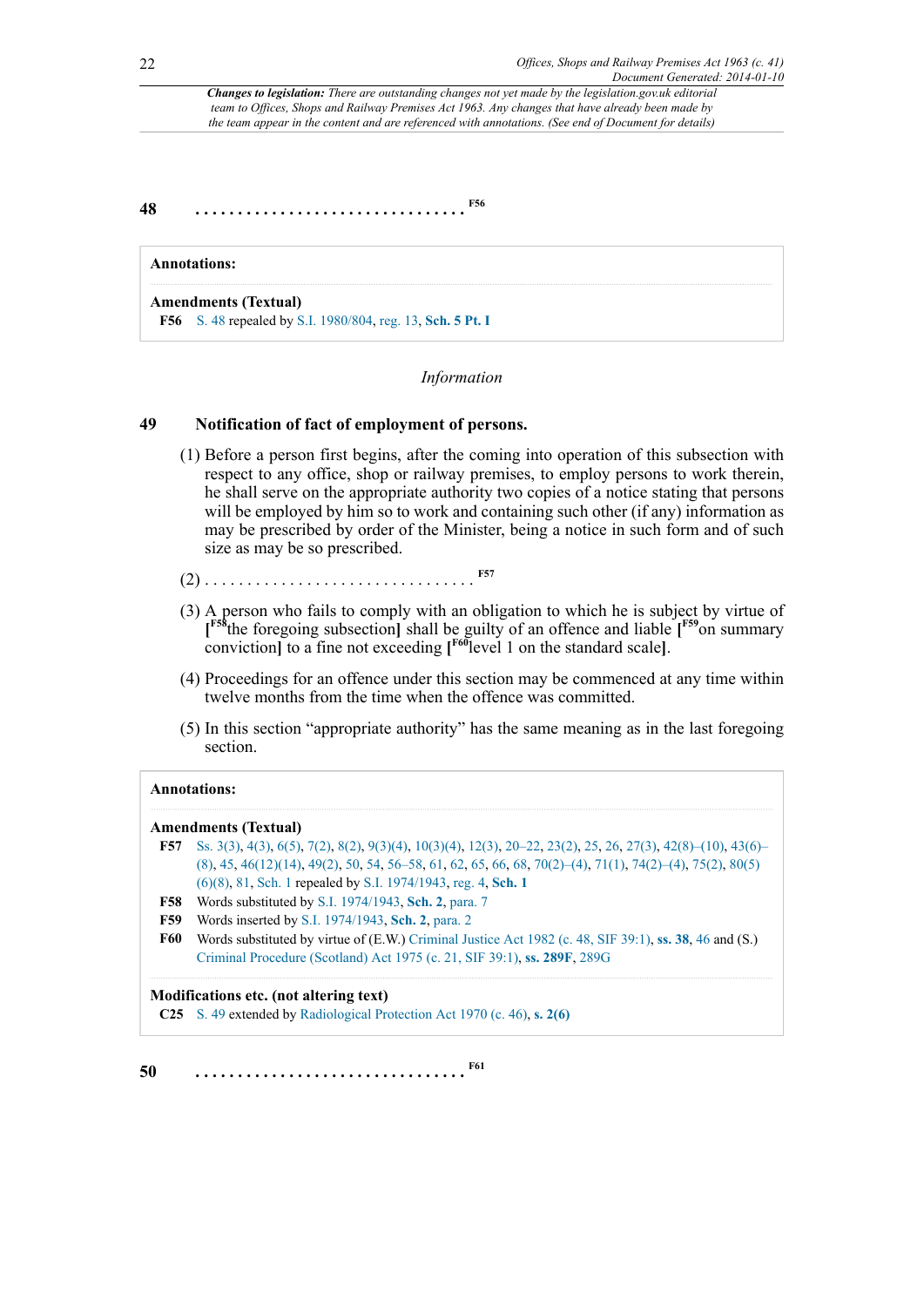**48 . . . . . . . . . . . . . . . . . . . . . . . . . . . . . . . . [F56](#page-21-0)**

<span id="page-21-0"></span>

| <b>Annotations:</b>                                                                              |
|--------------------------------------------------------------------------------------------------|
| <b>Amendments (Textual)</b><br><b>F56</b> S. 48 repealed by S.I. 1980/804, reg. 13, Sch. 5 Pt. I |

#### <span id="page-21-9"></span><span id="page-21-8"></span><span id="page-21-6"></span><span id="page-21-1"></span>*Information*

### **49 Notification of fact of employment of persons.**

- (1) Before a person first begins, after the coming into operation of this subsection with respect to any office, shop or railway premises, to employ persons to work therein, he shall serve on the appropriate authority two copies of a notice stating that persons will be employed by him so to work and containing such other (if any) information as may be prescribed by order of the Minister, being a notice in such form and of such size as may be so prescribed.
- (2) . . . . . . . . . . . . . . . . . . . . . . . . . . . . . . . . **[F57](#page-21-2)**
- <span id="page-21-7"></span>(3) A person who fails to comply with an obligation to which he is subject by virtue of **[ [F58](#page-21-3)**the foregoing subsection**]** shall be guilty of an offence and liable **[ [F59](#page-21-4)**on summary conviction**]** to a fine not exceeding **[ [F60](#page-21-5)**level 1 on the standard scale**]**.
- (4) Proceedings for an offence under this section may be commenced at any time within twelve months from the time when the offence was committed.
- (5) In this section "appropriate authority" has the same meaning as in the last foregoing section.

#### **Annotations:**

#### **Amendments (Textual)**

- <span id="page-21-2"></span>**[F57](#page-21-6)** [Ss. 3\(3\),](http://www.legislation.gov.uk/id/ukpga/1963/41/section/3/3) [4\(3\)](http://www.legislation.gov.uk/id/ukpga/1963/41/section/4/3), [6\(5\),](http://www.legislation.gov.uk/id/ukpga/1963/41/section/6/5) [7\(2\)](http://www.legislation.gov.uk/id/ukpga/1963/41/section/7/2), [8\(2\),](http://www.legislation.gov.uk/id/ukpga/1963/41/section/8/2) [9\(3\)\(4\),](http://www.legislation.gov.uk/id/ukpga/1963/41/section/9/3/4) [10\(3\)\(4\)](http://www.legislation.gov.uk/id/ukpga/1963/41/section/10/3/4), [12\(3\)](http://www.legislation.gov.uk/id/ukpga/1963/41/section/12/3), [20–22](http://www.legislation.gov.uk/id/ukpga/1963/41/section/20), [23\(2\)](http://www.legislation.gov.uk/id/ukpga/1963/41/section/23/2), [25,](http://www.legislation.gov.uk/id/ukpga/1963/41/section/25) [26](http://www.legislation.gov.uk/id/ukpga/1963/41/section/26), [27\(3\)](http://www.legislation.gov.uk/id/ukpga/1963/41/section/27/3), [42\(8\)–\(10\),](http://www.legislation.gov.uk/id/ukpga/1963/41/section/42/8) [43\(6\)–](http://www.legislation.gov.uk/id/ukpga/1963/41/section/43/6) [\(8\)](http://www.legislation.gov.uk/id/ukpga/1963/41/section/43/6), [45,](http://www.legislation.gov.uk/id/ukpga/1963/41/section/45) [46\(12\)\(14\)](http://www.legislation.gov.uk/id/ukpga/1963/41/section/46/12/14), [49\(2\)](http://www.legislation.gov.uk/id/ukpga/1963/41/section/49/2), [50,](http://www.legislation.gov.uk/id/ukpga/1963/41/section/50) [54](http://www.legislation.gov.uk/id/ukpga/1963/41/section/54), [56–58](http://www.legislation.gov.uk/id/ukpga/1963/41/section/56), [61,](http://www.legislation.gov.uk/id/ukpga/1963/41/section/61) [62](http://www.legislation.gov.uk/id/ukpga/1963/41/section/62), [65,](http://www.legislation.gov.uk/id/ukpga/1963/41/section/65) [66](http://www.legislation.gov.uk/id/ukpga/1963/41/section/66), [68,](http://www.legislation.gov.uk/id/ukpga/1963/41/section/68) [70\(2\)–\(4\),](http://www.legislation.gov.uk/id/ukpga/1963/41/section/70/2) [71\(1\),](http://www.legislation.gov.uk/id/ukpga/1963/41/section/71/1) [74\(2\)–\(4\),](http://www.legislation.gov.uk/id/ukpga/1963/41/section/74/2) [75\(2\),](http://www.legislation.gov.uk/id/ukpga/1963/41/section/75/2) [80\(5\)](http://www.legislation.gov.uk/id/ukpga/1963/41/section/80/5/6/8) [\(6\)\(8\),](http://www.legislation.gov.uk/id/ukpga/1963/41/section/80/5/6/8) [81](http://www.legislation.gov.uk/id/ukpga/1963/41/section/81), [Sch. 1](http://www.legislation.gov.uk/id/ukpga/1963/41/schedule/1) repealed by [S.I. 1974/1943,](http://www.legislation.gov.uk/id/uksi/1974/1943) [reg. 4,](http://www.legislation.gov.uk/id/uksi/1974/1943/regulation/4) **[Sch. 1](http://www.legislation.gov.uk/id/uksi/1974/1943/schedule/1)**
- <span id="page-21-3"></span>**[F58](#page-21-7)** Words substituted by [S.I. 1974/1943,](http://www.legislation.gov.uk/id/uksi/1974/1943) **[Sch. 2](http://www.legislation.gov.uk/id/uksi/1974/1943/schedule/2)**, [para. 7](http://www.legislation.gov.uk/id/uksi/1974/1943/paragraph/7)
- <span id="page-21-4"></span>**[F59](#page-21-8)** Words inserted by [S.I. 1974/1943](http://www.legislation.gov.uk/id/uksi/1974/1943), **[Sch. 2](http://www.legislation.gov.uk/id/uksi/1974/1943/schedule/2)**, [para. 2](http://www.legislation.gov.uk/id/uksi/1974/1943/paragraph/2)
- <span id="page-21-5"></span>**[F60](#page-21-9)** Words substituted by virtue of (E.W.) [Criminal Justice Act 1982 \(c. 48, SIF 39:1\)](http://www.legislation.gov.uk/id/ukpga/1982/48), **[ss. 38](http://www.legislation.gov.uk/id/ukpga/1982/48/section/38)**, [46](http://www.legislation.gov.uk/id/ukpga/1982/48/section/46) and (S.) [Criminal Procedure \(Scotland\) Act 1975 \(c. 21, SIF 39:1\)](http://www.legislation.gov.uk/id/ukpga/1975/21), **[ss. 289F](http://www.legislation.gov.uk/id/ukpga/1975/21/section/289F)**, [289G](http://www.legislation.gov.uk/id/ukpga/1975/21/section/289G)

#### **Modifications etc. (not altering text)**

<span id="page-21-10"></span>**C25** [S. 49](http://www.legislation.gov.uk/id/ukpga/1963/41/section/49) extended by [Radiological Protection Act 1970 \(c. 46\),](http://www.legislation.gov.uk/id/ukpga/1970/46) **[s. 2\(6\)](http://www.legislation.gov.uk/id/ukpga/1970/46/section/2/6)**

**50 . . . . . . . . . . . . . . . . . . . . . . . . . . . . . . . . [F61](#page-22-0)**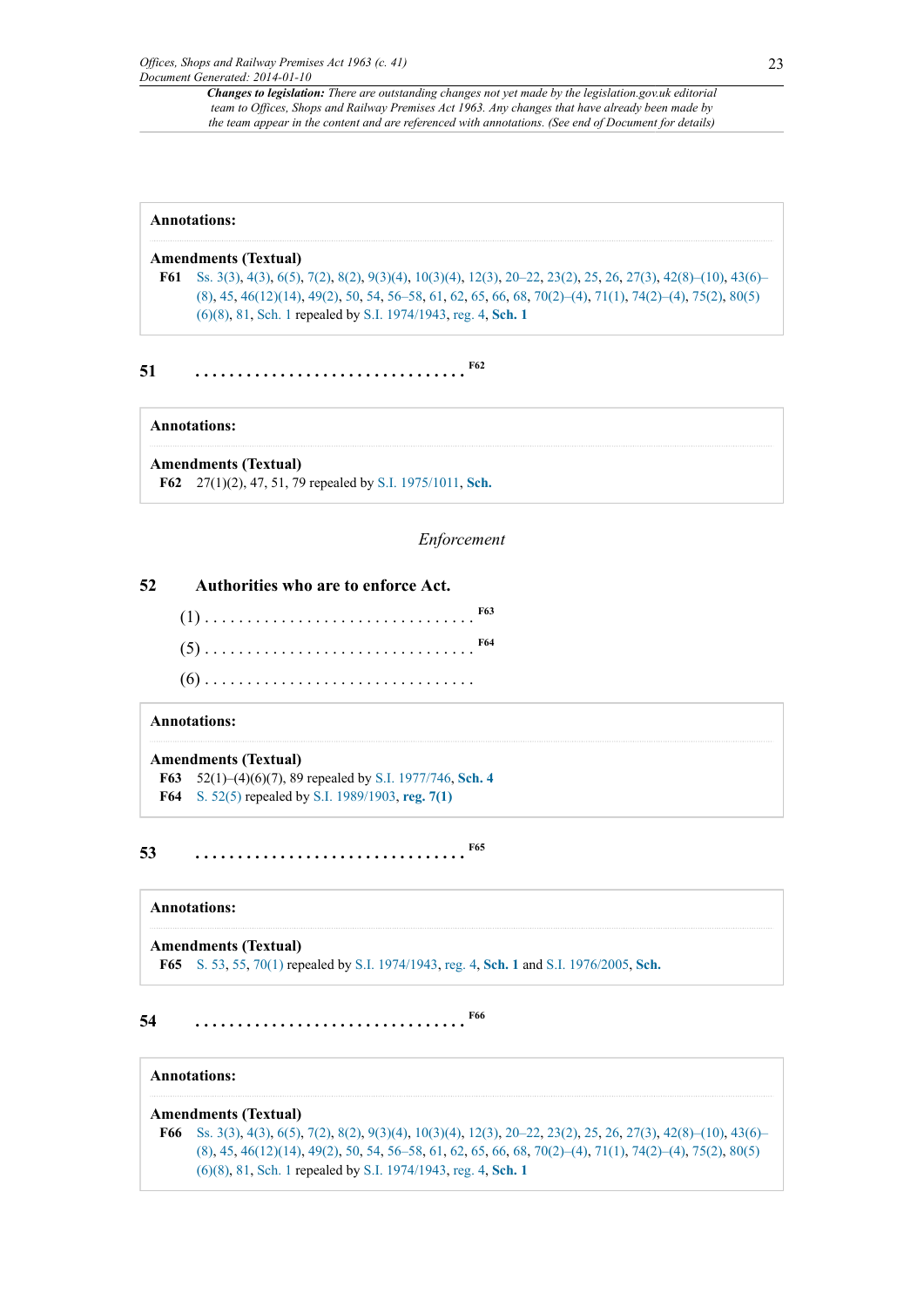#### **Annotations:**

#### **Amendments (Textual)**

<span id="page-22-0"></span>**[F61](#page-21-10)** [Ss. 3\(3\),](http://www.legislation.gov.uk/id/ukpga/1963/41/section/3/3) [4\(3\)](http://www.legislation.gov.uk/id/ukpga/1963/41/section/4/3), [6\(5\),](http://www.legislation.gov.uk/id/ukpga/1963/41/section/6/5) [7\(2\)](http://www.legislation.gov.uk/id/ukpga/1963/41/section/7/2), [8\(2\),](http://www.legislation.gov.uk/id/ukpga/1963/41/section/8/2) [9\(3\)\(4\),](http://www.legislation.gov.uk/id/ukpga/1963/41/section/9/3/4) [10\(3\)\(4\)](http://www.legislation.gov.uk/id/ukpga/1963/41/section/10/3/4), [12\(3\)](http://www.legislation.gov.uk/id/ukpga/1963/41/section/12/3), [20–22](http://www.legislation.gov.uk/id/ukpga/1963/41/section/20), [23\(2\)](http://www.legislation.gov.uk/id/ukpga/1963/41/section/23/2), [25,](http://www.legislation.gov.uk/id/ukpga/1963/41/section/25) [26](http://www.legislation.gov.uk/id/ukpga/1963/41/section/26), [27\(3\)](http://www.legislation.gov.uk/id/ukpga/1963/41/section/27/3), [42\(8\)–\(10\),](http://www.legislation.gov.uk/id/ukpga/1963/41/section/42/8) [43\(6\)–](http://www.legislation.gov.uk/id/ukpga/1963/41/section/43/6) [\(8\)](http://www.legislation.gov.uk/id/ukpga/1963/41/section/43/6), [45,](http://www.legislation.gov.uk/id/ukpga/1963/41/section/45) [46\(12\)\(14\)](http://www.legislation.gov.uk/id/ukpga/1963/41/section/46/12/14), [49\(2\)](http://www.legislation.gov.uk/id/ukpga/1963/41/section/49/2), [50,](http://www.legislation.gov.uk/id/ukpga/1963/41/section/50) [54](http://www.legislation.gov.uk/id/ukpga/1963/41/section/54), [56–58](http://www.legislation.gov.uk/id/ukpga/1963/41/section/56), [61,](http://www.legislation.gov.uk/id/ukpga/1963/41/section/61) [62](http://www.legislation.gov.uk/id/ukpga/1963/41/section/62), [65,](http://www.legislation.gov.uk/id/ukpga/1963/41/section/65) [66](http://www.legislation.gov.uk/id/ukpga/1963/41/section/66), [68,](http://www.legislation.gov.uk/id/ukpga/1963/41/section/68) [70\(2\)–\(4\),](http://www.legislation.gov.uk/id/ukpga/1963/41/section/70/2) [71\(1\),](http://www.legislation.gov.uk/id/ukpga/1963/41/section/71/1) [74\(2\)–\(4\),](http://www.legislation.gov.uk/id/ukpga/1963/41/section/74/2) [75\(2\),](http://www.legislation.gov.uk/id/ukpga/1963/41/section/75/2) [80\(5\)](http://www.legislation.gov.uk/id/ukpga/1963/41/section/80/5/6/8) [\(6\)\(8\),](http://www.legislation.gov.uk/id/ukpga/1963/41/section/80/5/6/8) [81](http://www.legislation.gov.uk/id/ukpga/1963/41/section/81), [Sch. 1](http://www.legislation.gov.uk/id/ukpga/1963/41/schedule/1) repealed by [S.I. 1974/1943,](http://www.legislation.gov.uk/id/uksi/1974/1943) [reg. 4,](http://www.legislation.gov.uk/id/uksi/1974/1943/regulation/4) **[Sch. 1](http://www.legislation.gov.uk/id/uksi/1974/1943/schedule/1)**

**51 . . . . . . . . . . . . . . . . . . . . . . . . . . . . . . . . [F62](#page-22-1)**

#### **Annotations:**

<span id="page-22-1"></span>**Amendments (Textual) [F62](#page-22-2)** 27(1)(2), 47, 51, 79 repealed by [S.I. 1975/1011](http://www.legislation.gov.uk/id/uksi/1975/1011), **[Sch.](http://www.legislation.gov.uk/id/uksi/1975/1011/schedule)**

#### <span id="page-22-8"></span><span id="page-22-6"></span><span id="page-22-5"></span><span id="page-22-2"></span>*Enforcement*

#### **52 Authorities who are to enforce Act.**

(1) . . . . . . . . . . . . . . . . . . . . . . . . . . . . . . . . **[F63](#page-22-3)** (5) . . . . . . . . . . . . . . . . . . . . . . . . . . . . . . . . **[F64](#page-22-4)** (6) . . . . . . . . . . . . . . . . . . . . . . . . . . . . . . . .

## **Annotations:**

#### **Amendments (Textual)**

<span id="page-22-4"></span><span id="page-22-3"></span>**[F63](#page-22-5)** 52(1)–(4)(6)(7), 89 repealed by [S.I. 1977/746,](http://www.legislation.gov.uk/id/uksi/1977/746) **[Sch. 4](http://www.legislation.gov.uk/id/uksi/1977/746/schedule/4) [F64](#page-22-6)** [S. 52\(5\)](http://www.legislation.gov.uk/id/ukpga/1963/41/section/52/5) repealed by [S.I. 1989/1903](http://www.legislation.gov.uk/id/uksi/1989/1903), **[reg. 7\(1\)](http://www.legislation.gov.uk/id/uksi/1989/1903/regulation/7/1)**

**53 . . . . . . . . . . . . . . . . . . . . . . . . . . . . . . . . [F65](#page-22-7)**

#### **Annotations:**

#### **Amendments (Textual)**

<span id="page-22-10"></span><span id="page-22-7"></span>**[F65](#page-22-8)** [S. 53](http://www.legislation.gov.uk/id/ukpga/1963/41/section/53), [55,](http://www.legislation.gov.uk/id/ukpga/1963/41/section/55) [70\(1\)](http://www.legislation.gov.uk/id/ukpga/1963/41/section/70/1) repealed by [S.I. 1974/1943](http://www.legislation.gov.uk/id/uksi/1974/1943), [reg. 4](http://www.legislation.gov.uk/id/uksi/1974/1943/regulation/4), **[Sch. 1](http://www.legislation.gov.uk/id/uksi/1974/1943/schedule/1)** and [S.I. 1976/2005](http://www.legislation.gov.uk/id/uksi/1976/2005), **[Sch.](http://www.legislation.gov.uk/id/uksi/1976/2005/schedule)**

**54 . . . . . . . . . . . . . . . . . . . . . . . . . . . . . . . . [F66](#page-22-9)**

#### **Annotations:**

#### **Amendments (Textual)**

<span id="page-22-9"></span>**[F66](#page-22-10)** [Ss. 3\(3\),](http://www.legislation.gov.uk/id/ukpga/1963/41/section/3/3) [4\(3\)](http://www.legislation.gov.uk/id/ukpga/1963/41/section/4/3), [6\(5\),](http://www.legislation.gov.uk/id/ukpga/1963/41/section/6/5) [7\(2\)](http://www.legislation.gov.uk/id/ukpga/1963/41/section/7/2), [8\(2\),](http://www.legislation.gov.uk/id/ukpga/1963/41/section/8/2) [9\(3\)\(4\),](http://www.legislation.gov.uk/id/ukpga/1963/41/section/9/3/4) [10\(3\)\(4\)](http://www.legislation.gov.uk/id/ukpga/1963/41/section/10/3/4), [12\(3\)](http://www.legislation.gov.uk/id/ukpga/1963/41/section/12/3), [20–22](http://www.legislation.gov.uk/id/ukpga/1963/41/section/20), [23\(2\)](http://www.legislation.gov.uk/id/ukpga/1963/41/section/23/2), [25,](http://www.legislation.gov.uk/id/ukpga/1963/41/section/25) [26](http://www.legislation.gov.uk/id/ukpga/1963/41/section/26), [27\(3\)](http://www.legislation.gov.uk/id/ukpga/1963/41/section/27/3), [42\(8\)–\(10\),](http://www.legislation.gov.uk/id/ukpga/1963/41/section/42/8) [43\(6\)–](http://www.legislation.gov.uk/id/ukpga/1963/41/section/43/6) [\(8\)](http://www.legislation.gov.uk/id/ukpga/1963/41/section/43/6), [45,](http://www.legislation.gov.uk/id/ukpga/1963/41/section/45) [46\(12\)\(14\)](http://www.legislation.gov.uk/id/ukpga/1963/41/section/46/12/14), [49\(2\)](http://www.legislation.gov.uk/id/ukpga/1963/41/section/49/2), [50,](http://www.legislation.gov.uk/id/ukpga/1963/41/section/50) [54](http://www.legislation.gov.uk/id/ukpga/1963/41/section/54), [56–58](http://www.legislation.gov.uk/id/ukpga/1963/41/section/56), [61,](http://www.legislation.gov.uk/id/ukpga/1963/41/section/61) [62](http://www.legislation.gov.uk/id/ukpga/1963/41/section/62), [65,](http://www.legislation.gov.uk/id/ukpga/1963/41/section/65) [66](http://www.legislation.gov.uk/id/ukpga/1963/41/section/66), [68,](http://www.legislation.gov.uk/id/ukpga/1963/41/section/68) [70\(2\)–\(4\),](http://www.legislation.gov.uk/id/ukpga/1963/41/section/70/2) [71\(1\),](http://www.legislation.gov.uk/id/ukpga/1963/41/section/71/1) [74\(2\)–\(4\),](http://www.legislation.gov.uk/id/ukpga/1963/41/section/74/2) [75\(2\),](http://www.legislation.gov.uk/id/ukpga/1963/41/section/75/2) [80\(5\)](http://www.legislation.gov.uk/id/ukpga/1963/41/section/80/5/6/8) [\(6\)\(8\),](http://www.legislation.gov.uk/id/ukpga/1963/41/section/80/5/6/8) [81](http://www.legislation.gov.uk/id/ukpga/1963/41/section/81), [Sch. 1](http://www.legislation.gov.uk/id/ukpga/1963/41/schedule/1) repealed by [S.I. 1974/1943,](http://www.legislation.gov.uk/id/uksi/1974/1943) [reg. 4,](http://www.legislation.gov.uk/id/uksi/1974/1943/regulation/4) **[Sch. 1](http://www.legislation.gov.uk/id/uksi/1974/1943/schedule/1)**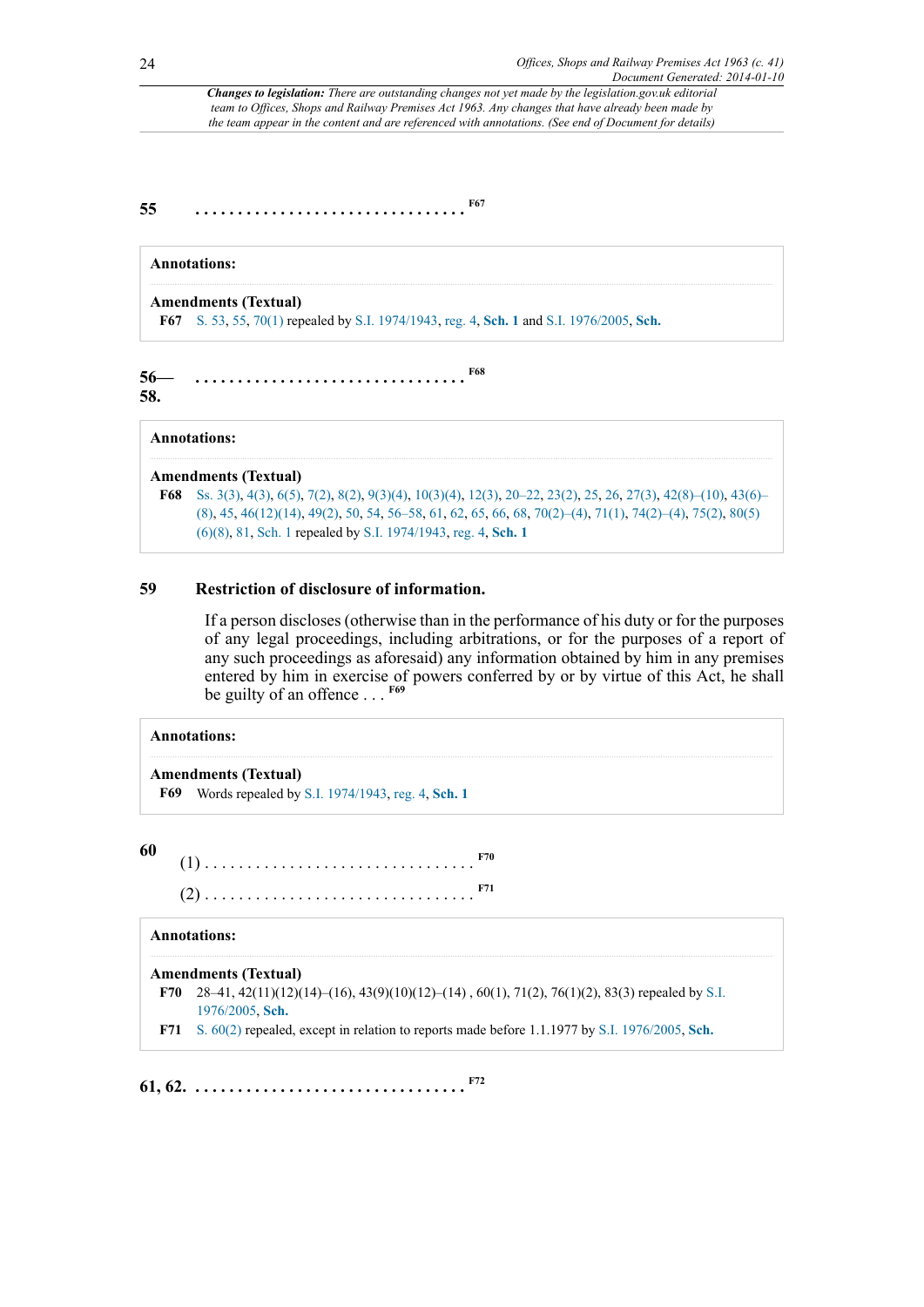**55 . . . . . . . . . . . . . . . . . . . . . . . . . . . . . . . . [F67](#page-23-0)**

## <span id="page-23-1"></span>**Annotations:**

**Amendments (Textual)**

<span id="page-23-3"></span><span id="page-23-0"></span>**[F67](#page-23-1)** [S. 53](http://www.legislation.gov.uk/id/ukpga/1963/41/section/53), [55,](http://www.legislation.gov.uk/id/ukpga/1963/41/section/55) [70\(1\)](http://www.legislation.gov.uk/id/ukpga/1963/41/section/70/1) repealed by [S.I. 1974/1943](http://www.legislation.gov.uk/id/uksi/1974/1943), [reg. 4](http://www.legislation.gov.uk/id/uksi/1974/1943/regulation/4), **[Sch. 1](http://www.legislation.gov.uk/id/uksi/1974/1943/schedule/1)** and [S.I. 1976/2005](http://www.legislation.gov.uk/id/uksi/1976/2005), **[Sch.](http://www.legislation.gov.uk/id/uksi/1976/2005/schedule)**

**56— 58. . . . . . . . . . . . . . . . . . . . . . . . . . . . . . . . . [F68](#page-23-2)**

#### **Annotations:**

#### **Amendments (Textual)**

<span id="page-23-2"></span>**[F68](#page-23-3)** [Ss. 3\(3\),](http://www.legislation.gov.uk/id/ukpga/1963/41/section/3/3) [4\(3\)](http://www.legislation.gov.uk/id/ukpga/1963/41/section/4/3), [6\(5\),](http://www.legislation.gov.uk/id/ukpga/1963/41/section/6/5) [7\(2\)](http://www.legislation.gov.uk/id/ukpga/1963/41/section/7/2), [8\(2\),](http://www.legislation.gov.uk/id/ukpga/1963/41/section/8/2) [9\(3\)\(4\),](http://www.legislation.gov.uk/id/ukpga/1963/41/section/9/3/4) [10\(3\)\(4\)](http://www.legislation.gov.uk/id/ukpga/1963/41/section/10/3/4), [12\(3\)](http://www.legislation.gov.uk/id/ukpga/1963/41/section/12/3), [20–22](http://www.legislation.gov.uk/id/ukpga/1963/41/section/20), [23\(2\)](http://www.legislation.gov.uk/id/ukpga/1963/41/section/23/2), [25,](http://www.legislation.gov.uk/id/ukpga/1963/41/section/25) [26](http://www.legislation.gov.uk/id/ukpga/1963/41/section/26), [27\(3\)](http://www.legislation.gov.uk/id/ukpga/1963/41/section/27/3), [42\(8\)–\(10\),](http://www.legislation.gov.uk/id/ukpga/1963/41/section/42/8) [43\(6\)–](http://www.legislation.gov.uk/id/ukpga/1963/41/section/43/6) [\(8\)](http://www.legislation.gov.uk/id/ukpga/1963/41/section/43/6), [45,](http://www.legislation.gov.uk/id/ukpga/1963/41/section/45) [46\(12\)\(14\)](http://www.legislation.gov.uk/id/ukpga/1963/41/section/46/12/14), [49\(2\)](http://www.legislation.gov.uk/id/ukpga/1963/41/section/49/2), [50,](http://www.legislation.gov.uk/id/ukpga/1963/41/section/50) [54](http://www.legislation.gov.uk/id/ukpga/1963/41/section/54), [56–58](http://www.legislation.gov.uk/id/ukpga/1963/41/section/56), [61,](http://www.legislation.gov.uk/id/ukpga/1963/41/section/61) [62](http://www.legislation.gov.uk/id/ukpga/1963/41/section/62), [65,](http://www.legislation.gov.uk/id/ukpga/1963/41/section/65) [66](http://www.legislation.gov.uk/id/ukpga/1963/41/section/66), [68,](http://www.legislation.gov.uk/id/ukpga/1963/41/section/68) [70\(2\)–\(4\),](http://www.legislation.gov.uk/id/ukpga/1963/41/section/70/2) [71\(1\),](http://www.legislation.gov.uk/id/ukpga/1963/41/section/71/1) [74\(2\)–\(4\),](http://www.legislation.gov.uk/id/ukpga/1963/41/section/74/2) [75\(2\),](http://www.legislation.gov.uk/id/ukpga/1963/41/section/75/2) [80\(5\)](http://www.legislation.gov.uk/id/ukpga/1963/41/section/80/5/6/8) [\(6\)\(8\),](http://www.legislation.gov.uk/id/ukpga/1963/41/section/80/5/6/8) [81](http://www.legislation.gov.uk/id/ukpga/1963/41/section/81), [Sch. 1](http://www.legislation.gov.uk/id/ukpga/1963/41/schedule/1) repealed by [S.I. 1974/1943,](http://www.legislation.gov.uk/id/uksi/1974/1943) [reg. 4,](http://www.legislation.gov.uk/id/uksi/1974/1943/regulation/4) **[Sch. 1](http://www.legislation.gov.uk/id/uksi/1974/1943/schedule/1)**

### **59 Restriction of disclosure of information.**

<span id="page-23-5"></span>If a person discloses (otherwise than in the performance of his duty or for the purposes of any legal proceedings, including arbitrations, or for the purposes of a report of any such proceedings as aforesaid) any information obtained by him in any premises entered by him in exercise of powers conferred by or by virtue of this Act, he shall be guilty of an offence . . . **[F69](#page-23-4)**

#### **Annotations:**

#### **Amendments (Textual)**

<span id="page-23-4"></span>**[F69](#page-23-5)** Words repealed by [S.I. 1974/1943](http://www.legislation.gov.uk/id/uksi/1974/1943), [reg. 4](http://www.legislation.gov.uk/id/uksi/1974/1943/regulation/4), **[Sch. 1](http://www.legislation.gov.uk/id/uksi/1974/1943/schedule/1)**

**60**

<span id="page-23-9"></span><span id="page-23-8"></span>(1) . . . . . . . . . . . . . . . . . . . . . . . . . . . . . . . . **[F70](#page-23-6)** (2) . . . . . . . . . . . . . . . . . . . . . . . . . . . . . . . . **[F71](#page-23-7)**

#### **Annotations:**

#### **Amendments (Textual)**

<span id="page-23-6"></span>**[F70](#page-23-8)** 28–41, 42(11)(12)(14)–(16), 43(9)(10)(12)–(14) , 60(1), 71(2), 76(1)(2), 83(3) repealed by [S.I.](http://www.legislation.gov.uk/id/uksi/1976/2005) [1976/2005](http://www.legislation.gov.uk/id/uksi/1976/2005), **[Sch.](http://www.legislation.gov.uk/id/uksi/1976/2005/schedule)**

<span id="page-23-10"></span><span id="page-23-7"></span>**[F71](#page-23-9)** [S. 60\(2\)](http://www.legislation.gov.uk/id/ukpga/1963/41/section/60/2) repealed, except in relation to reports made before 1.1.1977 by [S.I. 1976/2005](http://www.legislation.gov.uk/id/uksi/1976/2005), **[Sch.](http://www.legislation.gov.uk/id/uksi/1976/2005/schedule)**

**61, 62. . . . . . . . . . . . . . . . . . . . . . . . . . . . . . . . . [F72](#page-24-0)**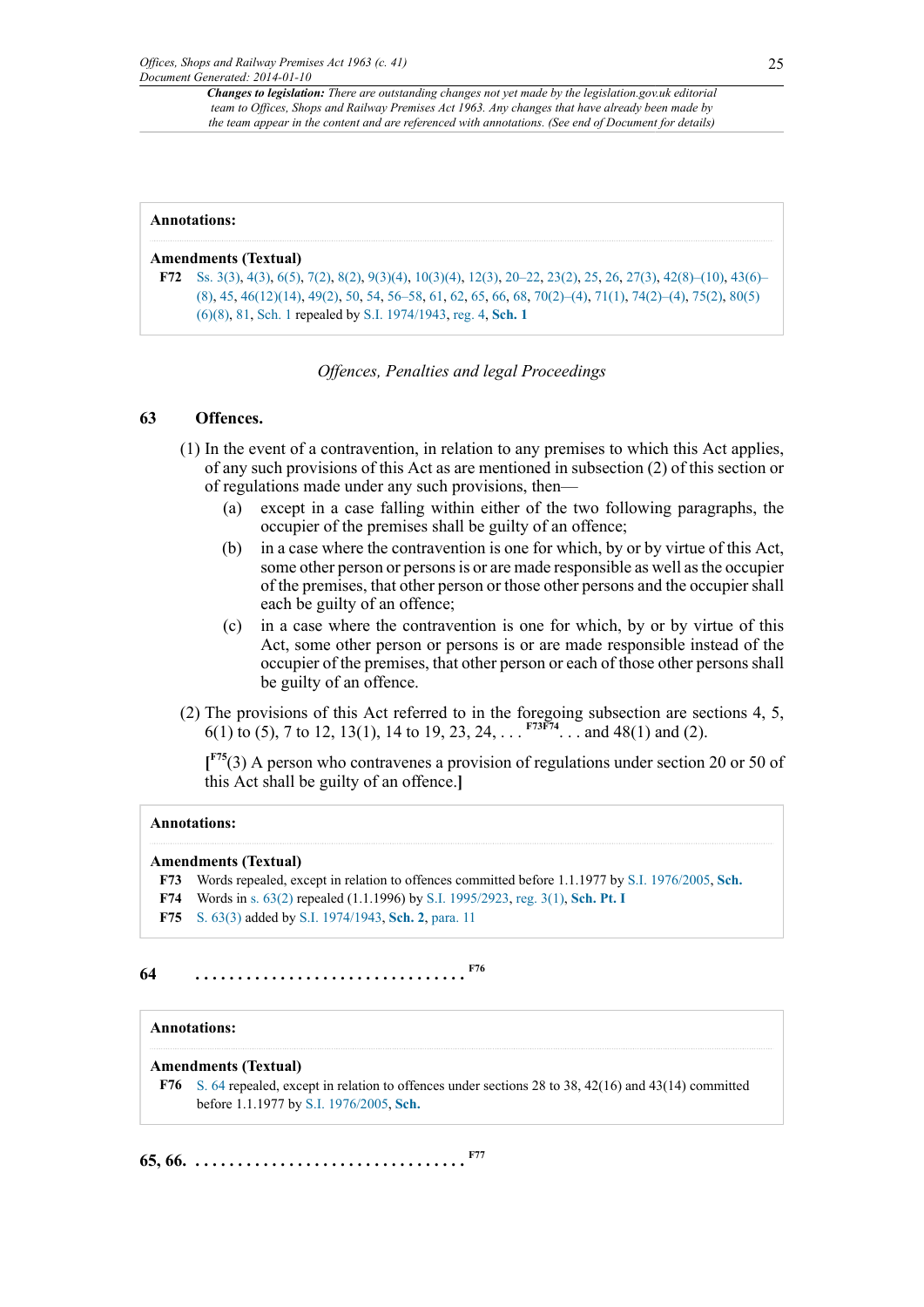#### **Annotations:**

#### **Amendments (Textual)**

<span id="page-24-0"></span>**[F72](#page-23-10)** [Ss. 3\(3\),](http://www.legislation.gov.uk/id/ukpga/1963/41/section/3/3) [4\(3\)](http://www.legislation.gov.uk/id/ukpga/1963/41/section/4/3), [6\(5\),](http://www.legislation.gov.uk/id/ukpga/1963/41/section/6/5) [7\(2\)](http://www.legislation.gov.uk/id/ukpga/1963/41/section/7/2), [8\(2\),](http://www.legislation.gov.uk/id/ukpga/1963/41/section/8/2) [9\(3\)\(4\),](http://www.legislation.gov.uk/id/ukpga/1963/41/section/9/3/4) [10\(3\)\(4\)](http://www.legislation.gov.uk/id/ukpga/1963/41/section/10/3/4), [12\(3\)](http://www.legislation.gov.uk/id/ukpga/1963/41/section/12/3), [20–22](http://www.legislation.gov.uk/id/ukpga/1963/41/section/20), [23\(2\)](http://www.legislation.gov.uk/id/ukpga/1963/41/section/23/2), [25,](http://www.legislation.gov.uk/id/ukpga/1963/41/section/25) [26](http://www.legislation.gov.uk/id/ukpga/1963/41/section/26), [27\(3\)](http://www.legislation.gov.uk/id/ukpga/1963/41/section/27/3), [42\(8\)–\(10\),](http://www.legislation.gov.uk/id/ukpga/1963/41/section/42/8) [43\(6\)–](http://www.legislation.gov.uk/id/ukpga/1963/41/section/43/6) [\(8\)](http://www.legislation.gov.uk/id/ukpga/1963/41/section/43/6), [45,](http://www.legislation.gov.uk/id/ukpga/1963/41/section/45) [46\(12\)\(14\)](http://www.legislation.gov.uk/id/ukpga/1963/41/section/46/12/14), [49\(2\)](http://www.legislation.gov.uk/id/ukpga/1963/41/section/49/2), [50,](http://www.legislation.gov.uk/id/ukpga/1963/41/section/50) [54](http://www.legislation.gov.uk/id/ukpga/1963/41/section/54), [56–58](http://www.legislation.gov.uk/id/ukpga/1963/41/section/56), [61,](http://www.legislation.gov.uk/id/ukpga/1963/41/section/61) [62](http://www.legislation.gov.uk/id/ukpga/1963/41/section/62), [65,](http://www.legislation.gov.uk/id/ukpga/1963/41/section/65) [66](http://www.legislation.gov.uk/id/ukpga/1963/41/section/66), [68,](http://www.legislation.gov.uk/id/ukpga/1963/41/section/68) [70\(2\)–\(4\),](http://www.legislation.gov.uk/id/ukpga/1963/41/section/70/2) [71\(1\),](http://www.legislation.gov.uk/id/ukpga/1963/41/section/71/1) [74\(2\)–\(4\),](http://www.legislation.gov.uk/id/ukpga/1963/41/section/74/2) [75\(2\),](http://www.legislation.gov.uk/id/ukpga/1963/41/section/75/2) [80\(5\)](http://www.legislation.gov.uk/id/ukpga/1963/41/section/80/5/6/8) [\(6\)\(8\),](http://www.legislation.gov.uk/id/ukpga/1963/41/section/80/5/6/8) [81](http://www.legislation.gov.uk/id/ukpga/1963/41/section/81), [Sch. 1](http://www.legislation.gov.uk/id/ukpga/1963/41/schedule/1) repealed by [S.I. 1974/1943,](http://www.legislation.gov.uk/id/uksi/1974/1943) [reg. 4,](http://www.legislation.gov.uk/id/uksi/1974/1943/regulation/4) **[Sch. 1](http://www.legislation.gov.uk/id/uksi/1974/1943/schedule/1)**

#### *Offences, Penalties and legal Proceedings*

#### **63 Offences.**

- (1) In the event of a contravention, in relation to any premises to which this Act applies, of any such provisions of this Act as are mentioned in subsection (2) of this section or of regulations made under any such provisions, then—
	- (a) except in a case falling within either of the two following paragraphs, the occupier of the premises shall be guilty of an offence;
	- (b) in a case where the contravention is one for which, by or by virtue of this Act, some other person or persons is or are made responsible as well as the occupier of the premises, that other person or those other persons and the occupier shall each be guilty of an offence;
	- (c) in a case where the contravention is one for which, by or by virtue of this Act, some other person or persons is or are made responsible instead of the occupier of the premises, that other person or each of those other persons shall be guilty of an offence.
- (2) The provisions of this Act referred to in the foregoing subsection are sections 4, 5, 6(1) to (5), 7 to 12, 13(1), 14 to 19, 23, 24, . . . **[F73](#page-24-1)[F74](#page-24-2)**. . . and 48(1) and (2).

<span id="page-24-6"></span><span id="page-24-5"></span><span id="page-24-4"></span>**[ [F75](#page-24-3)**(3) A person who contravenes a provision of regulations under section 20 or 50 of this Act shall be guilty of an offence.**]**

#### **Annotations:**

#### **Amendments (Textual)**

- <span id="page-24-1"></span>**[F73](#page-24-4)** Words repealed, except in relation to offences committed before 1.1.1977 by [S.I. 1976/2005,](http://www.legislation.gov.uk/id/uksi/1976/2005) **[Sch.](http://www.legislation.gov.uk/id/uksi/1976/2005/schedule)**
- <span id="page-24-2"></span>**[F74](#page-24-5)** Words in [s. 63\(2\)](http://www.legislation.gov.uk/id/ukpga/1963/41/section/63/2) repealed (1.1.1996) by [S.I. 1995/2923](http://www.legislation.gov.uk/id/uksi/1995/2923), [reg. 3\(1\),](http://www.legislation.gov.uk/id/uksi/1995/2923/regulation/3/1) **[Sch. Pt. I](http://www.legislation.gov.uk/id/uksi/1995/2923/schedule/part/I)**
- <span id="page-24-8"></span><span id="page-24-3"></span>**[F75](#page-24-6)** [S. 63\(3\)](http://www.legislation.gov.uk/id/ukpga/1963/41/section/63/3) added by [S.I. 1974/1943](http://www.legislation.gov.uk/id/uksi/1974/1943), **[Sch. 2](http://www.legislation.gov.uk/id/uksi/1974/1943/schedule/2)**, [para. 11](http://www.legislation.gov.uk/id/uksi/1974/1943/paragraph/11)

## **64 . . . . . . . . . . . . . . . . . . . . . . . . . . . . . . . . [F76](#page-24-7)**

## **Annotations:**

#### **Amendments (Textual)**

<span id="page-24-9"></span><span id="page-24-7"></span>**[F76](#page-24-8)** [S. 64](http://www.legislation.gov.uk/id/ukpga/1963/41/section/64) repealed, except in relation to offences under sections 28 to 38, 42(16) and 43(14) committed before 1.1.1977 by [S.I. 1976/2005](http://www.legislation.gov.uk/id/uksi/1976/2005), **[Sch.](http://www.legislation.gov.uk/id/uksi/1976/2005/schedule)**

**65, 66. . . . . . . . . . . . . . . . . . . . . . . . . . . . . . . . . [F77](#page-25-0)**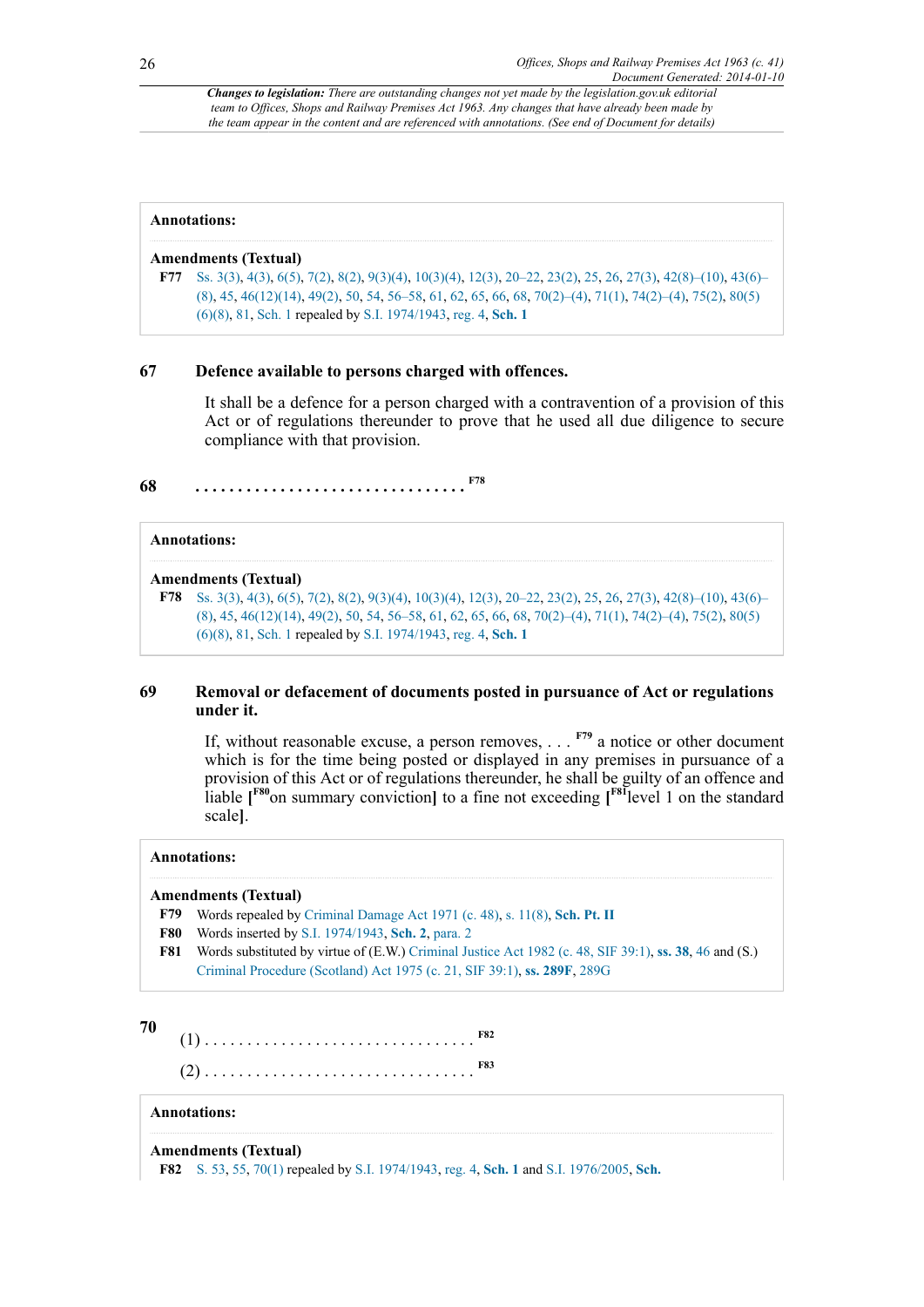<span id="page-25-0"></span>

| Annotations:                                                                                                                                                                                                                                                                                                                             |
|------------------------------------------------------------------------------------------------------------------------------------------------------------------------------------------------------------------------------------------------------------------------------------------------------------------------------------------|
| <b>Amendments (Textual)</b><br><b>F77</b> Ss. 3(3), 4(3), 6(5), 7(2), 8(2), 9(3)(4), 10(3)(4), 12(3), 20–22, 23(2), 25, 26, 27(3), 42(8)–(10), 43(6)–<br>$(8)$ , 45, 46(12)(14), 49(2), 50, 54, 56–58, 61, 62, 65, 66, 68, 70(2)–(4), 71(1), 74(2)–(4), 75(2), 80(5)<br>$(6)(8)$ , 81, Sch. 1 repealed by S.I. 1974/1943, reg. 4, Sch. 1 |

#### **67 Defence available to persons charged with offences.**

<span id="page-25-2"></span>It shall be a defence for a person charged with a contravention of a provision of this Act or of regulations thereunder to prove that he used all due diligence to secure compliance with that provision.

**68 . . . . . . . . . . . . . . . . . . . . . . . . . . . . . . . . [F78](#page-25-1)**

### **Annotations:**

#### **Amendments (Textual)**

<span id="page-25-1"></span>**[F78](#page-25-2)** [Ss. 3\(3\),](http://www.legislation.gov.uk/id/ukpga/1963/41/section/3/3) [4\(3\)](http://www.legislation.gov.uk/id/ukpga/1963/41/section/4/3), [6\(5\),](http://www.legislation.gov.uk/id/ukpga/1963/41/section/6/5) [7\(2\)](http://www.legislation.gov.uk/id/ukpga/1963/41/section/7/2), [8\(2\),](http://www.legislation.gov.uk/id/ukpga/1963/41/section/8/2) [9\(3\)\(4\),](http://www.legislation.gov.uk/id/ukpga/1963/41/section/9/3/4) [10\(3\)\(4\)](http://www.legislation.gov.uk/id/ukpga/1963/41/section/10/3/4), [12\(3\)](http://www.legislation.gov.uk/id/ukpga/1963/41/section/12/3), [20–22](http://www.legislation.gov.uk/id/ukpga/1963/41/section/20), [23\(2\)](http://www.legislation.gov.uk/id/ukpga/1963/41/section/23/2), [25,](http://www.legislation.gov.uk/id/ukpga/1963/41/section/25) [26](http://www.legislation.gov.uk/id/ukpga/1963/41/section/26), [27\(3\)](http://www.legislation.gov.uk/id/ukpga/1963/41/section/27/3), [42\(8\)–\(10\),](http://www.legislation.gov.uk/id/ukpga/1963/41/section/42/8) [43\(6\)–](http://www.legislation.gov.uk/id/ukpga/1963/41/section/43/6) [\(8\)](http://www.legislation.gov.uk/id/ukpga/1963/41/section/43/6), [45,](http://www.legislation.gov.uk/id/ukpga/1963/41/section/45) [46\(12\)\(14\)](http://www.legislation.gov.uk/id/ukpga/1963/41/section/46/12/14), [49\(2\)](http://www.legislation.gov.uk/id/ukpga/1963/41/section/49/2), [50,](http://www.legislation.gov.uk/id/ukpga/1963/41/section/50) [54](http://www.legislation.gov.uk/id/ukpga/1963/41/section/54), [56–58](http://www.legislation.gov.uk/id/ukpga/1963/41/section/56), [61,](http://www.legislation.gov.uk/id/ukpga/1963/41/section/61) [62](http://www.legislation.gov.uk/id/ukpga/1963/41/section/62), [65,](http://www.legislation.gov.uk/id/ukpga/1963/41/section/65) [66](http://www.legislation.gov.uk/id/ukpga/1963/41/section/66), [68,](http://www.legislation.gov.uk/id/ukpga/1963/41/section/68) [70\(2\)–\(4\),](http://www.legislation.gov.uk/id/ukpga/1963/41/section/70/2) [71\(1\),](http://www.legislation.gov.uk/id/ukpga/1963/41/section/71/1) [74\(2\)–\(4\),](http://www.legislation.gov.uk/id/ukpga/1963/41/section/74/2) [75\(2\),](http://www.legislation.gov.uk/id/ukpga/1963/41/section/75/2) [80\(5\)](http://www.legislation.gov.uk/id/ukpga/1963/41/section/80/5/6/8) [\(6\)\(8\),](http://www.legislation.gov.uk/id/ukpga/1963/41/section/80/5/6/8) [81](http://www.legislation.gov.uk/id/ukpga/1963/41/section/81), [Sch. 1](http://www.legislation.gov.uk/id/ukpga/1963/41/schedule/1) repealed by [S.I. 1974/1943,](http://www.legislation.gov.uk/id/uksi/1974/1943) [reg. 4,](http://www.legislation.gov.uk/id/uksi/1974/1943/regulation/4) **[Sch. 1](http://www.legislation.gov.uk/id/uksi/1974/1943/schedule/1)**

#### **69 Removal or defacement of documents posted in pursuance of Act or regulations under it.**

<span id="page-25-8"></span><span id="page-25-7"></span><span id="page-25-6"></span>If, without reasonable excuse, a person removes, . . . **[F79](#page-25-3)** a notice or other document which is for the time being posted or displayed in any premises in pursuance of a provision of this Act or of regulations thereunder, he shall be guilty of an offence and liable **[ [F80](#page-25-4)**on summary conviction**]** to a fine not exceeding **[ [F81](#page-25-5)**level 1 on the standard scale**]**.

#### **Annotations:**

#### **Amendments (Textual)**

- <span id="page-25-3"></span>**[F79](#page-25-6)** Words repealed by [Criminal Damage Act 1971 \(c. 48\),](http://www.legislation.gov.uk/id/ukpga/1971/48) [s. 11\(8\)](http://www.legislation.gov.uk/id/ukpga/1971/48/section/11/8), **[Sch. Pt. II](http://www.legislation.gov.uk/id/ukpga/1971/48/schedule/part/II)**
- <span id="page-25-4"></span>**[F80](#page-25-7)** Words inserted by [S.I. 1974/1943](http://www.legislation.gov.uk/id/uksi/1974/1943), **[Sch. 2](http://www.legislation.gov.uk/id/uksi/1974/1943/schedule/2)**, [para. 2](http://www.legislation.gov.uk/id/uksi/1974/1943/paragraph/2)
- <span id="page-25-5"></span>**[F81](#page-25-8)** Words substituted by virtue of (E.W.) [Criminal Justice Act 1982 \(c. 48, SIF 39:1\)](http://www.legislation.gov.uk/id/ukpga/1982/48), **[ss. 38](http://www.legislation.gov.uk/id/ukpga/1982/48/section/38)**, [46](http://www.legislation.gov.uk/id/ukpga/1982/48/section/46) and (S.) [Criminal Procedure \(Scotland\) Act 1975 \(c. 21, SIF 39:1\)](http://www.legislation.gov.uk/id/ukpga/1975/21), **[ss. 289F](http://www.legislation.gov.uk/id/ukpga/1975/21/section/289F)**, [289G](http://www.legislation.gov.uk/id/ukpga/1975/21/section/289G)

#### **70**

<span id="page-25-11"></span><span id="page-25-10"></span>(1) . . . . . . . . . . . . . . . . . . . . . . . . . . . . . . . . **[F82](#page-25-9)** (2) . . . . . . . . . . . . . . . . . . . . . . . . . . . . . . . . **[F83](#page-26-0)**

#### **Annotations:**

**Amendments (Textual)**

<span id="page-25-9"></span>**[F82](#page-25-10)** [S. 53](http://www.legislation.gov.uk/id/ukpga/1963/41/section/53), [55,](http://www.legislation.gov.uk/id/ukpga/1963/41/section/55) [70\(1\)](http://www.legislation.gov.uk/id/ukpga/1963/41/section/70/1) repealed by [S.I. 1974/1943](http://www.legislation.gov.uk/id/uksi/1974/1943), [reg. 4](http://www.legislation.gov.uk/id/uksi/1974/1943/regulation/4), **[Sch. 1](http://www.legislation.gov.uk/id/uksi/1974/1943/schedule/1)** and [S.I. 1976/2005](http://www.legislation.gov.uk/id/uksi/1976/2005), **[Sch.](http://www.legislation.gov.uk/id/uksi/1976/2005/schedule)**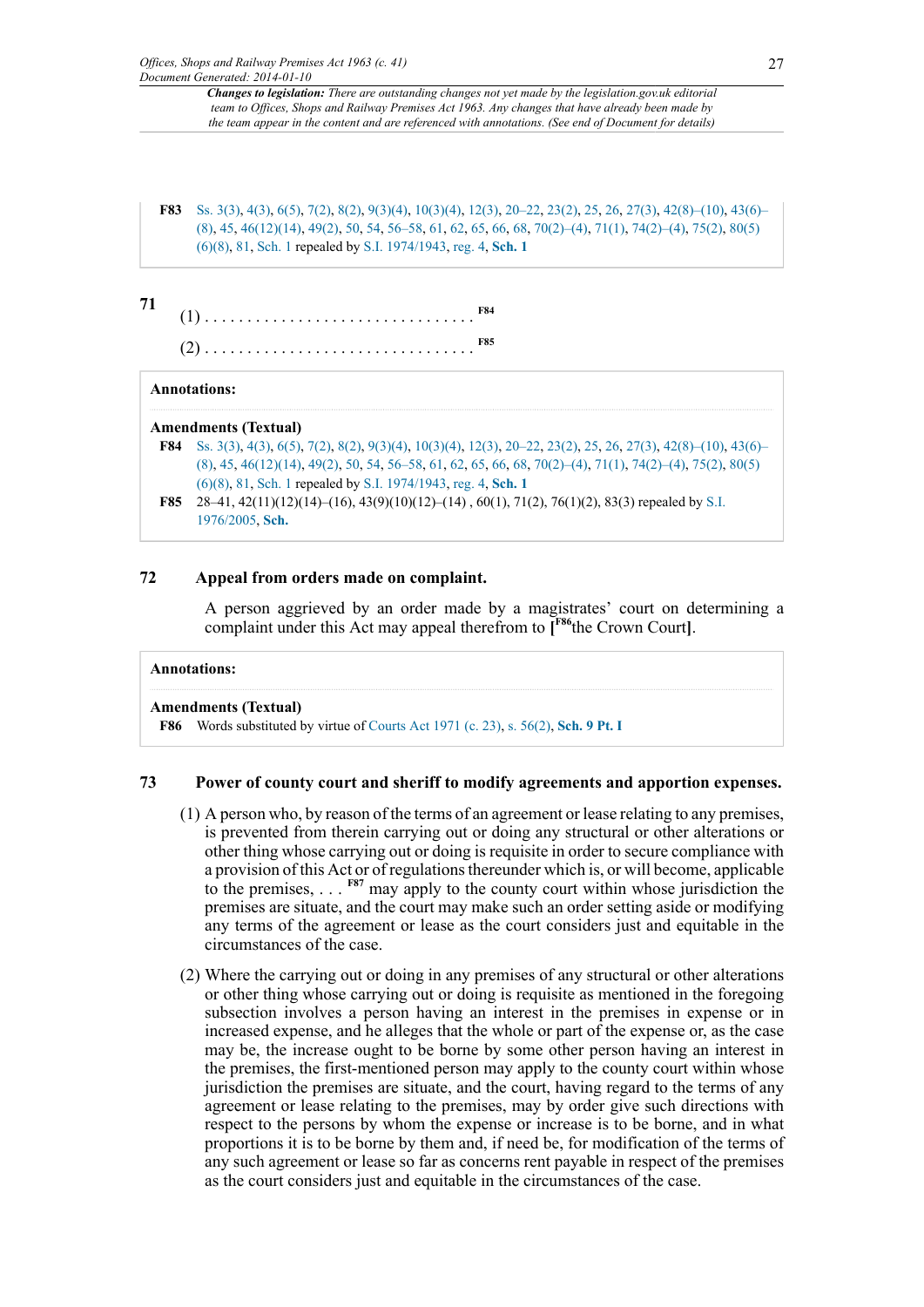<span id="page-26-3"></span><span id="page-26-0"></span>**[F83](#page-25-11)** [Ss. 3\(3\),](http://www.legislation.gov.uk/id/ukpga/1963/41/section/3/3) [4\(3\)](http://www.legislation.gov.uk/id/ukpga/1963/41/section/4/3), [6\(5\),](http://www.legislation.gov.uk/id/ukpga/1963/41/section/6/5) [7\(2\)](http://www.legislation.gov.uk/id/ukpga/1963/41/section/7/2), [8\(2\),](http://www.legislation.gov.uk/id/ukpga/1963/41/section/8/2) [9\(3\)\(4\),](http://www.legislation.gov.uk/id/ukpga/1963/41/section/9/3/4) [10\(3\)\(4\)](http://www.legislation.gov.uk/id/ukpga/1963/41/section/10/3/4), [12\(3\)](http://www.legislation.gov.uk/id/ukpga/1963/41/section/12/3), [20–22](http://www.legislation.gov.uk/id/ukpga/1963/41/section/20), [23\(2\)](http://www.legislation.gov.uk/id/ukpga/1963/41/section/23/2), [25,](http://www.legislation.gov.uk/id/ukpga/1963/41/section/25) [26](http://www.legislation.gov.uk/id/ukpga/1963/41/section/26), [27\(3\)](http://www.legislation.gov.uk/id/ukpga/1963/41/section/27/3), [42\(8\)–\(10\),](http://www.legislation.gov.uk/id/ukpga/1963/41/section/42/8) [43\(6\)–](http://www.legislation.gov.uk/id/ukpga/1963/41/section/43/6) [\(8\)](http://www.legislation.gov.uk/id/ukpga/1963/41/section/43/6), [45,](http://www.legislation.gov.uk/id/ukpga/1963/41/section/45) [46\(12\)\(14\)](http://www.legislation.gov.uk/id/ukpga/1963/41/section/46/12/14), [49\(2\)](http://www.legislation.gov.uk/id/ukpga/1963/41/section/49/2), [50,](http://www.legislation.gov.uk/id/ukpga/1963/41/section/50) [54](http://www.legislation.gov.uk/id/ukpga/1963/41/section/54), [56–58](http://www.legislation.gov.uk/id/ukpga/1963/41/section/56), [61,](http://www.legislation.gov.uk/id/ukpga/1963/41/section/61) [62](http://www.legislation.gov.uk/id/ukpga/1963/41/section/62), [65,](http://www.legislation.gov.uk/id/ukpga/1963/41/section/65) [66](http://www.legislation.gov.uk/id/ukpga/1963/41/section/66), [68,](http://www.legislation.gov.uk/id/ukpga/1963/41/section/68) [70\(2\)–\(4\),](http://www.legislation.gov.uk/id/ukpga/1963/41/section/70/2) [71\(1\),](http://www.legislation.gov.uk/id/ukpga/1963/41/section/71/1) [74\(2\)–\(4\),](http://www.legislation.gov.uk/id/ukpga/1963/41/section/74/2) [75\(2\),](http://www.legislation.gov.uk/id/ukpga/1963/41/section/75/2) [80\(5\)](http://www.legislation.gov.uk/id/ukpga/1963/41/section/80/5/6/8) [\(6\)\(8\),](http://www.legislation.gov.uk/id/ukpga/1963/41/section/80/5/6/8) [81](http://www.legislation.gov.uk/id/ukpga/1963/41/section/81), [Sch. 1](http://www.legislation.gov.uk/id/ukpga/1963/41/schedule/1) repealed by [S.I. 1974/1943,](http://www.legislation.gov.uk/id/uksi/1974/1943) [reg. 4,](http://www.legislation.gov.uk/id/uksi/1974/1943/regulation/4) **[Sch. 1](http://www.legislation.gov.uk/id/uksi/1974/1943/schedule/1)**

| 71 | F84. |
|----|------|
|    | F85  |

### <span id="page-26-4"></span>**Annotations:**

### **Amendments (Textual)**

- <span id="page-26-1"></span>**[F84](#page-26-3)** [Ss. 3\(3\),](http://www.legislation.gov.uk/id/ukpga/1963/41/section/3/3) [4\(3\)](http://www.legislation.gov.uk/id/ukpga/1963/41/section/4/3), [6\(5\),](http://www.legislation.gov.uk/id/ukpga/1963/41/section/6/5) [7\(2\)](http://www.legislation.gov.uk/id/ukpga/1963/41/section/7/2), [8\(2\),](http://www.legislation.gov.uk/id/ukpga/1963/41/section/8/2) [9\(3\)\(4\),](http://www.legislation.gov.uk/id/ukpga/1963/41/section/9/3/4) [10\(3\)\(4\)](http://www.legislation.gov.uk/id/ukpga/1963/41/section/10/3/4), [12\(3\)](http://www.legislation.gov.uk/id/ukpga/1963/41/section/12/3), [20–22](http://www.legislation.gov.uk/id/ukpga/1963/41/section/20), [23\(2\)](http://www.legislation.gov.uk/id/ukpga/1963/41/section/23/2), [25,](http://www.legislation.gov.uk/id/ukpga/1963/41/section/25) [26](http://www.legislation.gov.uk/id/ukpga/1963/41/section/26), [27\(3\)](http://www.legislation.gov.uk/id/ukpga/1963/41/section/27/3), [42\(8\)–\(10\),](http://www.legislation.gov.uk/id/ukpga/1963/41/section/42/8) [43\(6\)–](http://www.legislation.gov.uk/id/ukpga/1963/41/section/43/6) [\(8\)](http://www.legislation.gov.uk/id/ukpga/1963/41/section/43/6), [45,](http://www.legislation.gov.uk/id/ukpga/1963/41/section/45) [46\(12\)\(14\)](http://www.legislation.gov.uk/id/ukpga/1963/41/section/46/12/14), [49\(2\)](http://www.legislation.gov.uk/id/ukpga/1963/41/section/49/2), [50,](http://www.legislation.gov.uk/id/ukpga/1963/41/section/50) [54](http://www.legislation.gov.uk/id/ukpga/1963/41/section/54), [56–58](http://www.legislation.gov.uk/id/ukpga/1963/41/section/56), [61,](http://www.legislation.gov.uk/id/ukpga/1963/41/section/61) [62](http://www.legislation.gov.uk/id/ukpga/1963/41/section/62), [65,](http://www.legislation.gov.uk/id/ukpga/1963/41/section/65) [66](http://www.legislation.gov.uk/id/ukpga/1963/41/section/66), [68,](http://www.legislation.gov.uk/id/ukpga/1963/41/section/68) [70\(2\)–\(4\),](http://www.legislation.gov.uk/id/ukpga/1963/41/section/70/2) [71\(1\),](http://www.legislation.gov.uk/id/ukpga/1963/41/section/71/1) [74\(2\)–\(4\),](http://www.legislation.gov.uk/id/ukpga/1963/41/section/74/2) [75\(2\),](http://www.legislation.gov.uk/id/ukpga/1963/41/section/75/2) [80\(5\)](http://www.legislation.gov.uk/id/ukpga/1963/41/section/80/5/6/8) [\(6\)\(8\),](http://www.legislation.gov.uk/id/ukpga/1963/41/section/80/5/6/8) [81](http://www.legislation.gov.uk/id/ukpga/1963/41/section/81), [Sch. 1](http://www.legislation.gov.uk/id/ukpga/1963/41/schedule/1) repealed by [S.I. 1974/1943,](http://www.legislation.gov.uk/id/uksi/1974/1943) [reg. 4,](http://www.legislation.gov.uk/id/uksi/1974/1943/regulation/4) **[Sch. 1](http://www.legislation.gov.uk/id/uksi/1974/1943/schedule/1)**
- <span id="page-26-2"></span>**[F85](#page-26-4)** 28–41, 42(11)(12)(14)–(16), 43(9)(10)(12)–(14) , 60(1), 71(2), 76(1)(2), 83(3) repealed by [S.I.](http://www.legislation.gov.uk/id/uksi/1976/2005) [1976/2005](http://www.legislation.gov.uk/id/uksi/1976/2005), **[Sch.](http://www.legislation.gov.uk/id/uksi/1976/2005/schedule)**

## **72 Appeal from orders made on complaint.**

<span id="page-26-6"></span>A person aggrieved by an order made by a magistrates' court on determining a complaint under this Act may appeal therefrom to **[ [F86](#page-26-5)**the Crown Court**]**.

```
Annotations:
```
### **Amendments (Textual)**

<span id="page-26-5"></span>**[F86](#page-26-6)** Words substituted by virtue of [Courts Act 1971 \(c. 23\),](http://www.legislation.gov.uk/id/ukpga/1971/23) [s. 56\(2\),](http://www.legislation.gov.uk/id/ukpga/1971/23/section/56/2) **[Sch. 9 Pt. I](http://www.legislation.gov.uk/id/ukpga/1971/23/schedule/9/part/I)**

## **73 Power of county court and sheriff to modify agreements and apportion expenses.**

- <span id="page-26-7"></span>(1) A person who, by reason of the terms of an agreement or lease relating to any premises, is prevented from therein carrying out or doing any structural or other alterations or other thing whose carrying out or doing is requisite in order to secure compliance with a provision of this Act or of regulations thereunder which is, or will become, applicable to the premises, . . . **[F87](#page-27-0)** may apply to the county court within whose jurisdiction the premises are situate, and the court may make such an order setting aside or modifying any terms of the agreement or lease as the court considers just and equitable in the circumstances of the case.
- (2) Where the carrying out or doing in any premises of any structural or other alterations or other thing whose carrying out or doing is requisite as mentioned in the foregoing subsection involves a person having an interest in the premises in expense or in increased expense, and he alleges that the whole or part of the expense or, as the case may be, the increase ought to be borne by some other person having an interest in the premises, the first-mentioned person may apply to the county court within whose jurisdiction the premises are situate, and the court, having regard to the terms of any agreement or lease relating to the premises, may by order give such directions with respect to the persons by whom the expense or increase is to be borne, and in what proportions it is to be borne by them and, if need be, for modification of the terms of any such agreement or lease so far as concerns rent payable in respect of the premises as the court considers just and equitable in the circumstances of the case.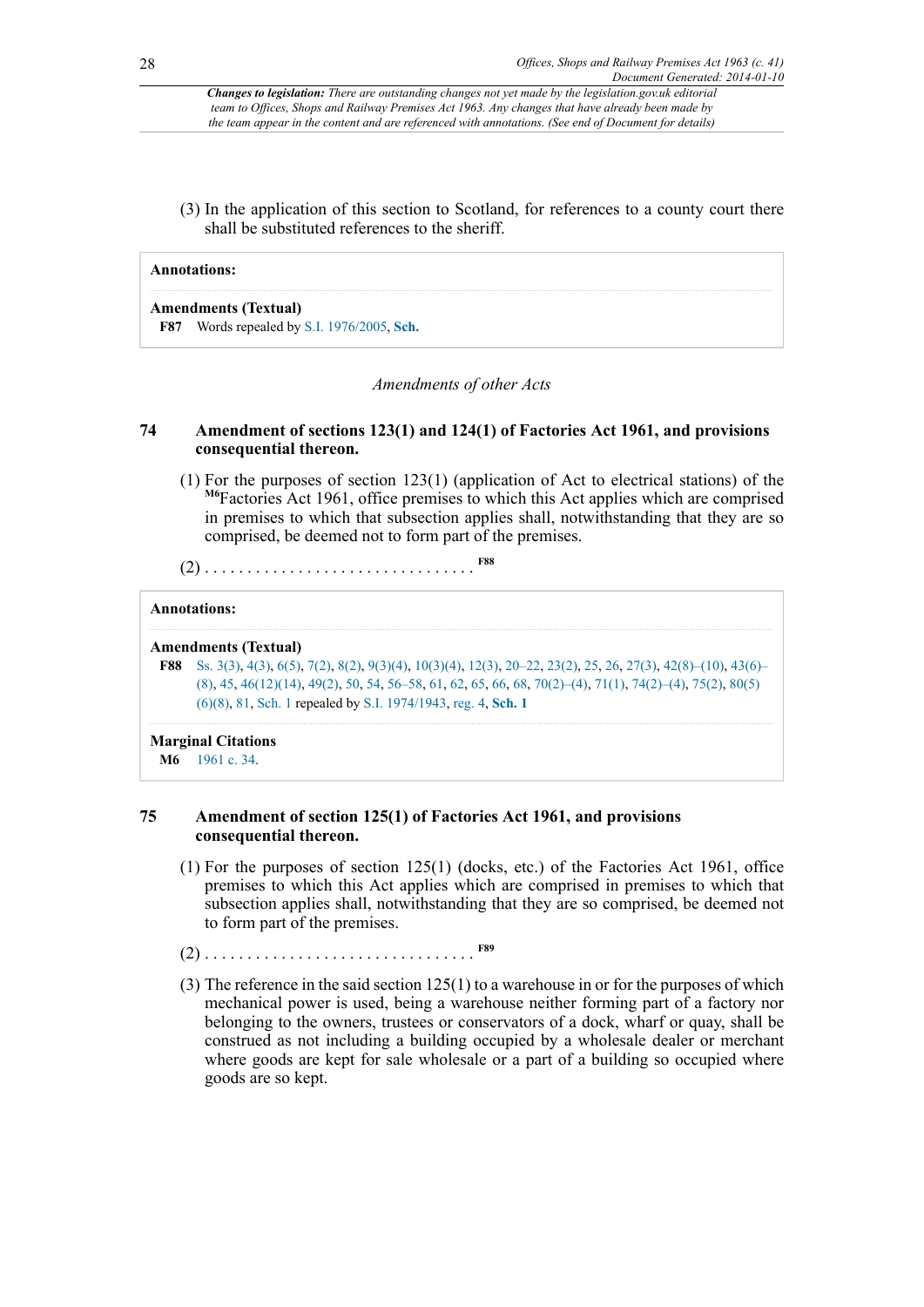(3) In the application of this section to Scotland, for references to a county court there shall be substituted references to the sheriff.

#### **Annotations:**

<span id="page-27-0"></span>**Amendments (Textual) [F87](#page-26-7)** Words repealed by [S.I. 1976/2005](http://www.legislation.gov.uk/id/uksi/1976/2005), **[Sch.](http://www.legislation.gov.uk/id/uksi/1976/2005/schedule)**

#### <span id="page-27-3"></span>*Amendments of other Acts*

#### **74 Amendment of sections 123(1) and 124(1) of Factories Act 1961, and provisions consequential thereon.**

<span id="page-27-4"></span>(1) For the purposes of section 123(1) (application of Act to electrical stations) of the <sup>[M6](#page-27-1)</sup>Factories Act 1961, office premises to which this Act applies which are comprised in premises to which that subsection applies shall, notwithstanding that they are so comprised, be deemed not to form part of the premises.

(2) . . . . . . . . . . . . . . . . . . . . . . . . . . . . . . . . **[F88](#page-27-2)**

#### **Annotations:**

#### **Amendments (Textual)**

<span id="page-27-2"></span>**[F88](#page-27-3)** [Ss. 3\(3\),](http://www.legislation.gov.uk/id/ukpga/1963/41/section/3/3) [4\(3\)](http://www.legislation.gov.uk/id/ukpga/1963/41/section/4/3), [6\(5\),](http://www.legislation.gov.uk/id/ukpga/1963/41/section/6/5) [7\(2\)](http://www.legislation.gov.uk/id/ukpga/1963/41/section/7/2), [8\(2\),](http://www.legislation.gov.uk/id/ukpga/1963/41/section/8/2) [9\(3\)\(4\),](http://www.legislation.gov.uk/id/ukpga/1963/41/section/9/3/4) [10\(3\)\(4\)](http://www.legislation.gov.uk/id/ukpga/1963/41/section/10/3/4), [12\(3\)](http://www.legislation.gov.uk/id/ukpga/1963/41/section/12/3), [20–22](http://www.legislation.gov.uk/id/ukpga/1963/41/section/20), [23\(2\)](http://www.legislation.gov.uk/id/ukpga/1963/41/section/23/2), [25,](http://www.legislation.gov.uk/id/ukpga/1963/41/section/25) [26](http://www.legislation.gov.uk/id/ukpga/1963/41/section/26), [27\(3\)](http://www.legislation.gov.uk/id/ukpga/1963/41/section/27/3), [42\(8\)–\(10\),](http://www.legislation.gov.uk/id/ukpga/1963/41/section/42/8) [43\(6\)–](http://www.legislation.gov.uk/id/ukpga/1963/41/section/43/6) [\(8\)](http://www.legislation.gov.uk/id/ukpga/1963/41/section/43/6), [45,](http://www.legislation.gov.uk/id/ukpga/1963/41/section/45) [46\(12\)\(14\)](http://www.legislation.gov.uk/id/ukpga/1963/41/section/46/12/14), [49\(2\)](http://www.legislation.gov.uk/id/ukpga/1963/41/section/49/2), [50,](http://www.legislation.gov.uk/id/ukpga/1963/41/section/50) [54](http://www.legislation.gov.uk/id/ukpga/1963/41/section/54), [56–58](http://www.legislation.gov.uk/id/ukpga/1963/41/section/56), [61,](http://www.legislation.gov.uk/id/ukpga/1963/41/section/61) [62](http://www.legislation.gov.uk/id/ukpga/1963/41/section/62), [65,](http://www.legislation.gov.uk/id/ukpga/1963/41/section/65) [66](http://www.legislation.gov.uk/id/ukpga/1963/41/section/66), [68,](http://www.legislation.gov.uk/id/ukpga/1963/41/section/68) [70\(2\)–\(4\),](http://www.legislation.gov.uk/id/ukpga/1963/41/section/70/2) [71\(1\),](http://www.legislation.gov.uk/id/ukpga/1963/41/section/71/1) [74\(2\)–\(4\),](http://www.legislation.gov.uk/id/ukpga/1963/41/section/74/2) [75\(2\),](http://www.legislation.gov.uk/id/ukpga/1963/41/section/75/2) [80\(5\)](http://www.legislation.gov.uk/id/ukpga/1963/41/section/80/5/6/8) [\(6\)\(8\),](http://www.legislation.gov.uk/id/ukpga/1963/41/section/80/5/6/8) [81](http://www.legislation.gov.uk/id/ukpga/1963/41/section/81), [Sch. 1](http://www.legislation.gov.uk/id/ukpga/1963/41/schedule/1) repealed by [S.I. 1974/1943,](http://www.legislation.gov.uk/id/uksi/1974/1943) [reg. 4,](http://www.legislation.gov.uk/id/uksi/1974/1943/regulation/4) **[Sch. 1](http://www.legislation.gov.uk/id/uksi/1974/1943/schedule/1)**

## **Marginal Citations**

### **75 Amendment of section 125(1) of Factories Act 1961, and provisions consequential thereon.**

- (1) For the purposes of section 125(1) (docks, etc.) of the Factories Act 1961, office premises to which this Act applies which are comprised in premises to which that subsection applies shall, notwithstanding that they are so comprised, be deemed not to form part of the premises.
- <span id="page-27-5"></span>(2) . . . . . . . . . . . . . . . . . . . . . . . . . . . . . . . . **[F89](#page-28-0)**
- (3) The reference in the said section 125(1) to a warehouse in or for the purposes of which mechanical power is used, being a warehouse neither forming part of a factory nor belonging to the owners, trustees or conservators of a dock, wharf or quay, shall be construed as not including a building occupied by a wholesale dealer or merchant where goods are kept for sale wholesale or a part of a building so occupied where goods are so kept.

<span id="page-27-1"></span>**[M6](#page-27-4)** [1961 c. 34](http://www.legislation.gov.uk/id/ukpga/1961/34).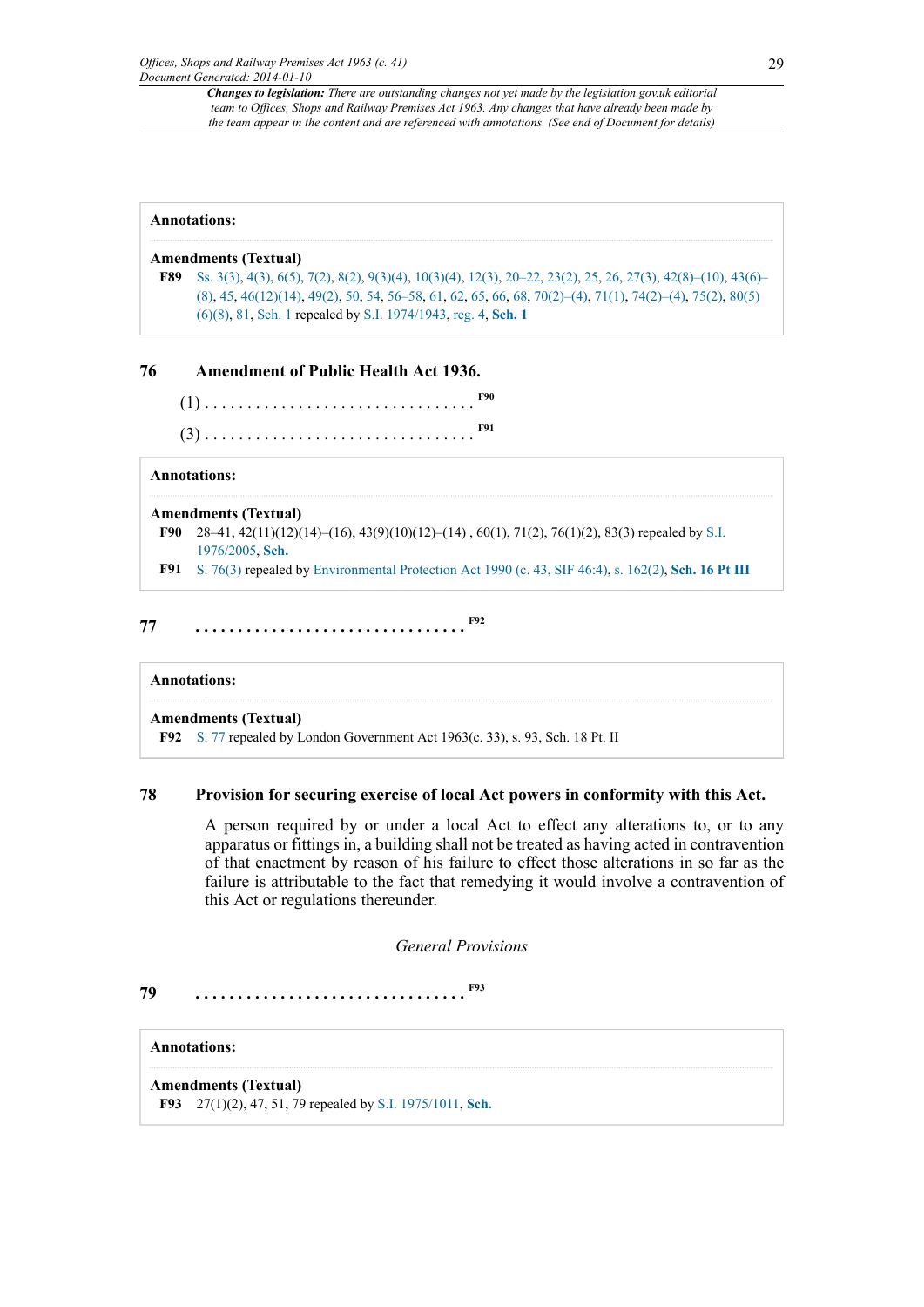#### **Annotations:**

#### **Amendments (Textual)**

<span id="page-28-0"></span>**[F89](#page-27-5)** [Ss. 3\(3\),](http://www.legislation.gov.uk/id/ukpga/1963/41/section/3/3) [4\(3\)](http://www.legislation.gov.uk/id/ukpga/1963/41/section/4/3), [6\(5\),](http://www.legislation.gov.uk/id/ukpga/1963/41/section/6/5) [7\(2\)](http://www.legislation.gov.uk/id/ukpga/1963/41/section/7/2), [8\(2\),](http://www.legislation.gov.uk/id/ukpga/1963/41/section/8/2) [9\(3\)\(4\),](http://www.legislation.gov.uk/id/ukpga/1963/41/section/9/3/4) [10\(3\)\(4\)](http://www.legislation.gov.uk/id/ukpga/1963/41/section/10/3/4), [12\(3\)](http://www.legislation.gov.uk/id/ukpga/1963/41/section/12/3), [20–22](http://www.legislation.gov.uk/id/ukpga/1963/41/section/20), [23\(2\)](http://www.legislation.gov.uk/id/ukpga/1963/41/section/23/2), [25,](http://www.legislation.gov.uk/id/ukpga/1963/41/section/25) [26](http://www.legislation.gov.uk/id/ukpga/1963/41/section/26), [27\(3\)](http://www.legislation.gov.uk/id/ukpga/1963/41/section/27/3), [42\(8\)–\(10\),](http://www.legislation.gov.uk/id/ukpga/1963/41/section/42/8) [43\(6\)–](http://www.legislation.gov.uk/id/ukpga/1963/41/section/43/6) [\(8\)](http://www.legislation.gov.uk/id/ukpga/1963/41/section/43/6), [45,](http://www.legislation.gov.uk/id/ukpga/1963/41/section/45) [46\(12\)\(14\)](http://www.legislation.gov.uk/id/ukpga/1963/41/section/46/12/14), [49\(2\)](http://www.legislation.gov.uk/id/ukpga/1963/41/section/49/2), [50,](http://www.legislation.gov.uk/id/ukpga/1963/41/section/50) [54](http://www.legislation.gov.uk/id/ukpga/1963/41/section/54), [56–58](http://www.legislation.gov.uk/id/ukpga/1963/41/section/56), [61,](http://www.legislation.gov.uk/id/ukpga/1963/41/section/61) [62](http://www.legislation.gov.uk/id/ukpga/1963/41/section/62), [65,](http://www.legislation.gov.uk/id/ukpga/1963/41/section/65) [66](http://www.legislation.gov.uk/id/ukpga/1963/41/section/66), [68,](http://www.legislation.gov.uk/id/ukpga/1963/41/section/68) [70\(2\)–\(4\),](http://www.legislation.gov.uk/id/ukpga/1963/41/section/70/2) [71\(1\),](http://www.legislation.gov.uk/id/ukpga/1963/41/section/71/1) [74\(2\)–\(4\),](http://www.legislation.gov.uk/id/ukpga/1963/41/section/74/2) [75\(2\),](http://www.legislation.gov.uk/id/ukpga/1963/41/section/75/2) [80\(5\)](http://www.legislation.gov.uk/id/ukpga/1963/41/section/80/5/6/8) [\(6\)\(8\),](http://www.legislation.gov.uk/id/ukpga/1963/41/section/80/5/6/8) [81](http://www.legislation.gov.uk/id/ukpga/1963/41/section/81), [Sch. 1](http://www.legislation.gov.uk/id/ukpga/1963/41/schedule/1) repealed by [S.I. 1974/1943,](http://www.legislation.gov.uk/id/uksi/1974/1943) [reg. 4,](http://www.legislation.gov.uk/id/uksi/1974/1943/regulation/4) **[Sch. 1](http://www.legislation.gov.uk/id/uksi/1974/1943/schedule/1)**

### **76 Amendment of Public Health Act 1936.**

<span id="page-28-4"></span><span id="page-28-3"></span>(1) . . . . . . . . . . . . . . . . . . . . . . . . . . . . . . . . **[F90](#page-28-1)** (3) . . . . . . . . . . . . . . . . . . . . . . . . . . . . . . . . **[F91](#page-28-2)**

### **Annotations:**

#### **Amendments (Textual)**

<span id="page-28-1"></span>**[F90](#page-28-3)** 28–41, 42(11)(12)(14)–(16), 43(9)(10)(12)–(14) , 60(1), 71(2), 76(1)(2), 83(3) repealed by [S.I.](http://www.legislation.gov.uk/id/uksi/1976/2005) [1976/2005](http://www.legislation.gov.uk/id/uksi/1976/2005), **[Sch.](http://www.legislation.gov.uk/id/uksi/1976/2005/schedule)**

<span id="page-28-6"></span><span id="page-28-2"></span>**[F91](#page-28-4)** [S. 76\(3\)](http://www.legislation.gov.uk/id/ukpga/1963/41/section/76/3) repealed by [Environmental Protection Act 1990 \(c. 43, SIF 46:4\),](http://www.legislation.gov.uk/id/ukpga/1990/43) [s. 162\(2\)](http://www.legislation.gov.uk/id/ukpga/1990/43/section/162/2), **[Sch. 16 Pt III](http://www.legislation.gov.uk/id/ukpga/1990/43/schedule/16)**

## **77 . . . . . . . . . . . . . . . . . . . . . . . . . . . . . . . . [F92](#page-28-5)**

#### **Annotations:**

#### **Amendments (Textual)**

<span id="page-28-5"></span>**[F92](#page-28-6)** [S. 77](http://www.legislation.gov.uk/id/ukpga/1963/41/section/77) repealed by London Government Act 1963(c. 33), s. 93, Sch. 18 Pt. II

### **78 Provision for securing exercise of local Act powers in conformity with this Act.**

A person required by or under a local Act to effect any alterations to, or to any apparatus or fittings in, a building shall not be treated as having acted in contravention of that enactment by reason of his failure to effect those alterations in so far as the failure is attributable to the fact that remedying it would involve a contravention of this Act or regulations thereunder.

<span id="page-28-8"></span>*General Provisions*

**79 . . . . . . . . . . . . . . . . . . . . . . . . . . . . . . . . [F93](#page-28-7)**

#### **Annotations:**

<span id="page-28-7"></span>**Amendments (Textual) [F93](#page-28-8)** 27(1)(2), 47, 51, 79 repealed by [S.I. 1975/1011](http://www.legislation.gov.uk/id/uksi/1975/1011), **[Sch.](http://www.legislation.gov.uk/id/uksi/1975/1011/schedule)**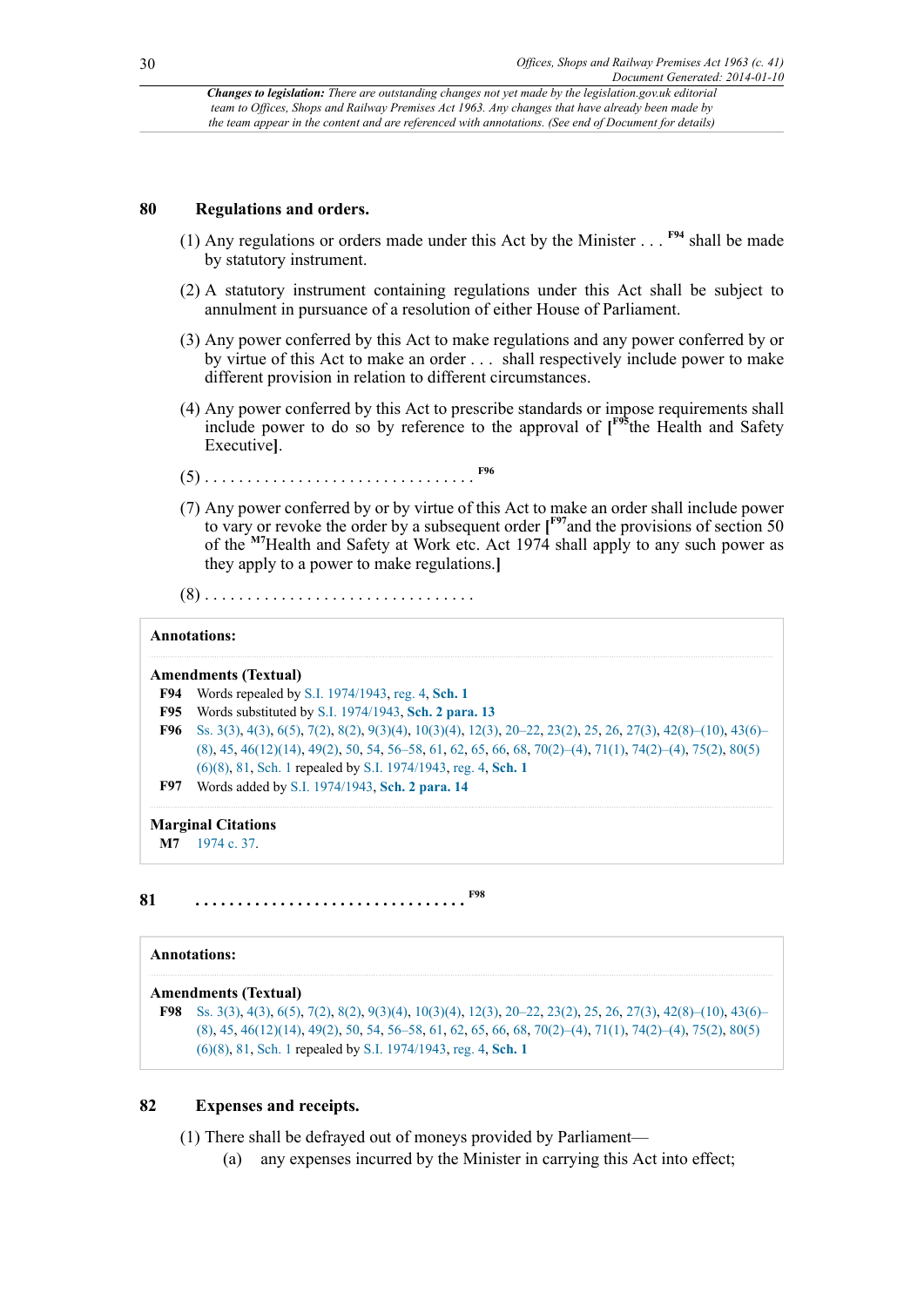#### **80 Regulations and orders.**

- <span id="page-29-5"></span>(1) Any regulations or orders made under this Act by the Minister . . . **[F94](#page-29-0)** shall be made by statutory instrument.
- (2) A statutory instrument containing regulations under this Act shall be subject to annulment in pursuance of a resolution of either House of Parliament.
- (3) Any power conferred by this Act to make regulations and any power conferred by or by virtue of this Act to make an order . . . shall respectively include power to make different provision in relation to different circumstances.
- <span id="page-29-6"></span>(4) Any power conferred by this Act to prescribe standards or impose requirements shall include power to do so by reference to the approval of **[ [F95](#page-29-1)**the Health and Safety Executive**]**.
- <span id="page-29-8"></span><span id="page-29-7"></span>(5) . . . . . . . . . . . . . . . . . . . . . . . . . . . . . . . . **[F96](#page-29-2)**
- <span id="page-29-9"></span>(7) Any power conferred by or by virtue of this Act to make an order shall include power to vary or revoke the order by a subsequent order **[ [F97](#page-29-3)**and the provisions of section 50 of the **[M7](#page-29-4)**Health and Safety at Work etc. Act 1974 shall apply to any such power as they apply to a power to make regulations.**]**

(8) . . . . . . . . . . . . . . . . . . . . . . . . . . . . . . . .

#### **Annotations:**

#### **Amendments (Textual)**

- <span id="page-29-0"></span>**[F94](#page-29-5)** Words repealed by [S.I. 1974/1943](http://www.legislation.gov.uk/id/uksi/1974/1943), [reg. 4](http://www.legislation.gov.uk/id/uksi/1974/1943/regulation/4), **[Sch. 1](http://www.legislation.gov.uk/id/uksi/1974/1943/schedule/1)**
- <span id="page-29-1"></span>**[F95](#page-29-6)** Words substituted by [S.I. 1974/1943,](http://www.legislation.gov.uk/id/uksi/1974/1943) **[Sch. 2 para. 13](http://www.legislation.gov.uk/id/uksi/1974/1943/schedule/2/paragraph/13)**
- <span id="page-29-2"></span>**[F96](#page-29-7)** [Ss. 3\(3\),](http://www.legislation.gov.uk/id/ukpga/1963/41/section/3/3) [4\(3\)](http://www.legislation.gov.uk/id/ukpga/1963/41/section/4/3), [6\(5\),](http://www.legislation.gov.uk/id/ukpga/1963/41/section/6/5) [7\(2\)](http://www.legislation.gov.uk/id/ukpga/1963/41/section/7/2), [8\(2\),](http://www.legislation.gov.uk/id/ukpga/1963/41/section/8/2) [9\(3\)\(4\),](http://www.legislation.gov.uk/id/ukpga/1963/41/section/9/3/4) [10\(3\)\(4\)](http://www.legislation.gov.uk/id/ukpga/1963/41/section/10/3/4), [12\(3\)](http://www.legislation.gov.uk/id/ukpga/1963/41/section/12/3), [20–22](http://www.legislation.gov.uk/id/ukpga/1963/41/section/20), [23\(2\)](http://www.legislation.gov.uk/id/ukpga/1963/41/section/23/2), [25,](http://www.legislation.gov.uk/id/ukpga/1963/41/section/25) [26](http://www.legislation.gov.uk/id/ukpga/1963/41/section/26), [27\(3\)](http://www.legislation.gov.uk/id/ukpga/1963/41/section/27/3), [42\(8\)–\(10\),](http://www.legislation.gov.uk/id/ukpga/1963/41/section/42/8) [43\(6\)–](http://www.legislation.gov.uk/id/ukpga/1963/41/section/43/6) [\(8\)](http://www.legislation.gov.uk/id/ukpga/1963/41/section/43/6), [45,](http://www.legislation.gov.uk/id/ukpga/1963/41/section/45) [46\(12\)\(14\)](http://www.legislation.gov.uk/id/ukpga/1963/41/section/46/12/14), [49\(2\)](http://www.legislation.gov.uk/id/ukpga/1963/41/section/49/2), [50,](http://www.legislation.gov.uk/id/ukpga/1963/41/section/50) [54](http://www.legislation.gov.uk/id/ukpga/1963/41/section/54), [56–58](http://www.legislation.gov.uk/id/ukpga/1963/41/section/56), [61,](http://www.legislation.gov.uk/id/ukpga/1963/41/section/61) [62](http://www.legislation.gov.uk/id/ukpga/1963/41/section/62), [65,](http://www.legislation.gov.uk/id/ukpga/1963/41/section/65) [66](http://www.legislation.gov.uk/id/ukpga/1963/41/section/66), [68,](http://www.legislation.gov.uk/id/ukpga/1963/41/section/68) [70\(2\)–\(4\),](http://www.legislation.gov.uk/id/ukpga/1963/41/section/70/2) [71\(1\),](http://www.legislation.gov.uk/id/ukpga/1963/41/section/71/1) [74\(2\)–\(4\),](http://www.legislation.gov.uk/id/ukpga/1963/41/section/74/2) [75\(2\),](http://www.legislation.gov.uk/id/ukpga/1963/41/section/75/2) [80\(5\)](http://www.legislation.gov.uk/id/ukpga/1963/41/section/80/5/6/8) [\(6\)\(8\),](http://www.legislation.gov.uk/id/ukpga/1963/41/section/80/5/6/8) [81](http://www.legislation.gov.uk/id/ukpga/1963/41/section/81), [Sch. 1](http://www.legislation.gov.uk/id/ukpga/1963/41/schedule/1) repealed by [S.I. 1974/1943,](http://www.legislation.gov.uk/id/uksi/1974/1943) [reg. 4,](http://www.legislation.gov.uk/id/uksi/1974/1943/regulation/4) **[Sch. 1](http://www.legislation.gov.uk/id/uksi/1974/1943/schedule/1) [F97](#page-29-8)** Words added by [S.I. 1974/1943](http://www.legislation.gov.uk/id/uksi/1974/1943), **[Sch. 2 para. 14](http://www.legislation.gov.uk/id/uksi/1974/1943/schedule/2/paragraph/14)**

<span id="page-29-3"></span>

**Marginal Citations**

<span id="page-29-11"></span><span id="page-29-4"></span>**[M7](#page-29-9)** [1974 c. 37](http://www.legislation.gov.uk/id/ukpga/1974/37).

**81 . . . . . . . . . . . . . . . . . . . . . . . . . . . . . . . . [F98](#page-29-10)**

#### **Annotations:**

#### **Amendments (Textual)**

<span id="page-29-10"></span>**[F98](#page-29-11)** [Ss. 3\(3\),](http://www.legislation.gov.uk/id/ukpga/1963/41/section/3/3) [4\(3\)](http://www.legislation.gov.uk/id/ukpga/1963/41/section/4/3), [6\(5\),](http://www.legislation.gov.uk/id/ukpga/1963/41/section/6/5) [7\(2\)](http://www.legislation.gov.uk/id/ukpga/1963/41/section/7/2), [8\(2\),](http://www.legislation.gov.uk/id/ukpga/1963/41/section/8/2) [9\(3\)\(4\),](http://www.legislation.gov.uk/id/ukpga/1963/41/section/9/3/4) [10\(3\)\(4\)](http://www.legislation.gov.uk/id/ukpga/1963/41/section/10/3/4), [12\(3\)](http://www.legislation.gov.uk/id/ukpga/1963/41/section/12/3), [20–22](http://www.legislation.gov.uk/id/ukpga/1963/41/section/20), [23\(2\)](http://www.legislation.gov.uk/id/ukpga/1963/41/section/23/2), [25,](http://www.legislation.gov.uk/id/ukpga/1963/41/section/25) [26](http://www.legislation.gov.uk/id/ukpga/1963/41/section/26), [27\(3\)](http://www.legislation.gov.uk/id/ukpga/1963/41/section/27/3), [42\(8\)–\(10\),](http://www.legislation.gov.uk/id/ukpga/1963/41/section/42/8) [43\(6\)–](http://www.legislation.gov.uk/id/ukpga/1963/41/section/43/6) [\(8\)](http://www.legislation.gov.uk/id/ukpga/1963/41/section/43/6), [45,](http://www.legislation.gov.uk/id/ukpga/1963/41/section/45) [46\(12\)\(14\)](http://www.legislation.gov.uk/id/ukpga/1963/41/section/46/12/14), [49\(2\)](http://www.legislation.gov.uk/id/ukpga/1963/41/section/49/2), [50,](http://www.legislation.gov.uk/id/ukpga/1963/41/section/50) [54](http://www.legislation.gov.uk/id/ukpga/1963/41/section/54), [56–58](http://www.legislation.gov.uk/id/ukpga/1963/41/section/56), [61,](http://www.legislation.gov.uk/id/ukpga/1963/41/section/61) [62](http://www.legislation.gov.uk/id/ukpga/1963/41/section/62), [65,](http://www.legislation.gov.uk/id/ukpga/1963/41/section/65) [66](http://www.legislation.gov.uk/id/ukpga/1963/41/section/66), [68,](http://www.legislation.gov.uk/id/ukpga/1963/41/section/68) [70\(2\)–\(4\),](http://www.legislation.gov.uk/id/ukpga/1963/41/section/70/2) [71\(1\),](http://www.legislation.gov.uk/id/ukpga/1963/41/section/71/1) [74\(2\)–\(4\),](http://www.legislation.gov.uk/id/ukpga/1963/41/section/74/2) [75\(2\),](http://www.legislation.gov.uk/id/ukpga/1963/41/section/75/2) [80\(5\)](http://www.legislation.gov.uk/id/ukpga/1963/41/section/80/5/6/8) [\(6\)\(8\),](http://www.legislation.gov.uk/id/ukpga/1963/41/section/80/5/6/8) [81](http://www.legislation.gov.uk/id/ukpga/1963/41/section/81), [Sch. 1](http://www.legislation.gov.uk/id/ukpga/1963/41/schedule/1) repealed by [S.I. 1974/1943,](http://www.legislation.gov.uk/id/uksi/1974/1943) [reg. 4,](http://www.legislation.gov.uk/id/uksi/1974/1943/regulation/4) **[Sch. 1](http://www.legislation.gov.uk/id/uksi/1974/1943/schedule/1)**

#### **82 Expenses and receipts.**

(1) There shall be defrayed out of moneys provided by Parliament—

(a) any expenses incurred by the Minister in carrying this Act into effect;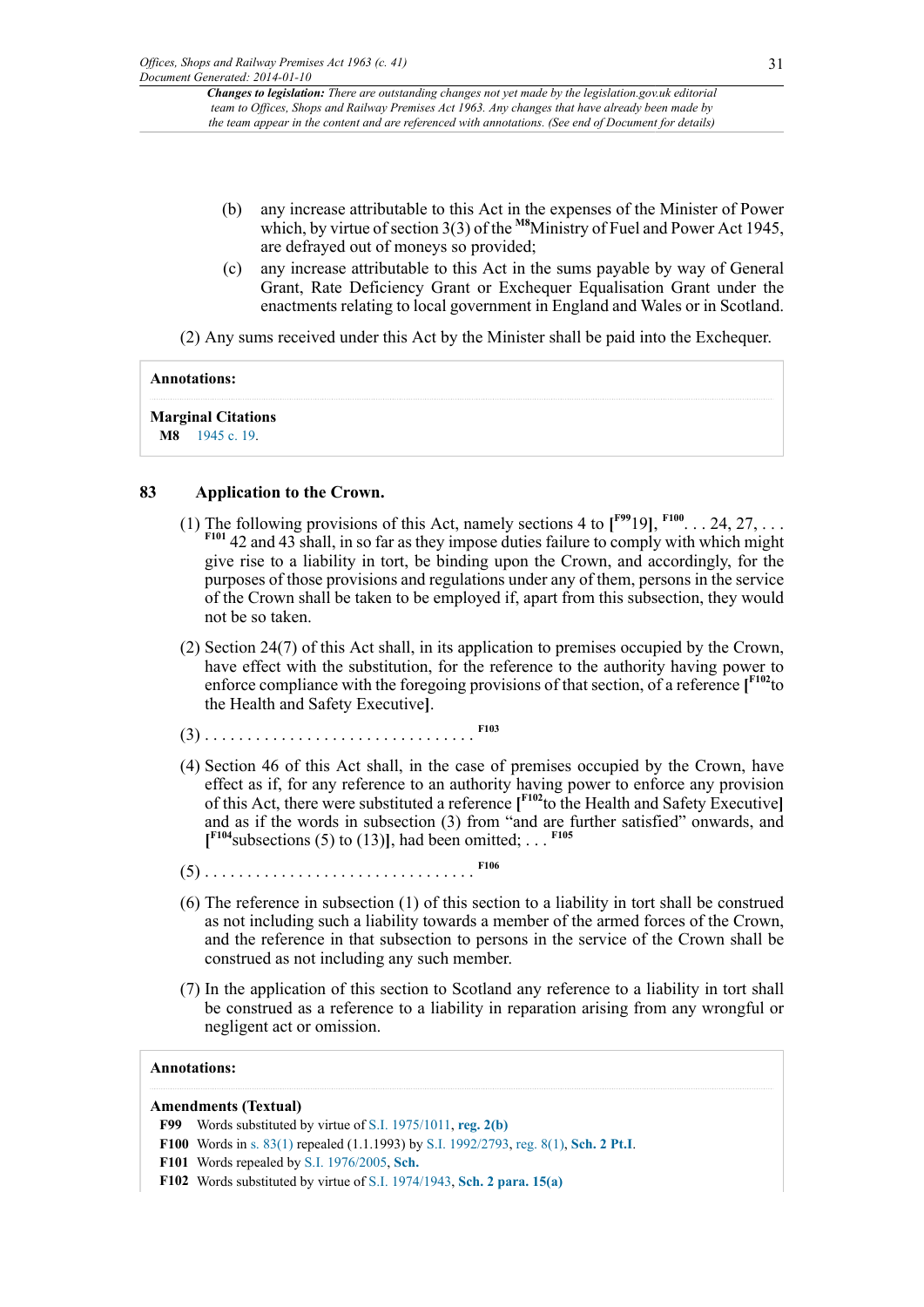- <span id="page-30-1"></span>(b) any increase attributable to this Act in the expenses of the Minister of Power which, by virtue of section 3(3) of the <sup>[M8](#page-30-0)</sup>Ministry of Fuel and Power Act 1945, are defrayed out of moneys so provided;
- (c) any increase attributable to this Act in the sums payable by way of General Grant, Rate Deficiency Grant or Exchequer Equalisation Grant under the enactments relating to local government in England and Wales or in Scotland.

(2) Any sums received under this Act by the Minister shall be paid into the Exchequer.

### **Annotations:**

**Marginal Citations**

<span id="page-30-0"></span>**[M8](#page-30-1)** [1945 c. 19](http://www.legislation.gov.uk/id/ukpga/1945/19).

## **83 Application to the Crown.**

- <span id="page-30-8"></span><span id="page-30-7"></span><span id="page-30-6"></span>(1) The following provisions of this Act, namely sections 4 to  $\mathbf{I}^{\text{F99}}$  $\mathbf{I}^{\text{F99}}$  $\mathbf{I}^{\text{F99}}$  19],  $\mathbf{I}^{\text{F100}}$  $\mathbf{I}^{\text{F100}}$  $\mathbf{I}^{\text{F100}}$ . . . 24, 27, . . . **[F101](#page-30-4)** 42 and 43 shall, in so far as they impose duties failure to comply with which might give rise to a liability in tort, be binding upon the Crown, and accordingly, for the purposes of those provisions and regulations under any of them, persons in the service of the Crown shall be taken to be employed if, apart from this subsection, they would not be so taken.
- (2) Section 24(7) of this Act shall, in its application to premises occupied by the Crown, have effect with the substitution, for the reference to the authority having power to enforce compliance with the foregoing provisions of that section, of a reference **[ [F102](#page-30-5)**to the Health and Safety Executive**]**.
- <span id="page-30-10"></span><span id="page-30-9"></span>(3) . . . . . . . . . . . . . . . . . . . . . . . . . . . . . . . . **[F103](#page-31-0)**
- (4) Section 46 of this Act shall, in the case of premises occupied by the Crown, have effect as if, for any reference to an authority having power to enforce any provision of this Act, there were substituted a reference **[ [F102](#page-30-5)**to the Health and Safety Executive**]** and as if the words in subsection (3) from "and are further satisfied" onwards, and  $[$ <sup>**[F104](#page-31-1)</sup>** subsections (5) to (13)], had been omitted; ... <sup>[F105](#page-31-2)</sup></sup>
- <span id="page-30-13"></span><span id="page-30-12"></span><span id="page-30-11"></span>(5) . . . . . . . . . . . . . . . . . . . . . . . . . . . . . . . . **[F106](#page-31-3)**
- (6) The reference in subsection (1) of this section to a liability in tort shall be construed as not including such a liability towards a member of the armed forces of the Crown, and the reference in that subsection to persons in the service of the Crown shall be construed as not including any such member.
- (7) In the application of this section to Scotland any reference to a liability in tort shall be construed as a reference to a liability in reparation arising from any wrongful or negligent act or omission.

### **Annotations:**

### **Amendments (Textual)**

- <span id="page-30-2"></span>**[F99](#page-30-6)** Words substituted by virtue of [S.I. 1975/1011,](http://www.legislation.gov.uk/id/uksi/1975/1011) **[reg. 2\(b\)](http://www.legislation.gov.uk/id/uksi/1975/1011/regulation/2/b)**
- <span id="page-30-3"></span>**[F100](#page-30-7)** Words in [s. 83\(1\)](http://www.legislation.gov.uk/id/ukpga/1963/41/section/83/1) repealed (1.1.1993) by [S.I. 1992/2793](http://www.legislation.gov.uk/id/uksi/1992/2793), [reg. 8\(1\),](http://www.legislation.gov.uk/id/uksi/1992/2793/regulation/8/1) **[Sch. 2 Pt.I](http://www.legislation.gov.uk/id/uksi/1992/2793/schedule/2/part/I)**.
- <span id="page-30-4"></span>**[F101](#page-30-8)** Words repealed by [S.I. 1976/2005](http://www.legislation.gov.uk/id/uksi/1976/2005), **[Sch.](http://www.legislation.gov.uk/id/uksi/1976/2005/schedule)**
- <span id="page-30-5"></span>**[F102](#page-30-9)** Words substituted by virtue of [S.I. 1974/1943,](http://www.legislation.gov.uk/id/uksi/1974/1943) **[Sch. 2 para. 15\(a\)](http://www.legislation.gov.uk/id/uksi/1974/1943/schedule/2/paragraph/15/a)**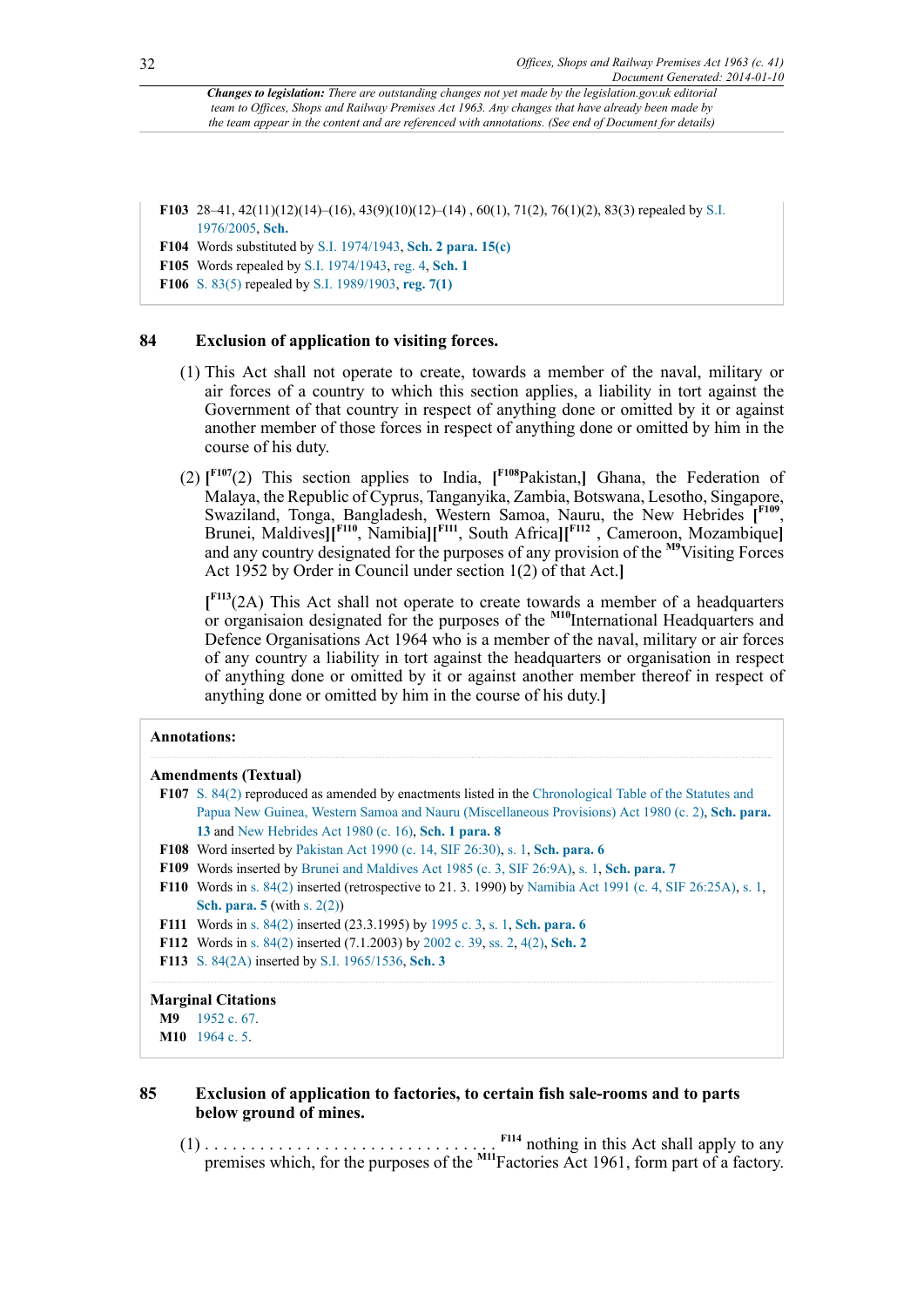<span id="page-31-0"></span>**[F103](#page-30-10)** 28–41, 42(11)(12)(14)–(16), 43(9)(10)(12)–(14) , 60(1), 71(2), 76(1)(2), 83(3) repealed by [S.I.](http://www.legislation.gov.uk/id/uksi/1976/2005) [1976/2005](http://www.legislation.gov.uk/id/uksi/1976/2005), **[Sch.](http://www.legislation.gov.uk/id/uksi/1976/2005/schedule)**

<span id="page-31-1"></span>**[F104](#page-30-11)** Words substituted by [S.I. 1974/1943,](http://www.legislation.gov.uk/id/uksi/1974/1943) **[Sch. 2 para. 15\(c\)](http://www.legislation.gov.uk/id/uksi/1974/1943/schedule/2/paragraph/15/c)**

<span id="page-31-2"></span>**[F105](#page-30-12)** Words repealed by [S.I. 1974/1943](http://www.legislation.gov.uk/id/uksi/1974/1943), [reg. 4](http://www.legislation.gov.uk/id/uksi/1974/1943/regulation/4), **[Sch. 1](http://www.legislation.gov.uk/id/uksi/1974/1943/schedule/1)**

<span id="page-31-3"></span>**[F106](#page-30-13)** [S. 83\(5\)](http://www.legislation.gov.uk/id/ukpga/1963/41/section/83/5) repealed by [S.I. 1989/1903](http://www.legislation.gov.uk/id/uksi/1989/1903), **[reg. 7\(1\)](http://www.legislation.gov.uk/id/uksi/1989/1903/regulation/7/1)**

### **84 Exclusion of application to visiting forces.**

- (1) This Act shall not operate to create, towards a member of the naval, military or air forces of a country to which this section applies, a liability in tort against the Government of that country in respect of anything done or omitted by it or against another member of those forces in respect of anything done or omitted by him in the course of his duty.
- <span id="page-31-14"></span><span id="page-31-13"></span>(2)  $\int_0^{\text{F107}}(2)$  $\int_0^{\text{F107}}(2)$  $\int_0^{\text{F107}}(2)$  This section applies to India,  $\int_0^{\text{F108}}P$  $\int_0^{\text{F108}}P$  $\int_0^{\text{F108}}P$ akistan, Ghana, the Federation of Malaya, the Republic of Cyprus, Tanganyika, Zambia, Botswana, Lesotho, Singapore, Swaziland, Tonga, Bangladesh, Western Samoa, Nauru, the New Hebrides [F<sup>109</sup>, Brunei, Maldives**][ [F110](#page-31-7)**, Namibia**][ [F111](#page-31-8)**, South Africa**][ [F112](#page-31-9)** , Cameroon, Mozambique**]** and any country designated for the purposes of any provision of the **[M9](#page-31-10)**Visiting Forces Act 1952 by Order in Council under section 1(2) of that Act.**]**

<span id="page-31-21"></span><span id="page-31-20"></span><span id="page-31-19"></span><span id="page-31-18"></span><span id="page-31-17"></span><span id="page-31-16"></span><span id="page-31-15"></span>**[ [F113](#page-31-11)**(2A) This Act shall not operate to create towards a member of a headquarters or organisaion designated for the purposes of the **[M10](#page-31-12)**International Headquarters and Defence Organisations Act 1964 who is a member of the naval, military or air forces of any country a liability in tort against the headquarters or organisation in respect of anything done or omitted by it or against another member thereof in respect of anything done or omitted by him in the course of his duty.**]**

#### **Annotations:**

#### **Amendments (Textual)**

- <span id="page-31-4"></span>**[F107](#page-31-13)** [S. 84\(2\)](http://www.legislation.gov.uk/id/ukpga/1963/41/section/84/2) reproduced as amended by enactments listed in the [Chronological Table of the Statutes and](http://www.legislation.gov.uk/id/ukpga/1980/2) [Papua New Guinea, Western Samoa and Nauru \(Miscellaneous Provisions\) Act 1980 \(c. 2\),](http://www.legislation.gov.uk/id/ukpga/1980/2) **[Sch. para.](http://www.legislation.gov.uk/id/ukpga/1980/2/schedule/paragraph/13) [13](http://www.legislation.gov.uk/id/ukpga/1980/2/schedule/paragraph/13)** and [New Hebrides Act 1980 \(c. 16\)](http://www.legislation.gov.uk/id/ukpga/1980/16), **[Sch. 1 para. 8](http://www.legislation.gov.uk/id/ukpga/1980/16/schedule/1/paragraph/8)**
- <span id="page-31-5"></span>**[F108](#page-31-14)** Word inserted by [Pakistan Act 1990 \(c. 14, SIF 26:30\),](http://www.legislation.gov.uk/id/ukpga/1990/14) [s. 1,](http://www.legislation.gov.uk/id/ukpga/1990/14/section/1) **[Sch. para. 6](http://www.legislation.gov.uk/id/ukpga/1990/14/schedule/paragraph/6)**
- <span id="page-31-6"></span>**[F109](#page-31-15)** Words inserted by [Brunei and Maldives Act 1985 \(c. 3, SIF 26:9A\),](http://www.legislation.gov.uk/id/ukpga/1985/3) [s. 1,](http://www.legislation.gov.uk/id/ukpga/1985/3/section/1) **[Sch. para. 7](http://www.legislation.gov.uk/id/ukpga/1985/3/schedule/paragraph/7)**
- <span id="page-31-7"></span>**[F110](#page-31-16)** Words in [s. 84\(2\)](http://www.legislation.gov.uk/id/ukpga/1963/41/section/84/2) inserted (retrospective to 21. 3. 1990) by [Namibia Act 1991 \(c. 4, SIF 26:25A\)](http://www.legislation.gov.uk/id/ukpga/1991/4), [s. 1](http://www.legislation.gov.uk/id/ukpga/1991/4/section/1), **[Sch. para. 5](http://www.legislation.gov.uk/id/ukpga/1991/4/schedule/paragraph/5)** (with [s. 2\(2\)\)](http://www.legislation.gov.uk/id/ukpga/1991/4/section/2/2)
- <span id="page-31-8"></span>**[F111](#page-31-17)** Words in [s. 84\(2\)](http://www.legislation.gov.uk/id/ukpga/1963/41/section/84/2) inserted (23.3.1995) by [1995 c. 3,](http://www.legislation.gov.uk/id/ukpga/1995/3) [s. 1,](http://www.legislation.gov.uk/id/ukpga/1995/3/section/1) **[Sch. para. 6](http://www.legislation.gov.uk/id/ukpga/1995/3/schedule/paragraph/6)**
- <span id="page-31-9"></span>**[F112](#page-31-18)** Words in [s. 84\(2\)](http://www.legislation.gov.uk/id/ukpga/1963/41/section/84/2) inserted (7.1.2003) by [2002 c. 39,](http://www.legislation.gov.uk/id/ukpga/2002/39) [ss. 2](http://www.legislation.gov.uk/id/ukpga/2002/39/section/2), [4\(2\),](http://www.legislation.gov.uk/id/ukpga/2002/39/section/4/2) **[Sch. 2](http://www.legislation.gov.uk/id/ukpga/2002/39/schedule/2)**
- <span id="page-31-11"></span>**[F113](#page-31-19)** [S. 84\(2A\)](http://www.legislation.gov.uk/id/ukpga/1963/41/section/84/2A) inserted by [S.I. 1965/1536,](http://www.legislation.gov.uk/id/uksi/1965/1536) **[Sch. 3](http://www.legislation.gov.uk/id/uksi/1965/1536/schedule/3)**

#### **Marginal Citations**

```
M9 1952 c. 67.
```

```
M10 1964 c. 5.
```
### **85 Exclusion of application to factories, to certain fish sale-rooms and to parts below ground of mines.**

<span id="page-31-23"></span><span id="page-31-22"></span>(1) . . . . . . . . . . . . . . . . . . . . . . . . . . . . . . . . **[F114](#page-32-0)** nothing in this Act shall apply to any premises which, for the purposes of the **[M11](#page-32-1)**Factories Act 1961, form part of a factory.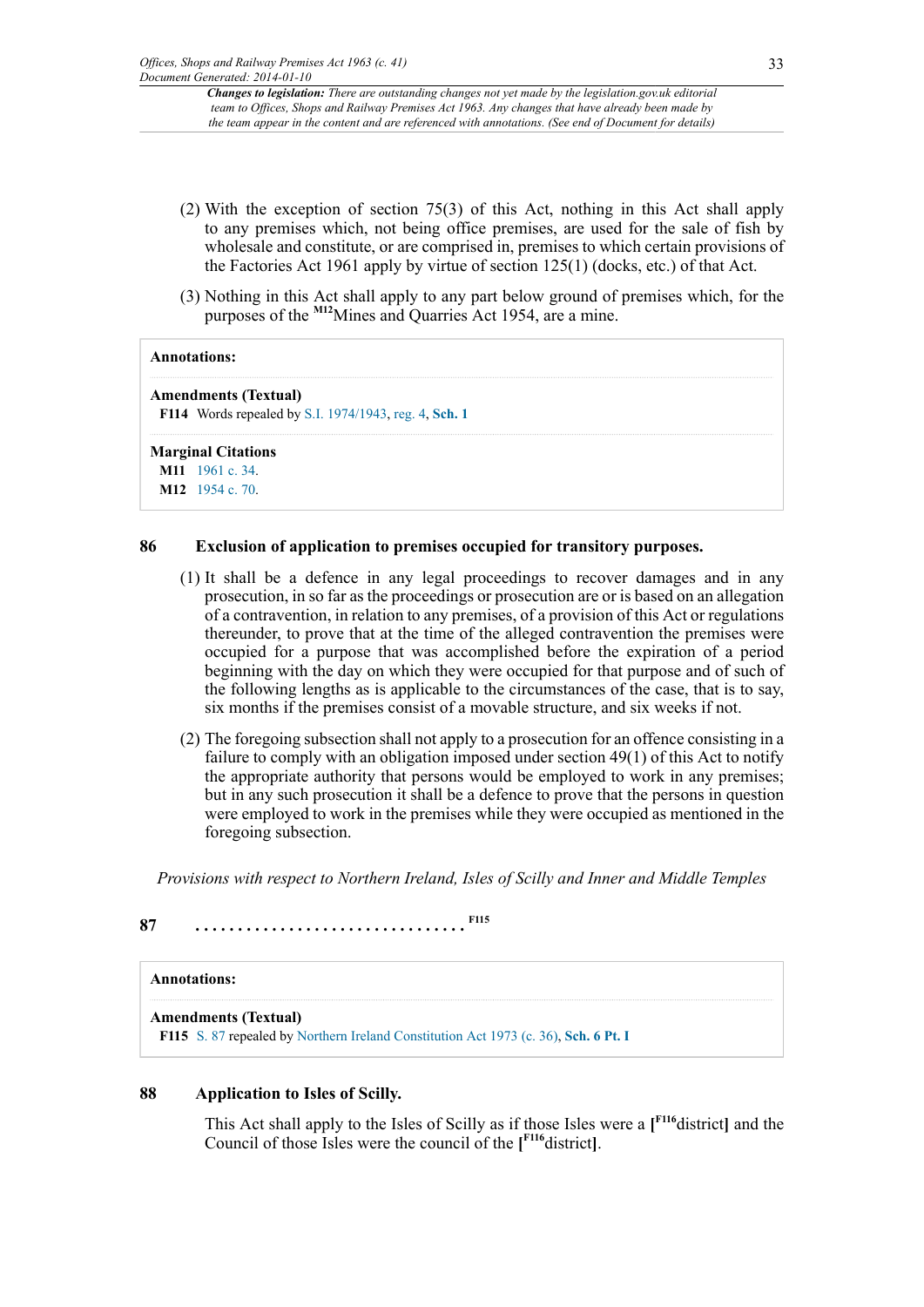- (2) With the exception of section 75(3) of this Act, nothing in this Act shall apply to any premises which, not being office premises, are used for the sale of fish by wholesale and constitute, or are comprised in, premises to which certain provisions of the Factories Act 1961 apply by virtue of section 125(1) (docks, etc.) of that Act.
- <span id="page-32-3"></span>(3) Nothing in this Act shall apply to any part below ground of premises which, for the purposes of the **[M12](#page-32-2)**Mines and Quarries Act 1954, are a mine.

#### **Annotations:**

#### **Amendments (Textual)**

<span id="page-32-0"></span>**[F114](#page-31-22)** Words repealed by [S.I. 1974/1943](http://www.legislation.gov.uk/id/uksi/1974/1943), [reg. 4](http://www.legislation.gov.uk/id/uksi/1974/1943/regulation/4), **[Sch. 1](http://www.legislation.gov.uk/id/uksi/1974/1943/schedule/1)**

#### **Marginal Citations**

<span id="page-32-2"></span><span id="page-32-1"></span>**[M11](#page-31-23)** [1961 c. 34](http://www.legislation.gov.uk/id/ukpga/1961/34). **[M12](#page-32-3)** [1954 c. 70](http://www.legislation.gov.uk/id/ukpga/1954/70).

#### **86 Exclusion of application to premises occupied for transitory purposes.**

- (1) It shall be a defence in any legal proceedings to recover damages and in any prosecution, in so far as the proceedings or prosecution are or is based on an allegation of a contravention, in relation to any premises, of a provision of this Act or regulations thereunder, to prove that at the time of the alleged contravention the premises were occupied for a purpose that was accomplished before the expiration of a period beginning with the day on which they were occupied for that purpose and of such of the following lengths as is applicable to the circumstances of the case, that is to say, six months if the premises consist of a movable structure, and six weeks if not.
- (2) The foregoing subsection shall not apply to a prosecution for an offence consisting in a failure to comply with an obligation imposed under section 49(1) of this Act to notify the appropriate authority that persons would be employed to work in any premises; but in any such prosecution it shall be a defence to prove that the persons in question were employed to work in the premises while they were occupied as mentioned in the foregoing subsection.

<span id="page-32-5"></span>*Provisions with respect to Northern Ireland, Isles of Scilly and Inner and Middle Temples*

## **87 . . . . . . . . . . . . . . . . . . . . . . . . . . . . . . . . [F115](#page-32-4)**

#### **Annotations:**

#### **Amendments (Textual)**

<span id="page-32-4"></span>**[F115](#page-32-5)** [S. 87](http://www.legislation.gov.uk/id/ukpga/1963/41/section/87) repealed by [Northern Ireland Constitution Act 1973 \(c. 36\),](http://www.legislation.gov.uk/id/ukpga/1973/36) **[Sch. 6 Pt. I](http://www.legislation.gov.uk/id/ukpga/1973/36/schedule/6/part/I)**

#### **88 Application to Isles of Scilly.**

<span id="page-32-6"></span>This Act shall apply to the Isles of Scilly as if those Isles were a **[ [F116](#page-33-0)**district**]** and the Council of those Isles were the council of the **[ [F116](#page-33-0)**district**]**.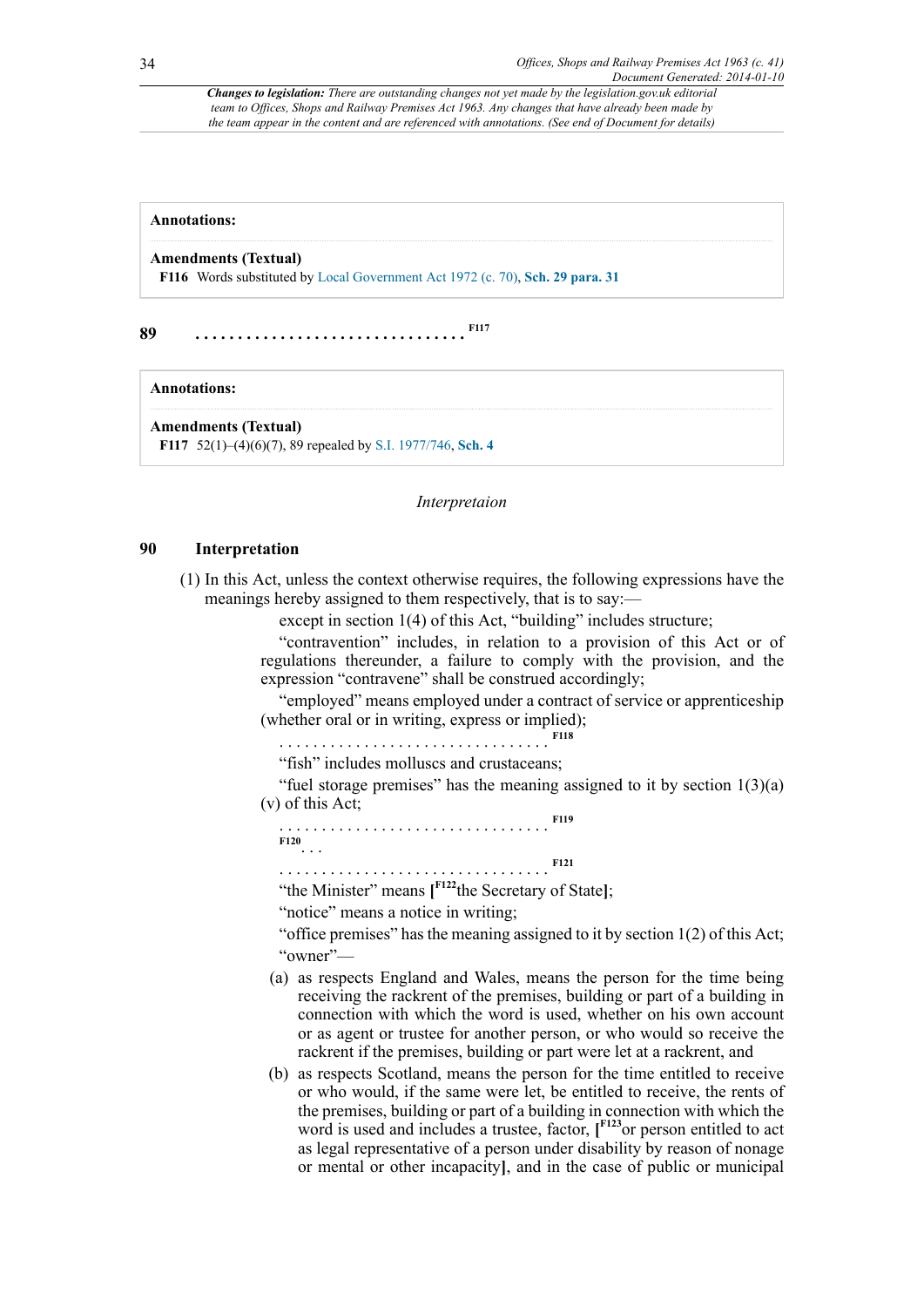#### **Annotations:**

#### **Amendments (Textual)**

<span id="page-33-0"></span>**[F116](#page-32-6)** Words substituted by [Local Government Act 1972 \(c. 70\),](http://www.legislation.gov.uk/id/ukpga/1972/70) **[Sch. 29 para. 31](http://www.legislation.gov.uk/id/ukpga/1972/70/schedule/29/paragraph/31)**

**89 . . . . . . . . . . . . . . . . . . . . . . . . . . . . . . . . [F117](#page-33-1)**

#### **Annotations:**

**Amendments (Textual)**

<span id="page-33-1"></span>**[F117](#page-33-2)** 52(1)–(4)(6)(7), 89 repealed by [S.I. 1977/746,](http://www.legislation.gov.uk/id/uksi/1977/746) **[Sch. 4](http://www.legislation.gov.uk/id/uksi/1977/746/schedule/4)**

#### <span id="page-33-3"></span><span id="page-33-2"></span>*Interpretaion*

#### **90 Interpretation**

(1) In this Act, unless the context otherwise requires, the following expressions have the meanings hereby assigned to them respectively, that is to say:—

except in section 1(4) of this Act, "building" includes structure;

"contravention" includes, in relation to a provision of this Act or of regulations thereunder, a failure to comply with the provision, and the expression "contravene" shall be construed accordingly;

"employed" means employed under a contract of service or apprenticeship (whether oral or in writing, express or implied);

. . . . . . . . . . . . . . . . . . . . . . . . . . . . . . . . **[F118](#page-35-0)**

"fish" includes molluscs and crustaceans;

"fuel storage premises" has the meaning assigned to it by section  $1(3)(a)$ (v) of this Act;

<span id="page-33-5"></span><span id="page-33-4"></span>. . . . . . . . . . . . . . . . . . . . . . . . . . . . . . . . **[F119](#page-35-1) [F120](#page-35-2)** . . . . . . . . . . . . . . . . . . . . . . . . . . . . . . . . **[F121](#page-35-3)**

<span id="page-33-7"></span><span id="page-33-6"></span>"the Minister" means **[ [F122](#page-35-4)**the Secretary of State**]**;

"notice" means a notice in writing;

"office premises" has the meaning assigned to it by section 1(2) of this Act; "owner"—

- (a) as respects England and Wales, means the person for the time being receiving the rackrent of the premises, building or part of a building in connection with which the word is used, whether on his own account or as agent or trustee for another person, or who would so receive the rackrent if the premises, building or part were let at a rackrent, and
- <span id="page-33-8"></span>(b) as respects Scotland, means the person for the time entitled to receive or who would, if the same were let, be entitled to receive, the rents of the premises, building or part of a building in connection with which the word is used and includes a trustee, factor, **[ [F123](#page-35-5)**or person entitled to act as legal representative of a person under disability by reason of nonage or mental or other incapacity**]**, and in the case of public or municipal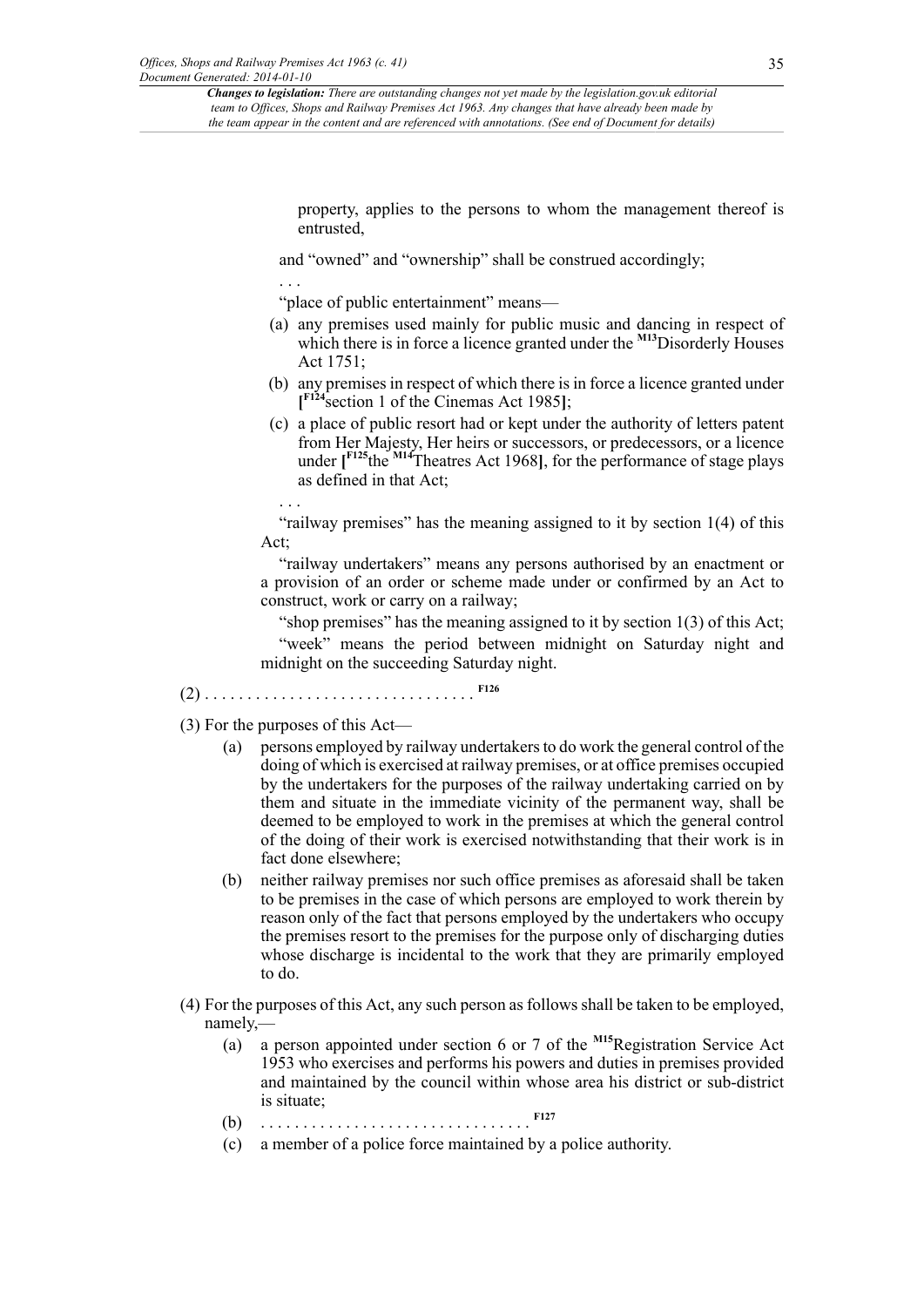<span id="page-34-4"></span>property, applies to the persons to whom the management thereof is entrusted,

and "owned" and "ownership" shall be construed accordingly;

. . . "place of public entertainment" means—

- (a) any premises used mainly for public music and dancing in respect of which there is in force a licence granted under the **[M13](#page-35-6)**Disorderly Houses Act 1751;
- <span id="page-34-0"></span>(b) any premises in respect of which there is in force a licence granted under **[ [F124](#page-35-7)**section 1 of the Cinemas Act 1985**]**;
- <span id="page-34-5"></span><span id="page-34-1"></span>(c) a place of public resort had or kept under the authority of letters patent from Her Majesty, Her heirs or successors, or predecessors, or a licence under **[ [F125](#page-35-8)**the **[M14](#page-35-9)**Theatres Act 1968**]**, for the performance of stage plays as defined in that Act;

. . . "railway premises" has the meaning assigned to it by section 1(4) of this Act;

"railway undertakers" means any persons authorised by an enactment or a provision of an order or scheme made under or confirmed by an Act to construct, work or carry on a railway;

<span id="page-34-2"></span>"shop premises" has the meaning assigned to it by section 1(3) of this Act; "week" means the period between midnight on Saturday night and midnight on the succeeding Saturday night.

(2) . . . . . . . . . . . . . . . . . . . . . . . . . . . . . . . . **[F126](#page-35-10)**

(3) For the purposes of this Act—

- (a) persons employed by railway undertakers to do work the general control of the doing of which is exercised at railway premises, or at office premises occupied by the undertakers for the purposes of the railway undertaking carried on by them and situate in the immediate vicinity of the permanent way, shall be deemed to be employed to work in the premises at which the general control of the doing of their work is exercised notwithstanding that their work is in fact done elsewhere;
- <span id="page-34-6"></span>(b) neither railway premises nor such office premises as aforesaid shall be taken to be premises in the case of which persons are employed to work therein by reason only of the fact that persons employed by the undertakers who occupy the premises resort to the premises for the purpose only of discharging duties whose discharge is incidental to the work that they are primarily employed to do.
- <span id="page-34-3"></span>(4) For the purposes of this Act, any such person as follows shall be taken to be employed, namely,—
	- (a) a person appointed under section 6 or 7 of the **[M15](#page-35-11)**Registration Service Act 1953 who exercises and performs his powers and duties in premises provided and maintained by the council within whose area his district or sub-district is situate;
	- (b) . . . . . . . . . . . . . . . . . . . . . . . . . . . . . . . . **[F127](#page-35-12)**
	- (c) a member of a police force maintained by a police authority.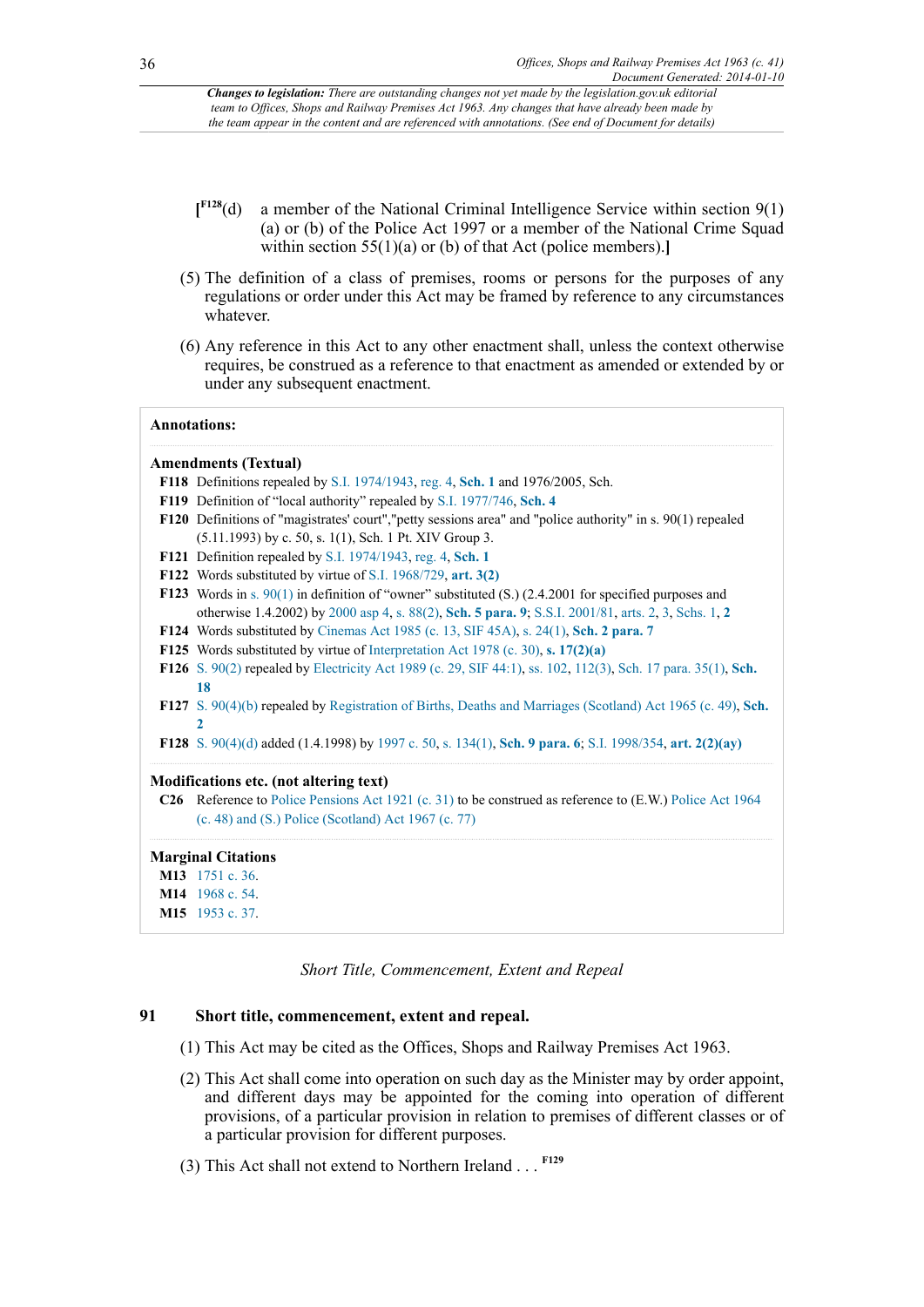- <span id="page-35-14"></span> $I<sup>F128</sup>(d)$ a member of the National Criminal Intelligence Service within section 9(1) (a) or (b) of the Police Act 1997 or a member of the National Crime Squad within section 55(1)(a) or (b) of that Act (police members).**]**
- (5) The definition of a class of premises, rooms or persons for the purposes of any regulations or order under this Act may be framed by reference to any circumstances whatever.
- (6) Any reference in this Act to any other enactment shall, unless the context otherwise requires, be construed as a reference to that enactment as amended or extended by or under any subsequent enactment.

#### **Annotations:**

#### **Amendments (Textual)**

- <span id="page-35-0"></span>**[F118](#page-33-3)** Definitions repealed by [S.I. 1974/1943,](http://www.legislation.gov.uk/id/uksi/1974/1943) [reg. 4,](http://www.legislation.gov.uk/id/uksi/1974/1943/regulation/4) **[Sch. 1](http://www.legislation.gov.uk/id/uksi/1974/1943/schedule/1)** and 1976/2005, Sch.
- <span id="page-35-1"></span>**[F119](#page-33-4)** Definition of "local authority" repealed by [S.I. 1977/746,](http://www.legislation.gov.uk/id/uksi/1977/746) **[Sch. 4](http://www.legislation.gov.uk/id/uksi/1977/746/schedule/4)**
- <span id="page-35-2"></span>**[F120](#page-33-5)** Definitions of "magistrates' court","petty sessions area" and "police authority" in s. 90(1) repealed (5.11.1993) by c. 50, s. 1(1), Sch. 1 Pt. XIV Group 3.
- <span id="page-35-3"></span>**[F121](#page-33-6)** Definition repealed by [S.I. 1974/1943](http://www.legislation.gov.uk/id/uksi/1974/1943), [reg. 4](http://www.legislation.gov.uk/id/uksi/1974/1943/regulation/4), **[Sch. 1](http://www.legislation.gov.uk/id/uksi/1974/1943/schedule/1)**
- <span id="page-35-4"></span>**[F122](#page-33-7)** Words substituted by virtue of [S.I. 1968/729](http://www.legislation.gov.uk/id/uksi/1968/729), **[art. 3\(2\)](http://www.legislation.gov.uk/id/uksi/1968/729/article/3/2)**
- <span id="page-35-5"></span>**[F123](#page-33-8)** Words in [s. 90\(1\)](http://www.legislation.gov.uk/id/ukpga/1963/41/section/90/1) in definition of "owner" substituted (S.) (2.4.2001 for specified purposes and otherwise 1.4.2002) by [2000 asp 4,](http://www.legislation.gov.uk/id/asp/2000/4) [s. 88\(2\),](http://www.legislation.gov.uk/id/asp/2000/4/section/88/2) **[Sch. 5 para. 9](http://www.legislation.gov.uk/id/asp/2000/4/schedule/5/paragraph/9)**; [S.S.I. 2001/81,](http://www.legislation.gov.uk/id/ssi/2001/81) [arts. 2](http://www.legislation.gov.uk/id/ssi/2001/81/article/2), [3](http://www.legislation.gov.uk/id/ssi/2001/81/article/3), [Schs. 1,](http://www.legislation.gov.uk/id/ssi/2001/81/schedule/1) **[2](http://www.legislation.gov.uk/id/ssi/2001/81/schedule/2)**
- <span id="page-35-7"></span>**[F124](#page-34-0)** Words substituted by [Cinemas Act 1985 \(c. 13, SIF 45A\),](http://www.legislation.gov.uk/id/ukpga/1985/13) [s. 24\(1\),](http://www.legislation.gov.uk/id/ukpga/1985/13/section/24/1) **[Sch. 2 para. 7](http://www.legislation.gov.uk/id/ukpga/1985/13/schedule/2/paragraph/7)**
- <span id="page-35-8"></span>**[F125](#page-34-1)** Words substituted by virtue of [Interpretation Act 1978 \(c. 30\),](http://www.legislation.gov.uk/id/ukpga/1978/30) **[s. 17\(2\)\(a\)](http://www.legislation.gov.uk/id/ukpga/1978/30/section/17/2/a)**
- <span id="page-35-10"></span>**[F126](#page-34-2)** [S. 90\(2\)](http://www.legislation.gov.uk/id/ukpga/1963/41/section/90/2) repealed by [Electricity Act 1989 \(c. 29, SIF 44:1\)](http://www.legislation.gov.uk/id/ukpga/1989/29), [ss. 102,](http://www.legislation.gov.uk/id/ukpga/1989/29/section/102) [112\(3\),](http://www.legislation.gov.uk/id/ukpga/1989/29/section/112/3) [Sch. 17 para. 35\(1\)](http://www.legislation.gov.uk/id/ukpga/1989/29/schedule/17/paragraph/35/1), **[Sch.](http://www.legislation.gov.uk/id/ukpga/1989/29/schedule/18) [18](http://www.legislation.gov.uk/id/ukpga/1989/29/schedule/18)**
- <span id="page-35-12"></span>**[F127](#page-34-3)** [S. 90\(4\)\(b\)](http://www.legislation.gov.uk/id/ukpga/1963/41/section/90/4/b) repealed by [Registration of Births, Deaths and Marriages \(Scotland\) Act 1965 \(c. 49\),](http://www.legislation.gov.uk/id/ukpga/1965/49) **[Sch.](http://www.legislation.gov.uk/id/ukpga/1965/49/schedule/2) [2](http://www.legislation.gov.uk/id/ukpga/1965/49/schedule/2)**
- <span id="page-35-13"></span>**[F128](#page-35-14)** [S. 90\(4\)\(d\)](http://www.legislation.gov.uk/id/ukpga/1963/41/section/90/4/d) added (1.4.1998) by [1997 c. 50,](http://www.legislation.gov.uk/id/ukpga/1997/50) [s. 134\(1\)](http://www.legislation.gov.uk/id/ukpga/1997/50/section/134/1), **[Sch. 9 para. 6](http://www.legislation.gov.uk/id/ukpga/1997/50/schedule/9/paragraph/6)**; [S.I. 1998/354,](http://www.legislation.gov.uk/id/uksi/1998/354) **[art. 2\(2\)\(ay\)](http://www.legislation.gov.uk/id/uksi/1998/354/article/2/2/ay)**

#### **Modifications etc. (not altering text)**

**C26** Reference to [Police Pensions Act 1921 \(c. 31\)](http://www.legislation.gov.uk/id/ukpga/1921/31) to be construed as reference to (E.W.) [Police Act 1964](http://www.legislation.gov.uk/id/ukpga/1967/77) [\(c. 48\) and \(S.\) Police \(Scotland\) Act 1967 \(c. 77\)](http://www.legislation.gov.uk/id/ukpga/1967/77)

#### **Marginal Citations**

<span id="page-35-9"></span><span id="page-35-6"></span>**[M13](#page-34-4)** [1751 c. 36](http://www.legislation.gov.uk/id/apgb/1751/36). **[M14](#page-34-5)** [1968 c. 54](http://www.legislation.gov.uk/id/ukpga/1968/54).

```
M15 1953 c. 37.
```
<span id="page-35-15"></span>*Short Title, Commencement, Extent and Repeal*

### **91 Short title, commencement, extent and repeal.**

- (1) This Act may be cited as the Offices, Shops and Railway Premises Act 1963.
- (2) This Act shall come into operation on such day as the Minister may by order appoint, and different days may be appointed for the coming into operation of different provisions, of a particular provision in relation to premises of different classes or of a particular provision for different purposes.
- (3) This Act shall not extend to Northern Ireland . . . **[F129](#page-36-0)**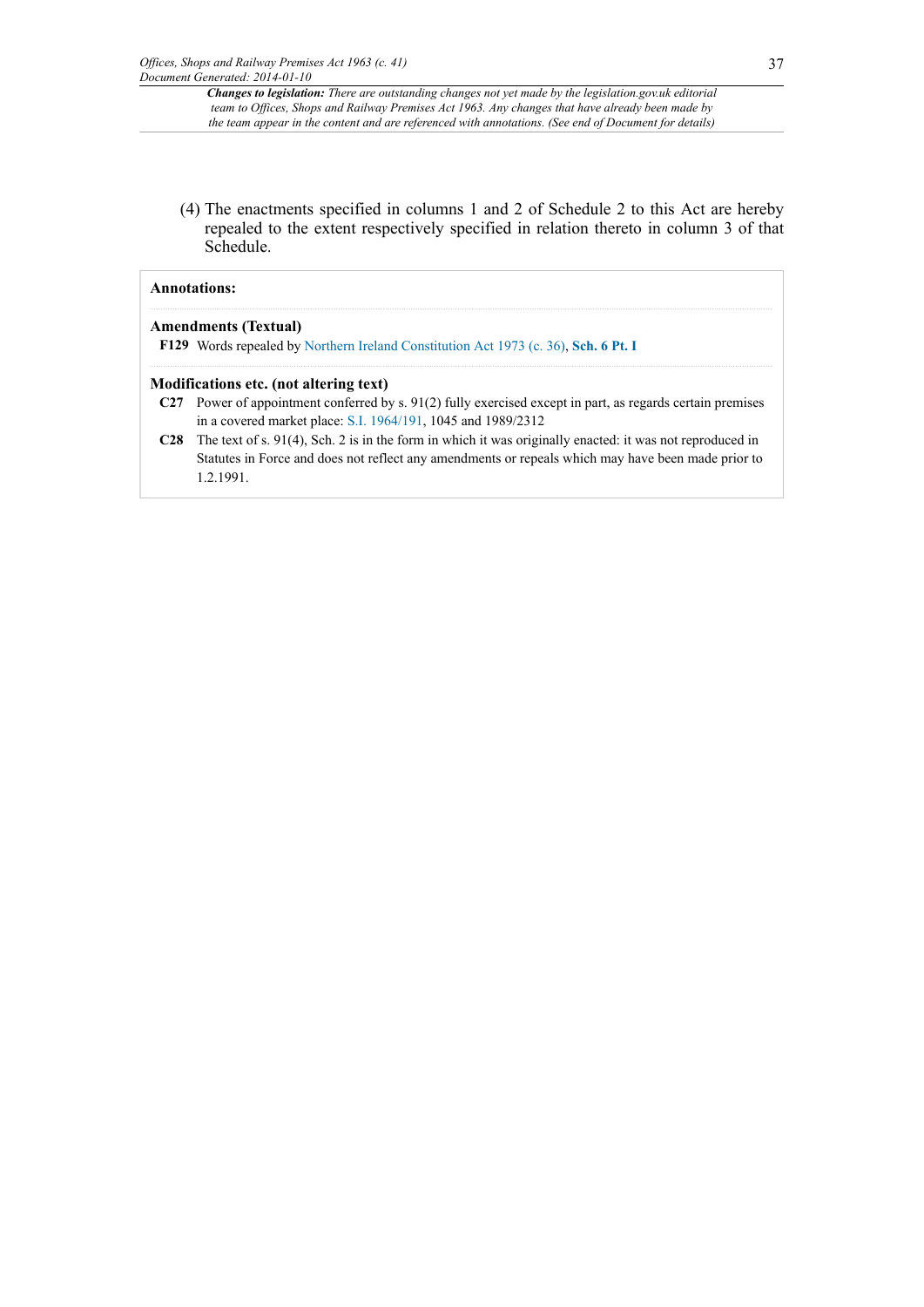(4) The enactments specified in columns 1 and 2 of Schedule 2 to this Act are hereby repealed to the extent respectively specified in relation thereto in column 3 of that Schedule.

#### **Annotations:**

#### **Amendments (Textual)**

<span id="page-36-0"></span>**[F129](#page-35-15)** Words repealed by [Northern Ireland Constitution Act 1973 \(c. 36\)](http://www.legislation.gov.uk/id/ukpga/1973/36), **[Sch. 6 Pt. I](http://www.legislation.gov.uk/id/ukpga/1973/36/schedule/6/part/I)**

#### **Modifications etc. (not altering text)**

- **C27** Power of appointment conferred by s. 91(2) fully exercised except in part, as regards certain premises in a covered market place: [S.I. 1964/191,](http://www.legislation.gov.uk/id/uksi/1964/191) 1045 and 1989/2312
- **C28** The text of s. 91(4), Sch. 2 is in the form in which it was originally enacted: it was not reproduced in Statutes in Force and does not reflect any amendments or repeals which may have been made prior to 1.2.1991.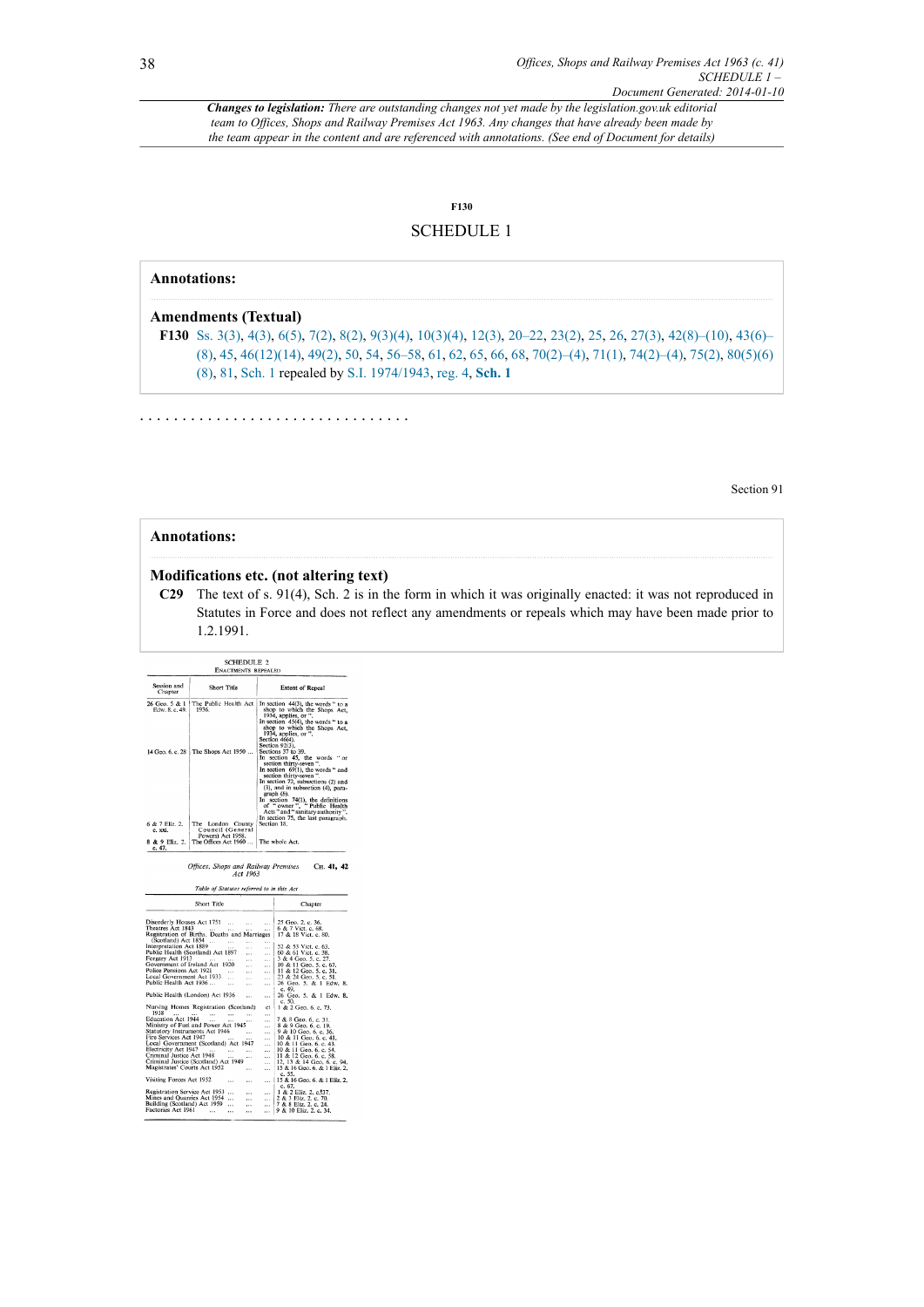## <span id="page-37-1"></span>**[F130](#page-37-0)**

## SCHEDULE 1

### **Annotations:**

### **Amendments (Textual)**

<span id="page-37-0"></span>**[F130](#page-37-1)** [Ss. 3\(3\),](http://www.legislation.gov.uk/id/ukpga/1963/41/section/3/3) [4\(3\),](http://www.legislation.gov.uk/id/ukpga/1963/41/section/4/3) [6\(5\)](http://www.legislation.gov.uk/id/ukpga/1963/41/section/6/5), [7\(2\)](http://www.legislation.gov.uk/id/ukpga/1963/41/section/7/2), [8\(2\),](http://www.legislation.gov.uk/id/ukpga/1963/41/section/8/2) [9\(3\)\(4\)](http://www.legislation.gov.uk/id/ukpga/1963/41/section/9/3/4), [10\(3\)\(4\),](http://www.legislation.gov.uk/id/ukpga/1963/41/section/10/3/4) [12\(3\),](http://www.legislation.gov.uk/id/ukpga/1963/41/section/12/3) [20–22](http://www.legislation.gov.uk/id/ukpga/1963/41/section/20), [23\(2\)](http://www.legislation.gov.uk/id/ukpga/1963/41/section/23/2), [25](http://www.legislation.gov.uk/id/ukpga/1963/41/section/25), [26,](http://www.legislation.gov.uk/id/ukpga/1963/41/section/26) [27\(3\)](http://www.legislation.gov.uk/id/ukpga/1963/41/section/27/3), [42\(8\)–\(10\),](http://www.legislation.gov.uk/id/ukpga/1963/41/section/42/8) [43\(6\)–](http://www.legislation.gov.uk/id/ukpga/1963/41/section/43/6) [\(8\)](http://www.legislation.gov.uk/id/ukpga/1963/41/section/43/6), [45,](http://www.legislation.gov.uk/id/ukpga/1963/41/section/45) [46\(12\)\(14\)](http://www.legislation.gov.uk/id/ukpga/1963/41/section/46/12/14), [49\(2\),](http://www.legislation.gov.uk/id/ukpga/1963/41/section/49/2) [50](http://www.legislation.gov.uk/id/ukpga/1963/41/section/50), [54,](http://www.legislation.gov.uk/id/ukpga/1963/41/section/54) [56–58,](http://www.legislation.gov.uk/id/ukpga/1963/41/section/56) [61](http://www.legislation.gov.uk/id/ukpga/1963/41/section/61), [62](http://www.legislation.gov.uk/id/ukpga/1963/41/section/62), [65,](http://www.legislation.gov.uk/id/ukpga/1963/41/section/65) [66](http://www.legislation.gov.uk/id/ukpga/1963/41/section/66), [68,](http://www.legislation.gov.uk/id/ukpga/1963/41/section/68) [70\(2\)–\(4\)](http://www.legislation.gov.uk/id/ukpga/1963/41/section/70/2), [71\(1\)](http://www.legislation.gov.uk/id/ukpga/1963/41/section/71/1), [74\(2\)–\(4\)](http://www.legislation.gov.uk/id/ukpga/1963/41/section/74/2), [75\(2\)](http://www.legislation.gov.uk/id/ukpga/1963/41/section/75/2), [80\(5\)\(6\)](http://www.legislation.gov.uk/id/ukpga/1963/41/section/80/5/6/8) [\(8\)](http://www.legislation.gov.uk/id/ukpga/1963/41/section/80/5/6/8), [81,](http://www.legislation.gov.uk/id/ukpga/1963/41/section/81) [Sch. 1](http://www.legislation.gov.uk/id/ukpga/1963/41/schedule/1) repealed by [S.I. 1974/1943](http://www.legislation.gov.uk/id/uksi/1974/1943), [reg. 4](http://www.legislation.gov.uk/id/uksi/1974/1943/regulation/4), **[Sch. 1](http://www.legislation.gov.uk/id/uksi/1974/1943/schedule/1)**

. . . . . . . . . . . . . . . . . . . . . . . . . . . . . . . .

Section 91

### **Annotations:**

#### **Modifications etc. (not altering text)**

**C29** The text of s. 91(4), Sch. 2 is in the form in which it was originally enacted: it was not reproduced in Statutes in Force and does not reflect any amendments or repeals which may have been made prior to 1.2.1991.

|                                                                                                                                                                                         | <b>SCHEDULE 2</b><br><b>ENACTMENTS REPEALED</b>                                                                                                                                                                              |                                                                                                                                                                                                                                                                                                                                                                                                                                         |                                                                                                                                                                                                                                                       |  |  |  |  |  |  |
|-----------------------------------------------------------------------------------------------------------------------------------------------------------------------------------------|------------------------------------------------------------------------------------------------------------------------------------------------------------------------------------------------------------------------------|-----------------------------------------------------------------------------------------------------------------------------------------------------------------------------------------------------------------------------------------------------------------------------------------------------------------------------------------------------------------------------------------------------------------------------------------|-------------------------------------------------------------------------------------------------------------------------------------------------------------------------------------------------------------------------------------------------------|--|--|--|--|--|--|
| Session and<br>Chapter                                                                                                                                                                  | <b>Short Title</b>                                                                                                                                                                                                           |                                                                                                                                                                                                                                                                                                                                                                                                                                         | <b>Extent of Repeal</b>                                                                                                                                                                                                                               |  |  |  |  |  |  |
| 26 Geo. 5 & 1<br>Edw. 8. c. 49.                                                                                                                                                         | The Public Health Act<br>1936.                                                                                                                                                                                               | In section 44(3), the words " to a<br>shop to which the Shops Act,<br>1934, applies, or ".<br>In section $45(4)$ , the words " to a<br>shop to which the Shops Act,<br>1934, applies, or ".<br>Section 46(4).                                                                                                                                                                                                                           |                                                                                                                                                                                                                                                       |  |  |  |  |  |  |
| 14 Geo. 6, c. 28                                                                                                                                                                        | The Shops Act 1950                                                                                                                                                                                                           | Section 92(3).<br>Sections 37 to 39.<br>In section 45, the words "or<br>section thirty-seven".<br>In section 69(1), the words " and<br>section thirty-seven".<br>In section 72, subsections (2) and<br>(3), and in subsection (4), para-<br>$graph(b)$ .<br>In section 74(1), the definitions<br>of "owner", Public Health<br>Acts " and " sanitary authority ".<br>In section 75, the last paragraph.<br>Section 18.<br>The whole Act. |                                                                                                                                                                                                                                                       |  |  |  |  |  |  |
| 6 & 7 Eliz. 2.<br>c. xxi.<br>8 & 9 Eliz. 2.<br>c. 47.                                                                                                                                   | The London County<br>Council (General<br>Powers) Act 1958.<br>The Offices Act 1960                                                                                                                                           |                                                                                                                                                                                                                                                                                                                                                                                                                                         |                                                                                                                                                                                                                                                       |  |  |  |  |  |  |
|                                                                                                                                                                                         | Table of Statutes referred to in this Act<br>Short Title                                                                                                                                                                     |                                                                                                                                                                                                                                                                                                                                                                                                                                         | Chapter                                                                                                                                                                                                                                               |  |  |  |  |  |  |
| Theatres Act 1843                                                                                                                                                                       | Disorderly Houses Act 1751<br>$\cdots$<br>$\mathbf{r}$<br>$\sim$<br>Registration of Births, Deaths and Marriages                                                                                                             | $\ddotsc$<br>$\sim$                                                                                                                                                                                                                                                                                                                                                                                                                     | 25 Geo. 2. c. 36.<br>6 & 7 Vict. c. 68.<br>17 & 18 Vict. c. 80.                                                                                                                                                                                       |  |  |  |  |  |  |
| Interpretation Act 1854<br>Public Health (C. 1889)<br>Forgery Act 1913<br>Police Pensions Act 1921                                                                                      | $\cdots$<br>$\cdots$<br>$\sim$<br>Public Health (Scotland) Act 1897<br>$\ddotsc$<br>$\cdots$<br>Government of Ireland Act 1920<br>$\ddotsc$<br>$\cdots$                                                                      | $\cdots$<br>$\sim$<br>$\ddotsc$<br>$\sim$<br>$\cdots$<br>$\cdots$                                                                                                                                                                                                                                                                                                                                                                       | 52 & 53 Vict. c. 63.<br>50 & 53 vict. c. 38.<br>3 & 4 Geo. 5. c. 27.<br>10 & 11 Geo. 5. c. 67.<br>11 & 12 Geo. 5. c. 31.<br>23 & 24 Geo. 5. c. 31.                                                                                                    |  |  |  |  |  |  |
| Local Government Act 1933<br>Public Health Act 1936                                                                                                                                     | $\sim$<br>$\sim$<br>$\cdots$<br>$\cdots$                                                                                                                                                                                     | $\cdots$<br>$\cdots$                                                                                                                                                                                                                                                                                                                                                                                                                    | 26 Geo. 5. & 1 Edw. 8.<br>c. 49.                                                                                                                                                                                                                      |  |  |  |  |  |  |
|                                                                                                                                                                                         | Public Health (London) Act 1936<br>Nursing Homes Registration (Scotland)                                                                                                                                                     | <br>ct                                                                                                                                                                                                                                                                                                                                                                                                                                  | 26 Geo. 5. & 1 Edw. 8.<br>c. 50.<br>1 & 2 Geo. 6. c. 73.                                                                                                                                                                                              |  |  |  |  |  |  |
| 1938<br>$\cdots$<br>Education Act 1944<br>Statutory Instruments Act 1946<br>Fire Services Act 1947<br>Electricity Act 1947<br>Criminal Justice Act 1948<br>Magistrates' Courts Act 1952 | $\sim$ 100 $\sim$ 100 $\mu$<br>$\cdots$<br>$\cdots$<br>Ministry of Fuel and Power Act 1945<br>$\cdots$<br>Local Government (Scotland) Act 1947<br>$\sim$<br>$\cdots$<br><br>Criminal Justice (Scotland) Act 1949<br>$\cdots$ | $\cdots$<br>$\cdots$<br>$\cdots$<br>$\cdots$<br><br><br><br><br><br>                                                                                                                                                                                                                                                                                                                                                                    | 7 & 8 Geo. 6. c. 31.<br>8 & 9 Geo, 6, c, 19,<br>9 & 10 Geo, 6, c, 36,<br>10 & 11 Geo. 6. c. 41.<br>10 & 11 Geo. 6. c. 43.<br>10 & 11 Geo. 6. c. 54.<br>11 & 12 Geo. 6. c. 58.<br>12, 13 & 14 Geo, 6, c, 94,<br>15 & 16 Geo. 6. & 1 Eliz. 2.<br>c. 55. |  |  |  |  |  |  |
| Visiting Forces Act 1952                                                                                                                                                                | <br>                                                                                                                                                                                                                         | $\cdots$                                                                                                                                                                                                                                                                                                                                                                                                                                | I<br>15 & 16 Geo. 6. & 1 Eliz. 2.                                                                                                                                                                                                                     |  |  |  |  |  |  |

...  $2 \& 3 \text{ Elizabeth}$ <br>
7 & 8 Eliz. 2. c. 70.<br>
9 & 10 Eliz. 2. c. 24.

 $\dddot{\ldots}$ 

Mines and Quarries Act 1954<br>Building (Scotland) Act 1959<br>Factories Act 1961